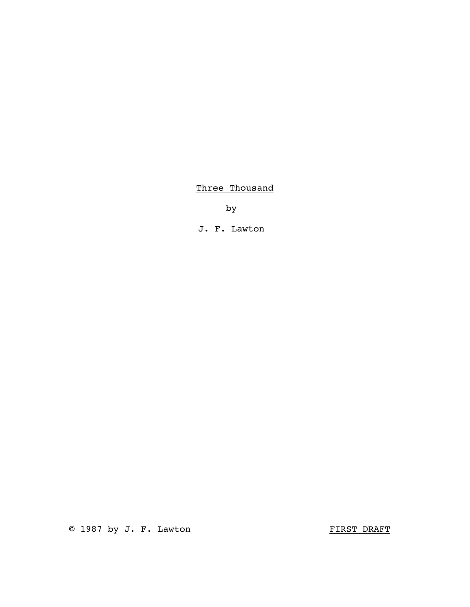# Three Thousand

by

J. F. Lawton

© 1987 by J. F. Lawton FIRST DRAFT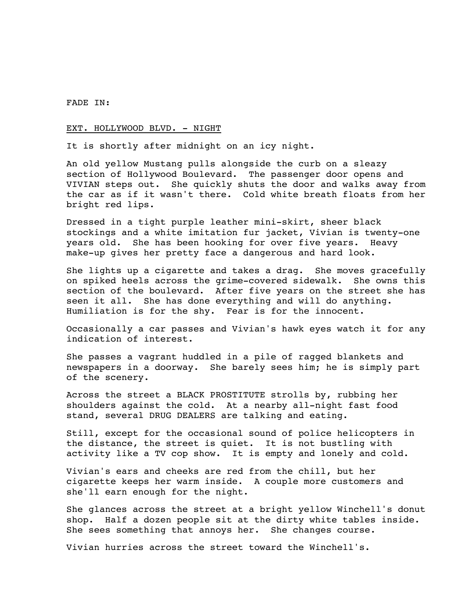#### FADE IN:

### EXT. HOLLYWOOD BLVD. - NIGHT

It is shortly after midnight on an icy night.

An old yellow Mustang pulls alongside the curb on a sleazy section of Hollywood Boulevard. The passenger door opens and VIVIAN steps out. She quickly shuts the door and walks away from the car as if it wasn't there. Cold white breath floats from her bright red lips.

Dressed in a tight purple leather mini-skirt, sheer black stockings and a white imitation fur jacket, Vivian is twenty-one years old. She has been hooking for over five years. Heavy make-up gives her pretty face a dangerous and hard look.

She lights up a cigarette and takes a drag. She moves gracefully on spiked heels across the grime-covered sidewalk. She owns this section of the boulevard. After five years on the street she has seen it all. She has done everything and will do anything. Humiliation is for the shy. Fear is for the innocent.

Occasionally a car passes and Vivian's hawk eyes watch it for any indication of interest.

She passes a vagrant huddled in a pile of ragged blankets and newspapers in a doorway. She barely sees him; he is simply part of the scenery.

Across the street a BLACK PROSTITUTE strolls by, rubbing her shoulders against the cold. At a nearby all-night fast food stand, several DRUG DEALERS are talking and eating.

Still, except for the occasional sound of police helicopters in the distance, the street is quiet. It is not bustling with activity like a TV cop show. It is empty and lonely and cold.

Vivian's ears and cheeks are red from the chill, but her cigarette keeps her warm inside. A couple more customers and she'll earn enough for the night.

She glances across the street at a bright yellow Winchell's donut shop. Half a dozen people sit at the dirty white tables inside. She sees something that annoys her. She changes course.

Vivian hurries across the street toward the Winchell's.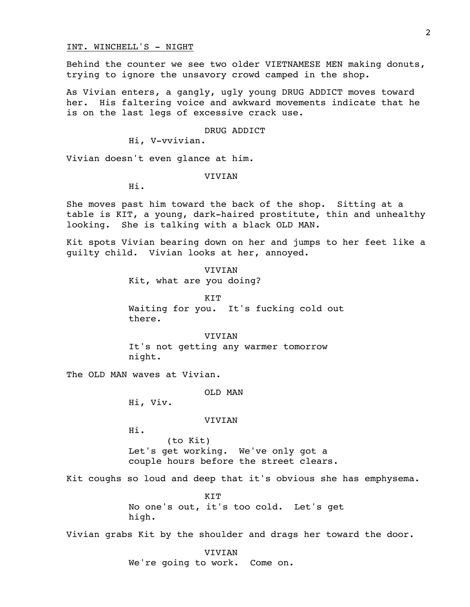## INT. WINCHELL'S - NIGHT

Behind the counter we see two older VIETNAMESE MEN making donuts, trying to ignore the unsavory crowd camped in the shop.

As Vivian enters, a gangly, ugly young DRUG ADDICT moves toward her. His faltering voice and awkward movements indicate that he is on the last legs of excessive crack use.

DRUG ADDICT

Hi, V-vvivian.

Vivian doesn't even glance at him.

VIVIAN

Hi.

She moves past him toward the back of the shop. Sitting at a table is KIT, a young, dark-haired prostitute, thin and unhealthy looking. She is talking with a black OLD MAN.

Kit spots Vivian bearing down on her and jumps to her feet like a guilty child. Vivian looks at her, annoyed.

> VIVIAN Kit, what are you doing?

KIT Waiting for you. It's fucking cold out there.

VIVIAN It's not getting any warmer tomorrow night.

The OLD MAN waves at Vivian.

OLD MAN

Hi, Viv.

VIVIAN

Hi.

(to Kit) Let's get working. We've only got a couple hours before the street clears.

Kit coughs so loud and deep that it's obvious she has emphysema.

**KTT** No one's out, it's too cold. Let's get high.

Vivian grabs Kit by the shoulder and drags her toward the door.

VIVIAN We're going to work. Come on.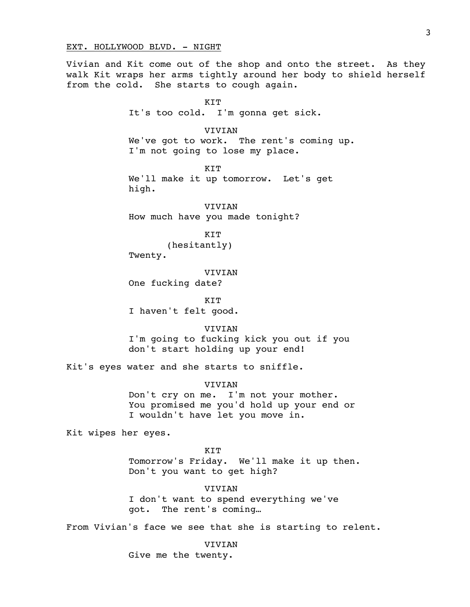### EXT. HOLLYWOOD BLVD. - NIGHT

Vivian and Kit come out of the shop and onto the street. As they walk Kit wraps her arms tightly around her body to shield herself from the cold. She starts to cough again.

> KIT It's too cold. I'm gonna get sick.

VIVIAN We've got to work. The rent's coming up. I'm not going to lose my place.

**KTT** We'll make it up tomorrow. Let's get high.

VIVIAN How much have you made tonight?

> KIT (hesitantly)

Twenty.

VIVIAN

One fucking date?

KIT I haven't felt good.

VIVIAN I'm going to fucking kick you out if you don't start holding up your end!

Kit's eyes water and she starts to sniffle.

VIVIAN

Don't cry on me. I'm not your mother. You promised me you'd hold up your end or I wouldn't have let you move in.

Kit wipes her eyes.

KIT Tomorrow's Friday. We'll make it up then. Don't you want to get high?

VIVIAN I don't want to spend everything we've got. The rent's coming…

From Vivian's face we see that she is starting to relent.

VIVIAN

Give me the twenty.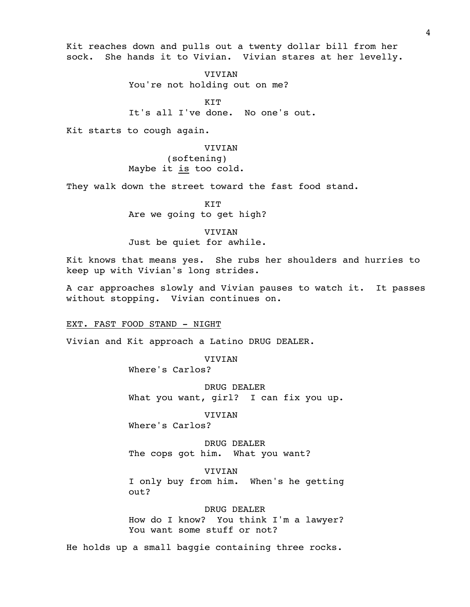Kit reaches down and pulls out a twenty dollar bill from her sock. She hands it to Vivian. Vivian stares at her levelly.

> VIVIAN You're not holding out on me?

KIT It's all I've done. No one's out.

Kit starts to cough again.

VIVIAN (softening) Maybe it is too cold.

They walk down the street toward the fast food stand.

**KTT** Are we going to get high?

VIVIAN Just be quiet for awhile.

Kit knows that means yes. She rubs her shoulders and hurries to keep up with Vivian's long strides.

A car approaches slowly and Vivian pauses to watch it. It passes without stopping. Vivian continues on.

EXT. FAST FOOD STAND - NIGHT

Vivian and Kit approach a Latino DRUG DEALER.

VIVIAN

Where's Carlos?

DRUG DEALER What you want, girl? I can fix you up.

**VIVIAN** 

Where's Carlos?

DRUG DEALER The cops got him. What you want?

VIVIAN I only buy from him. When's he getting out?

DRUG DEALER How do I know? You think I'm a lawyer? You want some stuff or not?

He holds up a small baggie containing three rocks.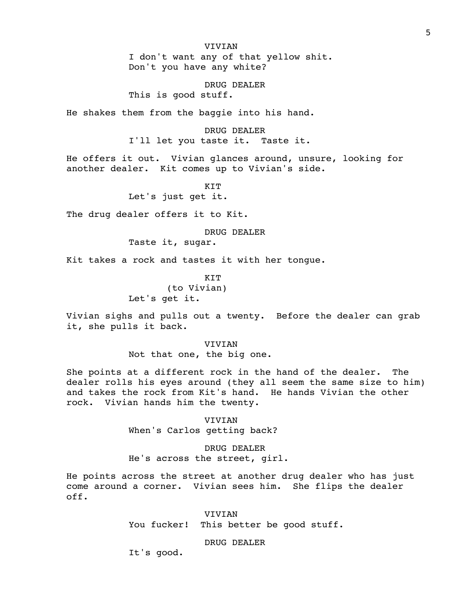I don't want any of that yellow shit. Don't you have any white?

DRUG DEALER

This is good stuff.

He shakes them from the baggie into his hand.

DRUG DEALER I'll let you taste it. Taste it.

He offers it out. Vivian glances around, unsure, looking for another dealer. Kit comes up to Vivian's side.

KIT

Let's just get it.

The drug dealer offers it to Kit.

DRUG DEALER

Taste it, sugar.

Kit takes a rock and tastes it with her tongue.

KIT

(to Vivian) Let's get it.

Vivian sighs and pulls out a twenty. Before the dealer can grab it, she pulls it back.

VIVIAN

Not that one, the big one.

She points at a different rock in the hand of the dealer. The dealer rolls his eyes around (they all seem the same size to him) and takes the rock from Kit's hand. He hands Vivian the other rock. Vivian hands him the twenty.

> VIVIAN When's Carlos getting back?

DRUG DEALER He's across the street, girl.

He points across the street at another drug dealer who has just come around a corner. Vivian sees him. She flips the dealer off.

> VIVIAN You fucker! This better be good stuff.

> > DRUG DEALER

It's good.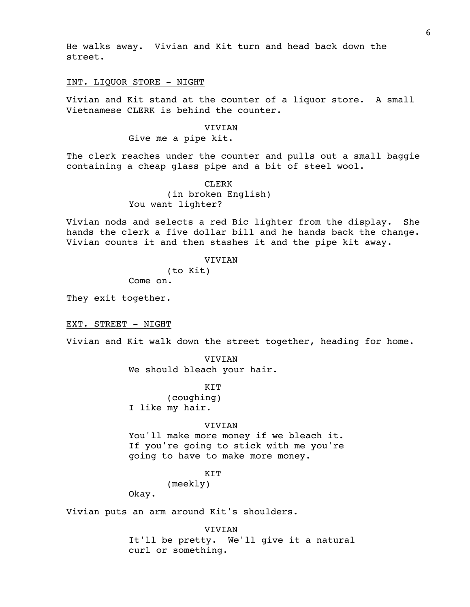He walks away. Vivian and Kit turn and head back down the street.

#### INT. LIQUOR STORE - NIGHT

Vivian and Kit stand at the counter of a liquor store. A small Vietnamese CLERK is behind the counter.

# VIVIAN

## Give me a pipe kit.

The clerk reaches under the counter and pulls out a small baggie containing a cheap glass pipe and a bit of steel wool.

> CLERK (in broken English) You want lighter?

Vivian nods and selects a red Bic lighter from the display. She hands the clerk a five dollar bill and he hands back the change. Vivian counts it and then stashes it and the pipe kit away.

### VIVIAN

(to Kit)

Come on.

They exit together.

EXT. STREET - NIGHT

Vivian and Kit walk down the street together, heading for home.

VIVIAN We should bleach your hair.

KIT

(coughing) I like my hair.

#### VIVIAN

You'll make more money if we bleach it. If you're going to stick with me you're going to have to make more money.

## **KTT**

(meekly)

Okay.

Vivian puts an arm around Kit's shoulders.

VIVIAN It'll be pretty. We'll give it a natural curl or something.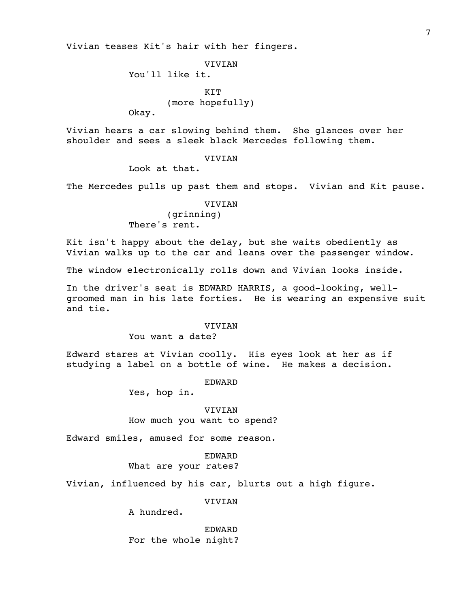Vivian teases Kit's hair with her fingers.

VIVIAN

You'll like it.

**KTT** (more hopefully)

Okay.

Vivian hears a car slowing behind them. She glances over her shoulder and sees a sleek black Mercedes following them.

### **VIVIAN**

Look at that.

The Mercedes pulls up past them and stops. Vivian and Kit pause.

### VIVIAN

(grinning) There's rent.

Kit isn't happy about the delay, but she waits obediently as Vivian walks up to the car and leans over the passenger window.

The window electronically rolls down and Vivian looks inside.

In the driver's seat is EDWARD HARRIS, a good-looking, wellgroomed man in his late forties. He is wearing an expensive suit and tie.

#### **VIVIAN**

You want a date?

Edward stares at Vivian coolly. His eyes look at her as if studying a label on a bottle of wine. He makes a decision.

EDWARD

Yes, hop in.

### VIVIAN

How much you want to spend?

Edward smiles, amused for some reason.

## EDWARD

What are your rates?

Vivian, influenced by his car, blurts out a high figure.

VIVIAN

A hundred.

EDWARD For the whole night?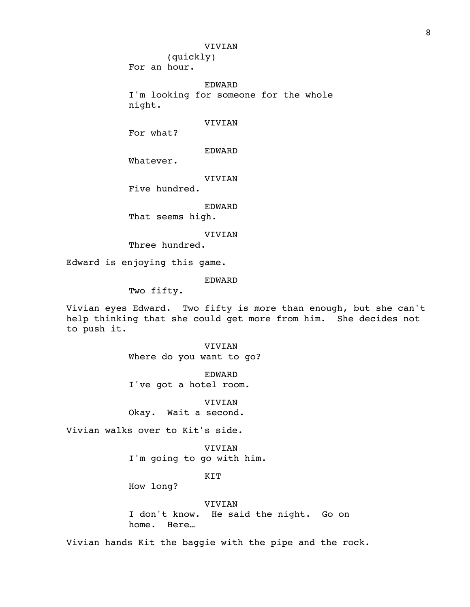(quickly) For an hour.

EDWARD

I'm looking for someone for the whole night.

### VIVIAN

For what?

EDWARD

Whatever.

VIVIAN

Five hundred.

EDWARD

That seems high.

VIVIAN

Three hundred.

Edward is enjoying this game.

EDWARD

Two fifty.

Vivian eyes Edward. Two fifty is more than enough, but she can't help thinking that she could get more from him. She decides not to push it.

> VIVIAN Where do you want to go?

EDWARD I've got a hotel room.

VIVIAN Okay. Wait a second.

Vivian walks over to Kit's side.

VIVIAN I'm going to go with him.

## KIT

How long?

VIVIAN I don't know. He said the night. Go on home. Here…

Vivian hands Kit the baggie with the pipe and the rock.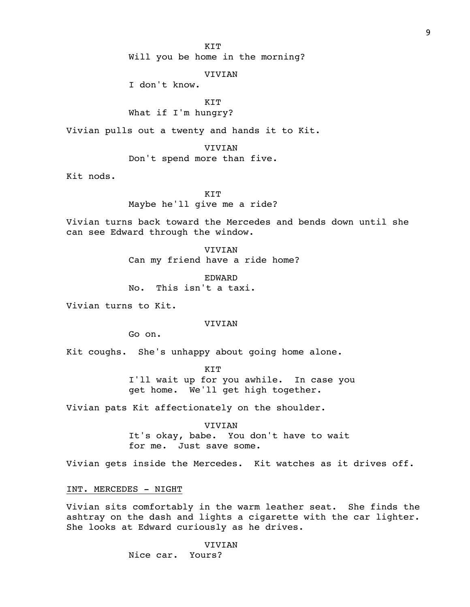KIT

Will you be home in the morning?

## VIVIAN

I don't know.

KIT

## What if I'm hungry?

Vivian pulls out a twenty and hands it to Kit.

VIVIAN

Don't spend more than five.

Kit nods.

KIT Maybe he'll give me a ride?

Vivian turns back toward the Mercedes and bends down until she can see Edward through the window.

> VIVIAN Can my friend have a ride home?

EDWARD No. This isn't a taxi.

Vivian turns to Kit.

#### VIVIAN

Go on.

Kit coughs. She's unhappy about going home alone.

KIT I'll wait up for you awhile. In case you get home. We'll get high together.

Vivian pats Kit affectionately on the shoulder.

VIVIAN It's okay, babe. You don't have to wait for me. Just save some.

Vivian gets inside the Mercedes. Kit watches as it drives off.

INT. MERCEDES - NIGHT

Vivian sits comfortably in the warm leather seat. She finds the ashtray on the dash and lights a cigarette with the car lighter. She looks at Edward curiously as he drives.

VIVIAN

Nice car. Yours?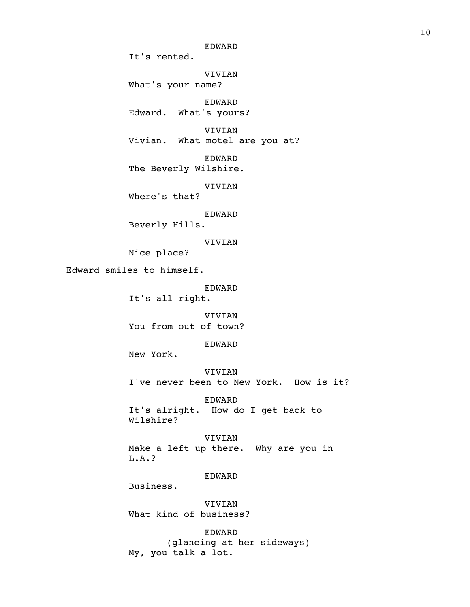EDWARD It's rented. VIVIAN What's your name? EDWARD Edward. What's yours? VIVIAN Vivian. What motel are you at? EDWARD The Beverly Wilshire. VIVIAN Where's that? EDWARD Beverly Hills. VIVIAN Nice place? Edward smiles to himself. EDWARD It's all right. VIVIAN You from out of town? EDWARD New York. VIVIAN I've never been to New York. How is it? EDWARD It's alright. How do I get back to Wilshire? VIVIAN Make a left up there. Why are you in L.A.? EDWARD Business. VIVIAN What kind of business? EDWARD (glancing at her sideways) My, you talk a lot.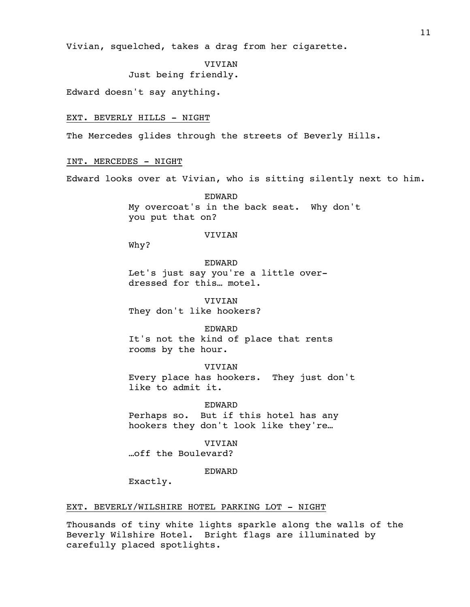Vivian, squelched, takes a drag from her cigarette.

VIVIAN

Just being friendly.

Edward doesn't say anything.

## EXT. BEVERLY HILLS - NIGHT

The Mercedes glides through the streets of Beverly Hills.

## INT. MERCEDES - NIGHT

Edward looks over at Vivian, who is sitting silently next to him.

EDWARD My overcoat's in the back seat. Why don't you put that on?

#### VIVIAN

Why?

### EDWARD

Let's just say you're a little overdressed for this… motel.

VIVIAN They don't like hookers?

# EDWARD

It's not the kind of place that rents rooms by the hour.

VIVIAN Every place has hookers. They just don't like to admit it.

#### EDWARD

Perhaps so. But if this hotel has any hookers they don't look like they're…

# VIVIAN

…off the Boulevard?

#### EDWARD

Exactly.

### EXT. BEVERLY/WILSHIRE HOTEL PARKING LOT - NIGHT

Thousands of tiny white lights sparkle along the walls of the Beverly Wilshire Hotel. Bright flags are illuminated by carefully placed spotlights.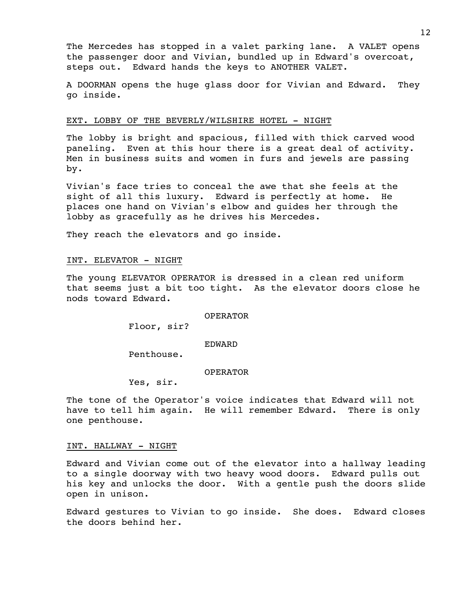The Mercedes has stopped in a valet parking lane. A VALET opens the passenger door and Vivian, bundled up in Edward's overcoat, steps out. Edward hands the keys to ANOTHER VALET.

A DOORMAN opens the huge glass door for Vivian and Edward. They go inside.

#### EXT. LOBBY OF THE BEVERLY/WILSHIRE HOTEL - NIGHT

The lobby is bright and spacious, filled with thick carved wood paneling. Even at this hour there is a great deal of activity. Men in business suits and women in furs and jewels are passing by.

Vivian's face tries to conceal the awe that she feels at the sight of all this luxury. Edward is perfectly at home. He places one hand on Vivian's elbow and guides her through the lobby as gracefully as he drives his Mercedes.

They reach the elevators and go inside.

#### INT. ELEVATOR - NIGHT

The young ELEVATOR OPERATOR is dressed in a clean red uniform that seems just a bit too tight. As the elevator doors close he nods toward Edward.

#### OPERATOR

Floor, sir?

#### EDWARD

Penthouse.

#### OPERATOR

Yes, sir.

The tone of the Operator's voice indicates that Edward will not have to tell him again. He will remember Edward. There is only one penthouse.

#### INT. HALLWAY - NIGHT

Edward and Vivian come out of the elevator into a hallway leading to a single doorway with two heavy wood doors. Edward pulls out his key and unlocks the door. With a gentle push the doors slide open in unison.

Edward gestures to Vivian to go inside. She does. Edward closes the doors behind her.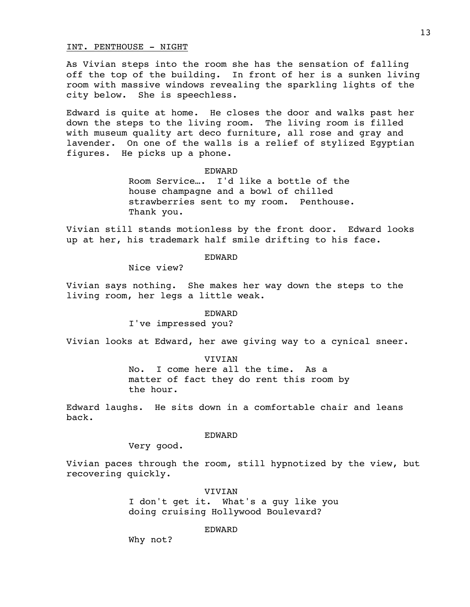## INT. PENTHOUSE - NIGHT

As Vivian steps into the room she has the sensation of falling off the top of the building. In front of her is a sunken living room with massive windows revealing the sparkling lights of the city below. She is speechless.

Edward is quite at home. He closes the door and walks past her down the steps to the living room. The living room is filled with museum quality art deco furniture, all rose and gray and lavender. On one of the walls is a relief of stylized Egyptian figures. He picks up a phone.

### EDWARD

Room Service…. I'd like a bottle of the house champagne and a bowl of chilled strawberries sent to my room. Penthouse. Thank you.

Vivian still stands motionless by the front door. Edward looks up at her, his trademark half smile drifting to his face.

## EDWARD

Nice view?

Vivian says nothing. She makes her way down the steps to the living room, her legs a little weak.

#### EDWARD

I've impressed you?

Vivian looks at Edward, her awe giving way to a cynical sneer.

VIVIAN No. I come here all the time. As a matter of fact they do rent this room by the hour.

Edward laughs. He sits down in a comfortable chair and leans back.

### EDWARD

Very good.

Vivian paces through the room, still hypnotized by the view, but recovering quickly.

VIVIAN

I don't get it. What's a guy like you doing cruising Hollywood Boulevard?

### EDWARD

Why not?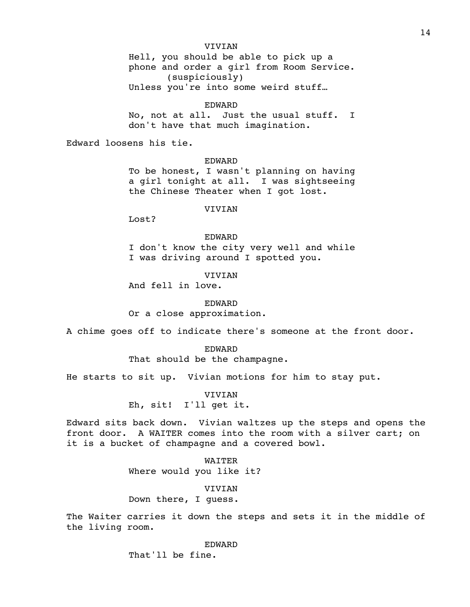Hell, you should be able to pick up a phone and order a girl from Room Service. (suspiciously) Unless you're into some weird stuff…

#### EDWARD

No, not at all. Just the usual stuff. I don't have that much imagination.

Edward loosens his tie.

#### EDWARD

To be honest, I wasn't planning on having a girl tonight at all. I was sightseeing the Chinese Theater when I got lost.

### VIVIAN

Lost?

EDWARD I don't know the city very well and while I was driving around I spotted you.

VIVIAN

And fell in love.

EDWARD

Or a close approximation.

A chime goes off to indicate there's someone at the front door.

#### EDWARD

That should be the champagne.

He starts to sit up. Vivian motions for him to stay put.

VIVIAN Eh, sit! I'll get it.

Edward sits back down. Vivian waltzes up the steps and opens the front door. A WAITER comes into the room with a silver cart; on it is a bucket of champagne and a covered bowl.

> WAITER Where would you like it?

## VIVIAN

Down there, I guess.

The Waiter carries it down the steps and sets it in the middle of the living room.

EDWARD

That'll be fine.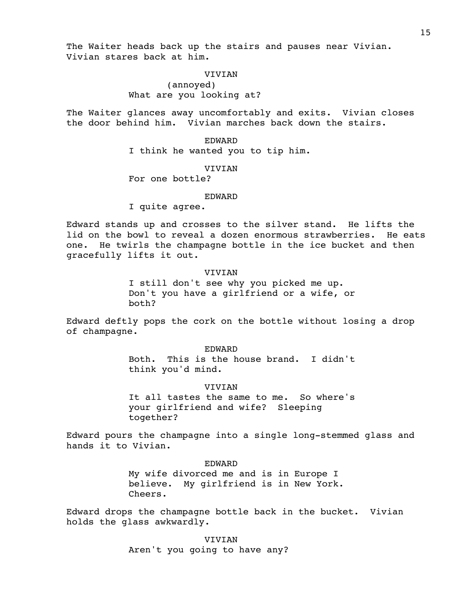The Waiter heads back up the stairs and pauses near Vivian. Vivian stares back at him.

> **VIVIAN** (annoyed) What are you looking at?

The Waiter glances away uncomfortably and exits. Vivian closes the door behind him. Vivian marches back down the stairs.

> EDWARD I think he wanted you to tip him.

> > **VIVIAN**

For one bottle?

#### EDWARD

I quite agree.

Edward stands up and crosses to the silver stand. He lifts the lid on the bowl to reveal a dozen enormous strawberries. He eats one. He twirls the champagne bottle in the ice bucket and then gracefully lifts it out.

#### VIVIAN

I still don't see why you picked me up. Don't you have a girlfriend or a wife, or both?

Edward deftly pops the cork on the bottle without losing a drop of champagne.

#### EDWARD

Both. This is the house brand. I didn't think you'd mind.

### **VIVIAN**

It all tastes the same to me. So where's your girlfriend and wife? Sleeping together?

Edward pours the champagne into a single long-stemmed glass and hands it to Vivian.

EDWARD

My wife divorced me and is in Europe I believe. My girlfriend is in New York. Cheers.

Edward drops the champagne bottle back in the bucket. Vivian holds the glass awkwardly.

> VIVIAN Aren't you going to have any?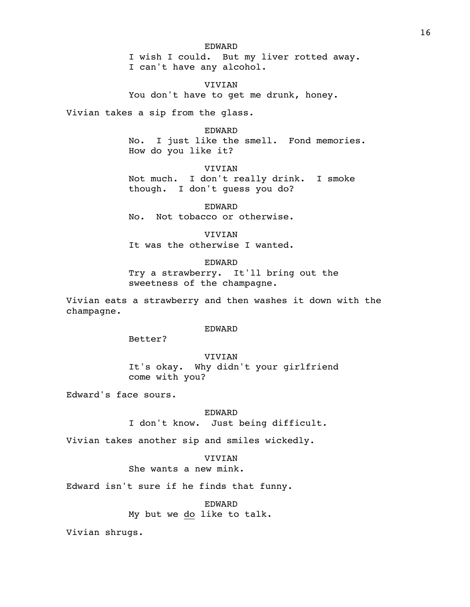EDWARD I wish I could. But my liver rotted away. I can't have any alcohol.

VIVIAN You don't have to get me drunk, honey.

Vivian takes a sip from the glass.

### EDWARD

No. I just like the smell. Fond memories. How do you like it?

**VIVIAN** Not much. I don't really drink. I smoke though. I don't guess you do?

EDWARD No. Not tobacco or otherwise.

VIVIAN It was the otherwise I wanted.

EDWARD

Try a strawberry. It'll bring out the sweetness of the champagne.

Vivian eats a strawberry and then washes it down with the champagne.

EDWARD

Better?

VIVIAN It's okay. Why didn't your girlfriend come with you?

Edward's face sours.

EDWARD

I don't know. Just being difficult.

Vivian takes another sip and smiles wickedly.

VIVIAN

She wants a new mink.

Edward isn't sure if he finds that funny.

EDWARD My but we do like to talk.

Vivian shrugs.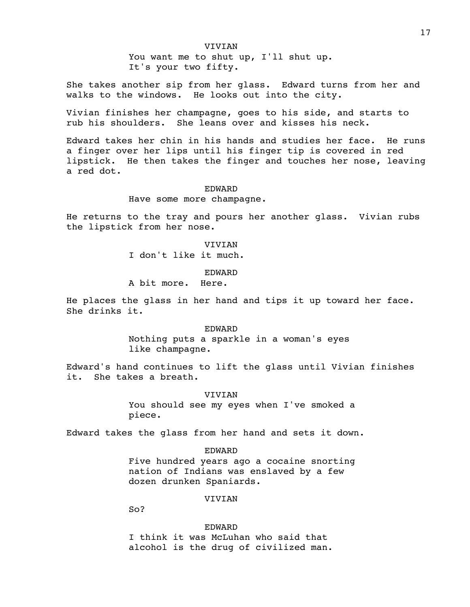You want me to shut up, I'll shut up. It's your two fifty.

She takes another sip from her glass. Edward turns from her and walks to the windows. He looks out into the city.

Vivian finishes her champagne, goes to his side, and starts to rub his shoulders. She leans over and kisses his neck.

Edward takes her chin in his hands and studies her face. He runs a finger over her lips until his finger tip is covered in red lipstick. He then takes the finger and touches her nose, leaving a red dot.

#### EDWARD

#### Have some more champagne.

He returns to the tray and pours her another glass. Vivian rubs the lipstick from her nose.

> VIVIAN I don't like it much.

> > EDWARD

A bit more. Here.

He places the glass in her hand and tips it up toward her face. She drinks it.

> EDWARD Nothing puts a sparkle in a woman's eyes like champagne.

Edward's hand continues to lift the glass until Vivian finishes it. She takes a breath.

#### VIVIAN

You should see my eyes when I've smoked a piece.

Edward takes the glass from her hand and sets it down.

#### EDWARD

Five hundred years ago a cocaine snorting nation of Indians was enslaved by a few dozen drunken Spaniards.

#### VIVIAN

So?

EDWARD

I think it was McLuhan who said that alcohol is the drug of civilized man.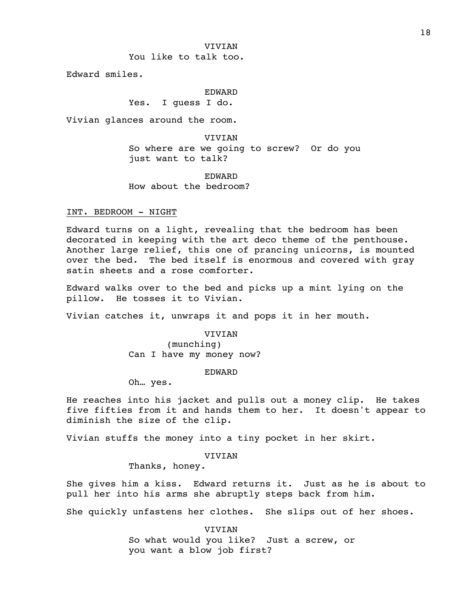You like to talk too.

Edward smiles.

#### EDWARD

Yes. I guess I do.

Vivian glances around the room.

VIVIAN

So where are we going to screw? Or do you just want to talk?

EDWARD How about the bedroom?

INT. BEDROOM - NIGHT

Edward turns on a light, revealing that the bedroom has been decorated in keeping with the art deco theme of the penthouse. Another large relief, this one of prancing unicorns, is mounted over the bed. The bed itself is enormous and covered with gray satin sheets and a rose comforter.

Edward walks over to the bed and picks up a mint lying on the pillow. He tosses it to Vivian.

Vivian catches it, unwraps it and pops it in her mouth.

VIVIAN

(munching) Can I have my money now?

EDWARD

Oh… yes.

He reaches into his jacket and pulls out a money clip. He takes five fifties from it and hands them to her. It doesn't appear to diminish the size of the clip.

Vivian stuffs the money into a tiny pocket in her skirt.

VIVIAN

Thanks, honey.

She gives him a kiss. Edward returns it. Just as he is about to pull her into his arms she abruptly steps back from him.

She quickly unfastens her clothes. She slips out of her shoes.

VIVIAN So what would you like? Just a screw, or you want a blow job first?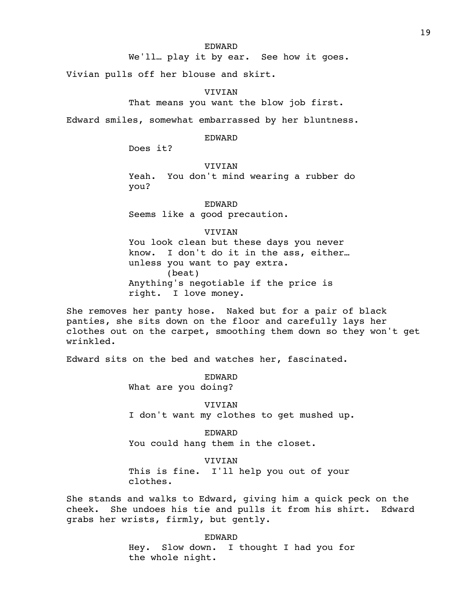#### EDWARD

We'll… play it by ear. See how it goes.

Vivian pulls off her blouse and skirt.

#### VIVIAN

That means you want the blow job first.

Edward smiles, somewhat embarrassed by her bluntness.

### EDWARD

Does it?

## VIVIAN

Yeah. You don't mind wearing a rubber do you?

EDWARD Seems like a good precaution.

## VIVIAN

You look clean but these days you never know. I don't do it in the ass, either… unless you want to pay extra. (beat) Anything's negotiable if the price is right. I love money.

She removes her panty hose. Naked but for a pair of black panties, she sits down on the floor and carefully lays her clothes out on the carpet, smoothing them down so they won't get wrinkled.

Edward sits on the bed and watches her, fascinated.

EDWARD What are you doing?

VIVIAN I don't want my clothes to get mushed up.

EDWARD You could hang them in the closet.

VIVIAN This is fine. I'll help you out of your clothes.

She stands and walks to Edward, giving him a quick peck on the cheek. She undoes his tie and pulls it from his shirt. Edward grabs her wrists, firmly, but gently.

> EDWARD Hey. Slow down. I thought I had you for the whole night.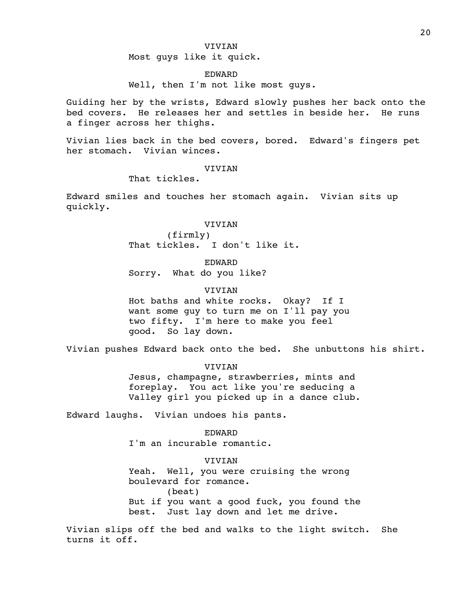Most guys like it quick.

#### EDWARD

Well, then I'm not like most guys.

Guiding her by the wrists, Edward slowly pushes her back onto the bed covers. He releases her and settles in beside her. He runs a finger across her thighs.

Vivian lies back in the bed covers, bored. Edward's fingers pet her stomach. Vivian winces.

## **VIVIAN**

That tickles.

Edward smiles and touches her stomach again. Vivian sits up quickly.

#### VIVIAN

(firmly) That tickles. I don't like it.

EDWARD

Sorry. What do you like?

## **VIVIAN**

Hot baths and white rocks. Okay? If I want some guy to turn me on I'll pay you two fifty. I'm here to make you feel good. So lay down.

Vivian pushes Edward back onto the bed. She unbuttons his shirt.

#### VIVIAN

Jesus, champagne, strawberries, mints and foreplay. You act like you're seducing a Valley girl you picked up in a dance club.

Edward laughs. Vivian undoes his pants.

EDWARD I'm an incurable romantic.

VIVIAN

Yeah. Well, you were cruising the wrong boulevard for romance. (beat) But if you want a good fuck, you found the

best. Just lay down and let me drive.

Vivian slips off the bed and walks to the light switch. She turns it off.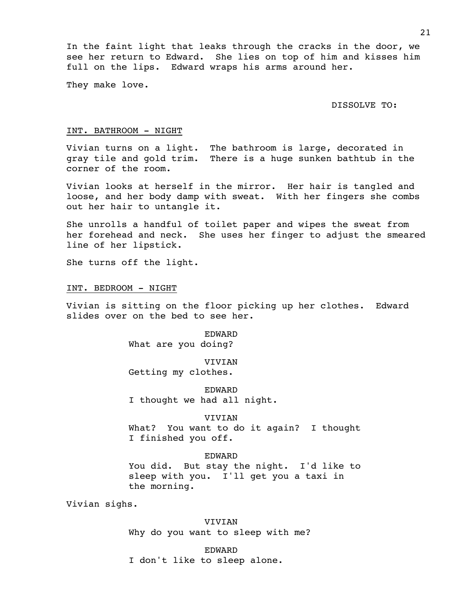In the faint light that leaks through the cracks in the door, we see her return to Edward. She lies on top of him and kisses him full on the lips. Edward wraps his arms around her.

They make love.

DISSOLVE TO:

#### INT. BATHROOM - NIGHT

Vivian turns on a light. The bathroom is large, decorated in gray tile and gold trim. There is a huge sunken bathtub in the corner of the room.

Vivian looks at herself in the mirror. Her hair is tangled and loose, and her body damp with sweat. With her fingers she combs out her hair to untangle it.

She unrolls a handful of toilet paper and wipes the sweat from her forehead and neck. She uses her finger to adjust the smeared line of her lipstick.

She turns off the light.

INT. BEDROOM - NIGHT

Vivian is sitting on the floor picking up her clothes. Edward slides over on the bed to see her.

> EDWARD What are you doing?

> > VIVIAN

Getting my clothes.

EDWARD I thought we had all night.

#### VIVIAN

What? You want to do it again? I thought I finished you off.

## EDWARD

You did. But stay the night. I'd like to sleep with you. I'll get you a taxi in the morning.

Vivian sighs.

VIVIAN Why do you want to sleep with me?

EDWARD I don't like to sleep alone.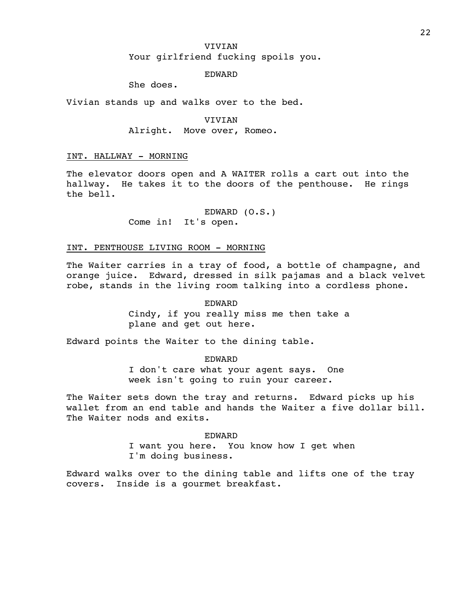## VIVIAN Your girlfriend fucking spoils you.

## EDWARD

She does.

Vivian stands up and walks over to the bed.

**VIVIAN** Alright. Move over, Romeo.

## INT. HALLWAY - MORNING

The elevator doors open and A WAITER rolls a cart out into the hallway. He takes it to the doors of the penthouse. He rings the bell.

> EDWARD (O.S.) Come in! It's open.

### INT. PENTHOUSE LIVING ROOM - MORNING

The Waiter carries in a tray of food, a bottle of champagne, and orange juice. Edward, dressed in silk pajamas and a black velvet robe, stands in the living room talking into a cordless phone.

> EDWARD Cindy, if you really miss me then take a plane and get out here.

Edward points the Waiter to the dining table.

EDWARD I don't care what your agent says. One week isn't going to ruin your career.

The Waiter sets down the tray and returns. Edward picks up his wallet from an end table and hands the Waiter a five dollar bill. The Waiter nods and exits.

> EDWARD I want you here. You know how I get when I'm doing business.

Edward walks over to the dining table and lifts one of the tray covers. Inside is a gourmet breakfast.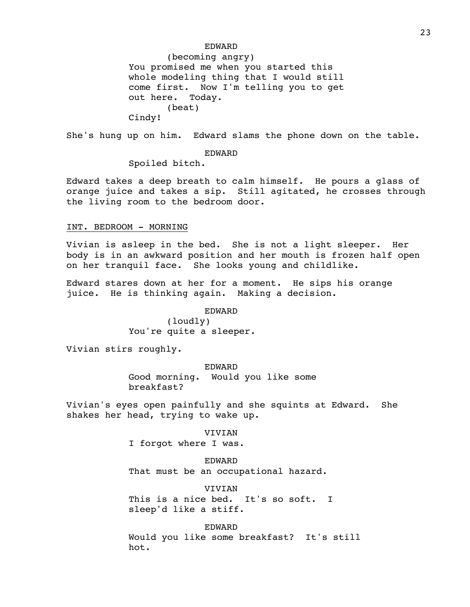### EDWARD

(becoming angry) You promised me when you started this whole modeling thing that I would still come first. Now I'm telling you to get out here. Today. (beat) Cindy!

She's hung up on him. Edward slams the phone down on the table.

### EDWARD

Spoiled bitch.

Edward takes a deep breath to calm himself. He pours a glass of orange juice and takes a sip. Still agitated, he crosses through the living room to the bedroom door.

## INT. BEDROOM - MORNING

Vivian is asleep in the bed. She is not a light sleeper. Her body is in an awkward position and her mouth is frozen half open on her tranquil face. She looks young and childlike.

Edward stares down at her for a moment. He sips his orange juice. He is thinking again. Making a decision.

EDWARD

(loudly) You're quite a sleeper.

Vivian stirs roughly.

## EDWARD Good morning. Would you like some breakfast?

Vivian's eyes open painfully and she squints at Edward. She shakes her head, trying to wake up.

> VIVIAN I forgot where I was.

EDWARD That must be an occupational hazard.

VIVIAN This is a nice bed. It's so soft. I sleep'd like a stiff.

EDWARD Would you like some breakfast? It's still hot.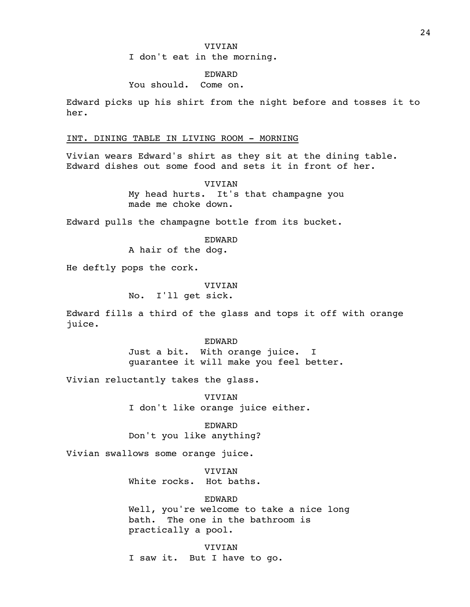I don't eat in the morning.

### EDWARD

## You should. Come on.

Edward picks up his shirt from the night before and tosses it to her.

### INT. DINING TABLE IN LIVING ROOM - MORNING

Vivian wears Edward's shirt as they sit at the dining table. Edward dishes out some food and sets it in front of her.

VIVIAN

My head hurts. It's that champagne you made me choke down.

Edward pulls the champagne bottle from its bucket.

EDWARD

A hair of the dog.

He deftly pops the cork.

### VIVIAN

No. I'll get sick.

Edward fills a third of the glass and tops it off with orange juice.

> EDWARD Just a bit. With orange juice. I guarantee it will make you feel better.

Vivian reluctantly takes the glass.

VIVIAN I don't like orange juice either.

EDWARD Don't you like anything?

Vivian swallows some orange juice.

VIVIAN White rocks. Hot baths.

EDWARD

Well, you're welcome to take a nice long bath. The one in the bathroom is practically a pool.

VIVIAN I saw it. But I have to go.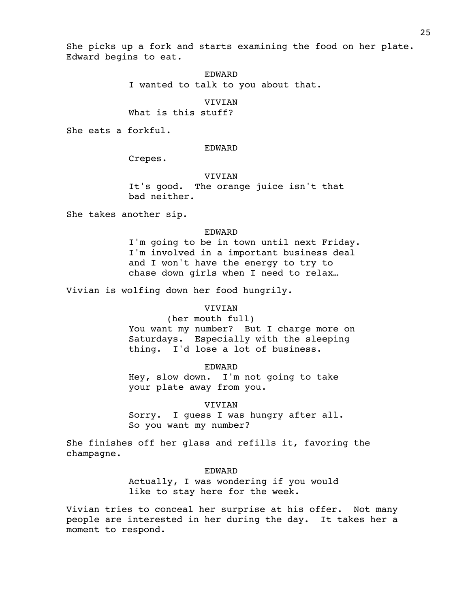She picks up a fork and starts examining the food on her plate. Edward begins to eat.

EDWARD

I wanted to talk to you about that.

VIVIAN

What is this stuff?

She eats a forkful.

### EDWARD

Crepes.

### VIVIAN

It's good. The orange juice isn't that bad neither.

She takes another sip.

### EDWARD

I'm going to be in town until next Friday. I'm involved in a important business deal and I won't have the energy to try to chase down girls when I need to relax…

Vivian is wolfing down her food hungrily.

### VIVIAN

(her mouth full)

You want my number? But I charge more on Saturdays. Especially with the sleeping thing. I'd lose a lot of business.

EDWARD

Hey, slow down. I'm not going to take your plate away from you.

VIVIAN

Sorry. I guess I was hungry after all. So you want my number?

She finishes off her glass and refills it, favoring the champagne.

#### EDWARD

Actually, I was wondering if you would like to stay here for the week.

Vivian tries to conceal her surprise at his offer. Not many people are interested in her during the day. It takes her a moment to respond.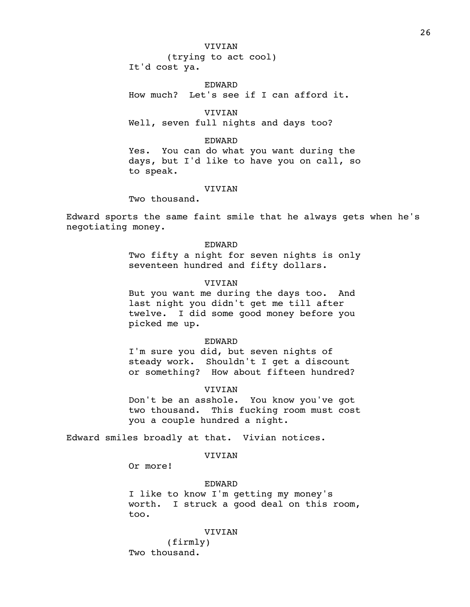(trying to act cool) It'd cost ya.

EDWARD How much? Let's see if I can afford it.

VIVIAN Well, seven full nights and days too?

EDWARD

Yes. You can do what you want during the days, but I'd like to have you on call, so to speak.

### **VIVIAN**

Two thousand.

Edward sports the same faint smile that he always gets when he's negotiating money.

> EDWARD Two fifty a night for seven nights is only seventeen hundred and fifty dollars.

## VIVIAN

But you want me during the days too. And last night you didn't get me till after twelve. I did some good money before you picked me up.

#### EDWARD

I'm sure you did, but seven nights of steady work. Shouldn't I get a discount or something? How about fifteen hundred?

## VIVIAN

Don't be an asshole. You know you've got two thousand. This fucking room must cost you a couple hundred a night.

Edward smiles broadly at that. Vivian notices.

## VIVIAN

Or more!

### EDWARD

I like to know I'm getting my money's worth. I struck a good deal on this room, too.

#### VIVIAN

(firmly) Two thousand.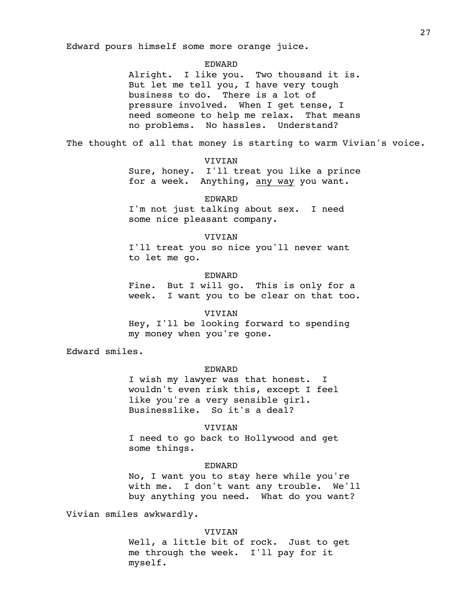Edward pours himself some more orange juice.

#### EDWARD

Alright. I like you. Two thousand it is. But let me tell you, I have very tough business to do. There is a lot of pressure involved. When I get tense, I need someone to help me relax. That means no problems. No hassles. Understand?

The thought of all that money is starting to warm Vivian's voice.

## VIVIAN

Sure, honey. I'll treat you like a prince for a week. Anything, any way you want.

EDWARD I'm not just talking about sex. I need some nice pleasant company.

## VIVIAN I'll treat you so nice you'll never want to let me go.

#### EDWARD

Fine. But I will go. This is only for a week. I want you to be clear on that too.

#### **VIVIAN**

Hey, I'll be looking forward to spending my money when you're gone.

Edward smiles.

### EDWARD

I wish my lawyer was that honest. I wouldn't even risk this, except I feel like you're a very sensible girl. Businesslike. So it's a deal?

#### **VIVIAN**

I need to go back to Hollywood and get some things.

### EDWARD

No, I want you to stay here while you're with me. I don't want any trouble. We'll buy anything you need. What do you want?

Vivian smiles awkwardly.

#### VIVIAN

Well, a little bit of rock. Just to get me through the week. I'll pay for it myself.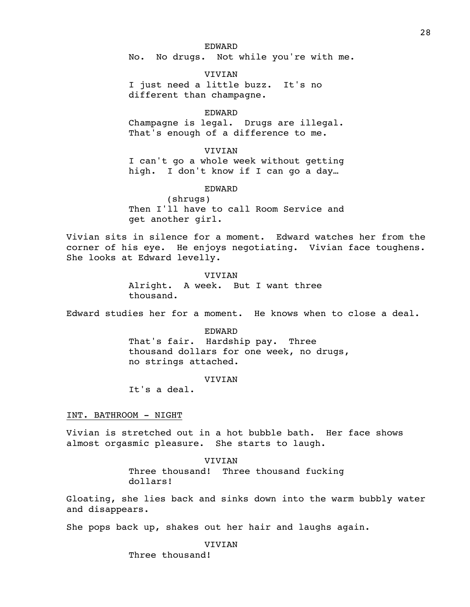EDWARD No. No drugs. Not while you're with me.

VIVIAN I just need a little buzz. It's no different than champagne.

### EDWARD

Champagne is legal. Drugs are illegal. That's enough of a difference to me.

#### VIVIAN

I can't go a whole week without getting high. I don't know if I can go a day…

### EDWARD

(shrugs) Then I'll have to call Room Service and get another girl.

Vivian sits in silence for a moment. Edward watches her from the corner of his eye. He enjoys negotiating. Vivian face toughens. She looks at Edward levelly.

#### VIVIAN

Alright. A week. But I want three thousand.

Edward studies her for a moment. He knows when to close a deal.

## EDWARD That's fair. Hardship pay. Three thousand dollars for one week, no drugs, no strings attached.

### VIVIAN

It's a deal.

#### INT. BATHROOM - NIGHT

Vivian is stretched out in a hot bubble bath. Her face shows almost orgasmic pleasure. She starts to laugh.

> VIVIAN Three thousand! Three thousand fucking dollars!

Gloating, she lies back and sinks down into the warm bubbly water and disappears.

She pops back up, shakes out her hair and laughs again.

VIVIAN

Three thousand!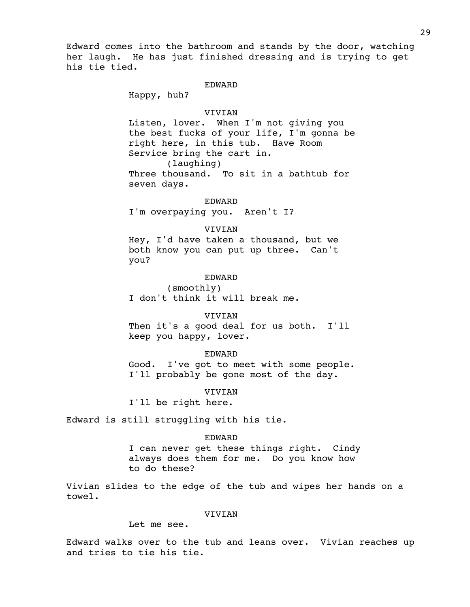Edward comes into the bathroom and stands by the door, watching her laugh. He has just finished dressing and is trying to get his tie tied.

### EDWARD

Happy, huh?

#### VIVIAN

Listen, lover. When I'm not giving you the best fucks of your life, I'm gonna be right here, in this tub. Have Room Service bring the cart in. (laughing) Three thousand. To sit in a bathtub for seven days.

EDWARD

I'm overpaying you. Aren't I?

#### **VIVIAN**

Hey, I'd have taken a thousand, but we both know you can put up three. Can't you?

#### EDWARD

(smoothly) I don't think it will break me.

#### VIVIAN

Then it's a good deal for us both. I'll keep you happy, lover.

#### EDWARD

Good. I've got to meet with some people. I'll probably be gone most of the day.

## VIVIAN

I'll be right here.

Edward is still struggling with his tie.

#### EDWARD

I can never get these things right. Cindy always does them for me. Do you know how to do these?

Vivian slides to the edge of the tub and wipes her hands on a towel.

### VIVIAN

Let me see.

Edward walks over to the tub and leans over. Vivian reaches up and tries to tie his tie.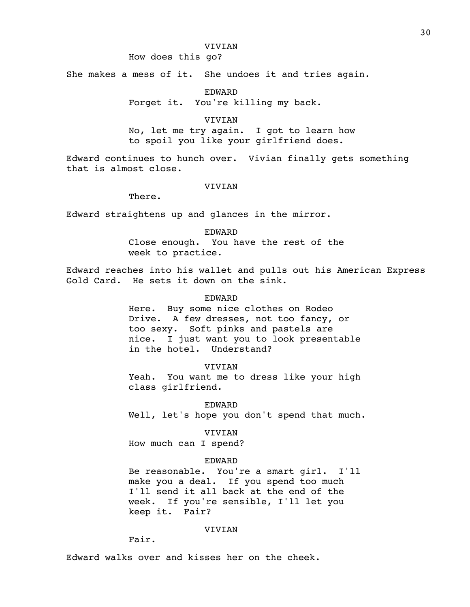## How does this go?

She makes a mess of it. She undoes it and tries again.

EDWARD

Forget it. You're killing my back.

**VIVIAN** No, let me try again. I got to learn how to spoil you like your girlfriend does.

Edward continues to hunch over. Vivian finally gets something that is almost close.

#### VIVIAN

There.

Edward straightens up and glances in the mirror.

EDWARD Close enough. You have the rest of the week to practice.

Edward reaches into his wallet and pulls out his American Express Gold Card. He sets it down on the sink.

### EDWARD

Here. Buy some nice clothes on Rodeo Drive. A few dresses, not too fancy, or too sexy. Soft pinks and pastels are nice. I just want you to look presentable in the hotel. Understand?

#### **VIVIAN**

Yeah. You want me to dress like your high class girlfriend.

EDWARD

Well, let's hope you don't spend that much.

VIVIAN

How much can I spend?

#### EDWARD

Be reasonable. You're a smart girl. I'll make you a deal. If you spend too much I'll send it all back at the end of the week. If you're sensible, I'll let you keep it. Fair?

VIVIAN

Fair.

Edward walks over and kisses her on the cheek.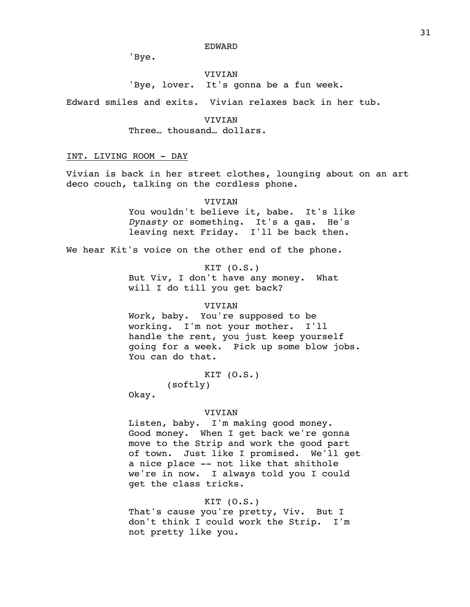EDWARD

'Bye.

VIVIAN 'Bye, lover. It's gonna be a fun week.

Edward smiles and exits. Vivian relaxes back in her tub.

**VIVIAN** Three… thousand… dollars.

## INT. LIVING ROOM - DAY

Vivian is back in her street clothes, lounging about on an art deco couch, talking on the cordless phone.

VIVIAN

You wouldn't believe it, babe. It's like *Dynasty* or something. It's a gas. He's leaving next Friday. I'll be back then.

We hear Kit's voice on the other end of the phone.

 $KIT (0.S.)$ 

But Viv, I don't have any money. What will I do till you get back?

### VIVIAN

Work, baby. You're supposed to be working. I'm not your mother. I'll handle the rent, you just keep yourself going for a week. Pick up some blow jobs. You can do that.

KIT (O.S.)

(softly)

Okay.

## VIVIAN

Listen, baby. I'm making good money. Good money. When I get back we're gonna move to the Strip and work the good part of town. Just like I promised. We'll get a nice place -- not like that shithole we're in now. I always told you I could get the class tricks.

## KIT (O.S.)

That's cause you're pretty, Viv. But I don't think I could work the Strip. I'm not pretty like you.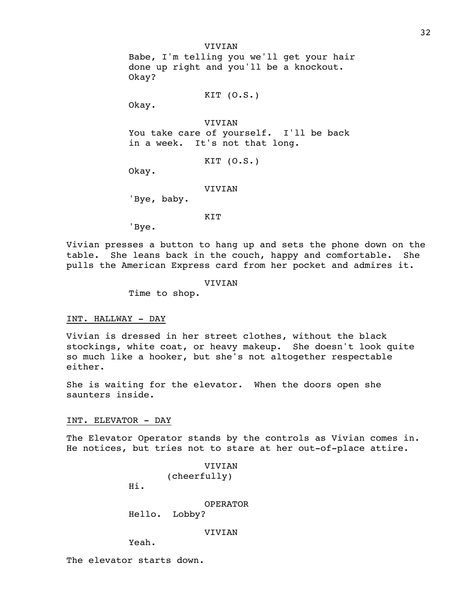VIVIAN Babe, I'm telling you we'll get your hair done up right and you'll be a knockout. Okay?

 $KIT (0.S.)$ 

Okay.

VIVIAN You take care of yourself. I'll be back in a week. It's not that long.

KIT (O.S.)

Okay.

VIVIAN

'Bye, baby.

#### **KTT**

'Bye.

Vivian presses a button to hang up and sets the phone down on the table. She leans back in the couch, happy and comfortable. She pulls the American Express card from her pocket and admires it.

### VIVIAN

Time to shop.

#### INT. HALLWAY - DAY

Vivian is dressed in her street clothes, without the black stockings, white coat, or heavy makeup. She doesn't look quite so much like a hooker, but she's not altogether respectable either.

She is waiting for the elevator. When the doors open she saunters inside.

#### INT. ELEVATOR - DAY

The Elevator Operator stands by the controls as Vivian comes in. He notices, but tries not to stare at her out-of-place attire.

```
VIVIAN
(cheerfully)
```
Hi.

OPERATOR

Hello. Lobby?

VIVIAN

Yeah.

The elevator starts down.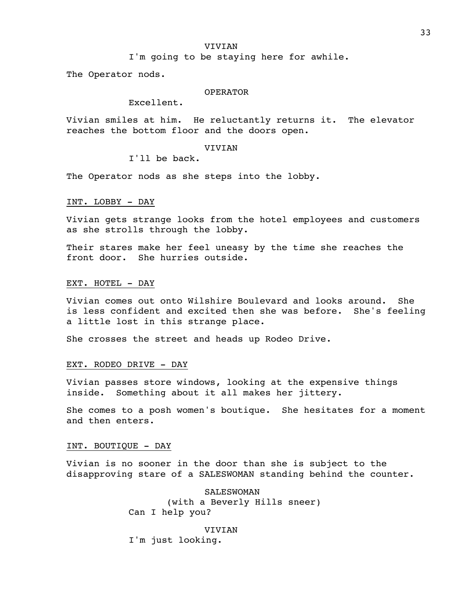I'm going to be staying here for awhile.

The Operator nods.

### OPERATOR

Excellent.

Vivian smiles at him. He reluctantly returns it. The elevator reaches the bottom floor and the doors open.

VIVIAN

I'll be back.

The Operator nods as she steps into the lobby.

### INT. LOBBY - DAY

Vivian gets strange looks from the hotel employees and customers as she strolls through the lobby.

Their stares make her feel uneasy by the time she reaches the front door. She hurries outside.

#### EXT. HOTEL - DAY

Vivian comes out onto Wilshire Boulevard and looks around. She is less confident and excited then she was before. She's feeling a little lost in this strange place.

She crosses the street and heads up Rodeo Drive.

## EXT. RODEO DRIVE - DAY

Vivian passes store windows, looking at the expensive things inside. Something about it all makes her jittery.

She comes to a posh women's boutique. She hesitates for a moment and then enters.

### INT. BOUTIQUE - DAY

Vivian is no sooner in the door than she is subject to the disapproving stare of a SALESWOMAN standing behind the counter.

> SALESWOMAN (with a Beverly Hills sneer) Can I help you?

VIVIAN I'm just looking.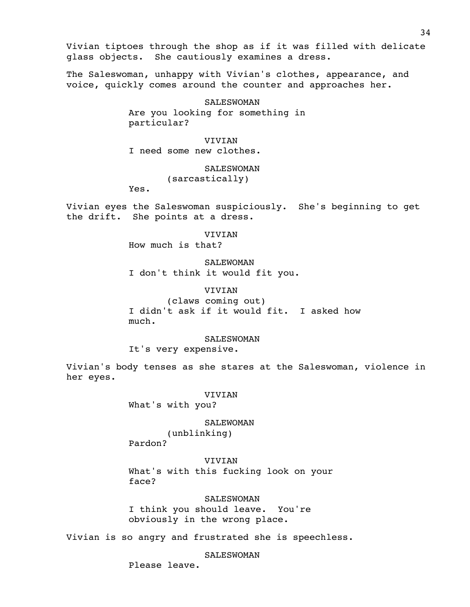Vivian tiptoes through the shop as if it was filled with delicate glass objects. She cautiously examines a dress.

The Saleswoman, unhappy with Vivian's clothes, appearance, and voice, quickly comes around the counter and approaches her.

> SALESWOMAN Are you looking for something in particular?

### **VIVIAN**

I need some new clothes.

SALESWOMAN (sarcastically)

Yes.

Vivian eyes the Saleswoman suspiciously. She's beginning to get the drift. She points at a dress.

VIVIAN

How much is that?

SALEWOMAN I don't think it would fit you.

# VIVIAN

(claws coming out) I didn't ask if it would fit. I asked how much.

#### SALESWOMAN

It's very expensive.

Vivian's body tenses as she stares at the Saleswoman, violence in her eyes.

#### VIVIAN

What's with you?

#### SALEWOMAN

(unblinking) Pardon?

VIVIAN

What's with this fucking look on your face?

## SALESWOMAN

I think you should leave. You're obviously in the wrong place.

Vivian is so angry and frustrated she is speechless.

**SALESWOMAN** 

Please leave.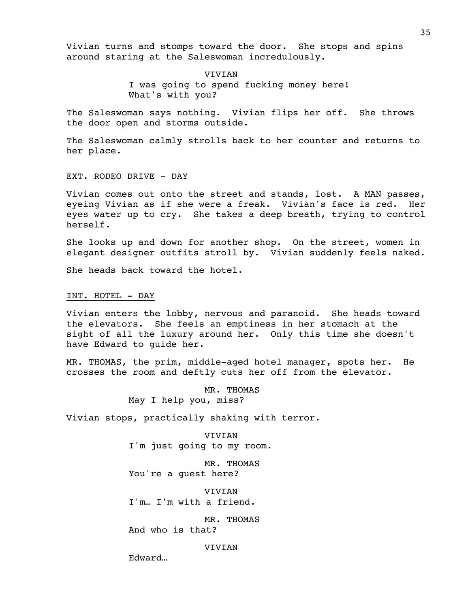Vivian turns and stomps toward the door. She stops and spins around staring at the Saleswoman incredulously.

> VIVIAN I was going to spend fucking money here! What's with you?

The Saleswoman says nothing. Vivian flips her off. She throws the door open and storms outside.

The Saleswoman calmly strolls back to her counter and returns to her place.

### EXT. RODEO DRIVE - DAY

Vivian comes out onto the street and stands, lost. A MAN passes, eyeing Vivian as if she were a freak. Vivian's face is red. Her eyes water up to cry. She takes a deep breath, trying to control herself.

She looks up and down for another shop. On the street, women in elegant designer outfits stroll by. Vivian suddenly feels naked.

She heads back toward the hotel.

#### INT. HOTEL - DAY

Vivian enters the lobby, nervous and paranoid. She heads toward the elevators. She feels an emptiness in her stomach at the sight of all the luxury around her. Only this time she doesn't have Edward to guide her.

MR. THOMAS, the prim, middle-aged hotel manager, spots her. He crosses the room and deftly cuts her off from the elevator.

> MR. THOMAS May I help you, miss?

Vivian stops, practically shaking with terror.

VIVIAN I'm just going to my room.

MR. THOMAS You're a guest here?

VIVIAN I'm… I'm with a friend.

MR. THOMAS And who is that?

#### VIVIAN

Edward…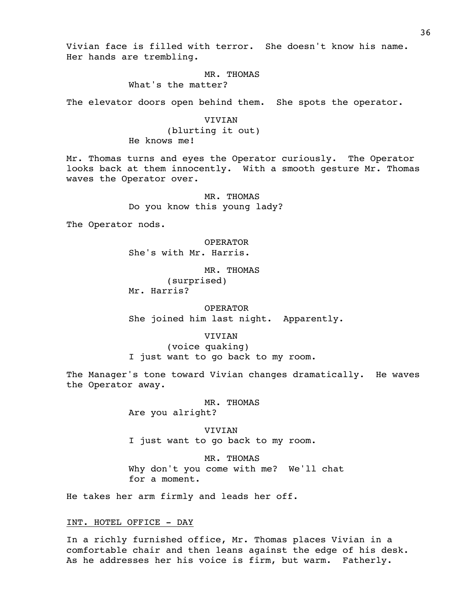Vivian face is filled with terror. She doesn't know his name. Her hands are trembling.

# MR. THOMAS

What's the matter?

The elevator doors open behind them. She spots the operator.

# **VIVIAN**

(blurting it out) He knows me!

Mr. Thomas turns and eyes the Operator curiously. The Operator looks back at them innocently. With a smooth gesture Mr. Thomas waves the Operator over.

> MR. THOMAS Do you know this young lady?

The Operator nods.

OPERATOR She's with Mr. Harris.

MR. THOMAS (surprised) Mr. Harris?

OPERATOR She joined him last night. Apparently.

### VIVIAN

(voice quaking) I just want to go back to my room.

The Manager's tone toward Vivian changes dramatically. He waves the Operator away.

MR. THOMAS

Are you alright?

VIVIAN I just want to go back to my room.

MR. THOMAS Why don't you come with me? We'll chat for a moment.

He takes her arm firmly and leads her off.

# INT. HOTEL OFFICE - DAY

In a richly furnished office, Mr. Thomas places Vivian in a comfortable chair and then leans against the edge of his desk. As he addresses her his voice is firm, but warm. Fatherly.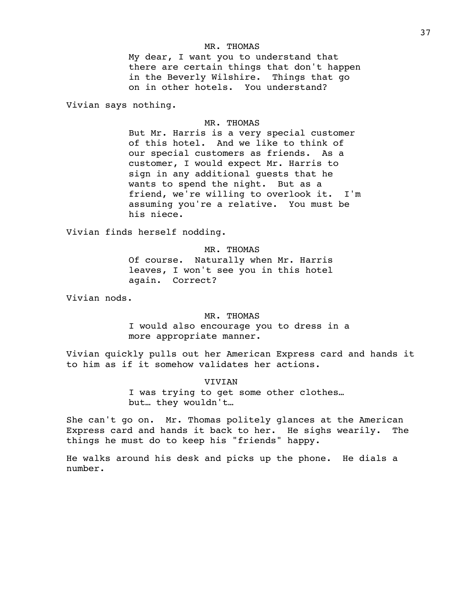### MR. THOMAS

My dear, I want you to understand that there are certain things that don't happen in the Beverly Wilshire. Things that go on in other hotels. You understand?

Vivian says nothing.

# MR. THOMAS

But Mr. Harris is a very special customer of this hotel. And we like to think of our special customers as friends. As a customer, I would expect Mr. Harris to sign in any additional guests that he wants to spend the night. But as a friend, we're willing to overlook it. I'm assuming you're a relative. You must be his niece.

Vivian finds herself nodding.

MR. THOMAS Of course. Naturally when Mr. Harris leaves, I won't see you in this hotel again. Correct?

Vivian nods.

#### MR. THOMAS

I would also encourage you to dress in a more appropriate manner.

Vivian quickly pulls out her American Express card and hands it to him as if it somehow validates her actions.

### **VIVIAN**

I was trying to get some other clothes… but… they wouldn't…

She can't go on. Mr. Thomas politely glances at the American Express card and hands it back to her. He sighs wearily. The things he must do to keep his "friends" happy.

He walks around his desk and picks up the phone. He dials a number.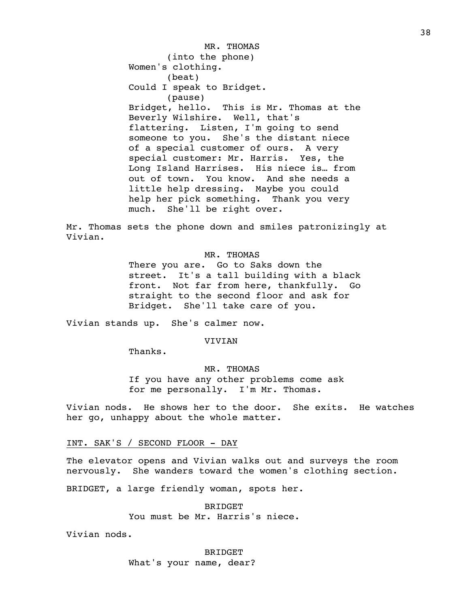MR. THOMAS (into the phone) Women's clothing. (beat) Could I speak to Bridget. (pause) Bridget, hello. This is Mr. Thomas at the Beverly Wilshire. Well, that's flattering. Listen, I'm going to send someone to you. She's the distant niece of a special customer of ours. A very special customer: Mr. Harris. Yes, the Long Island Harrises. His niece is… from out of town. You know. And she needs a little help dressing. Maybe you could help her pick something. Thank you very much. She'll be right over.

Mr. Thomas sets the phone down and smiles patronizingly at Vivian.

# MR. THOMAS

There you are. Go to Saks down the street. It's a tall building with a black front. Not far from here, thankfully. Go straight to the second floor and ask for Bridget. She'll take care of you.

Vivian stands up. She's calmer now.

# VIVIAN

Thanks.

MR. THOMAS If you have any other problems come ask for me personally. I'm Mr. Thomas.

Vivian nods. He shows her to the door. She exits. He watches her go, unhappy about the whole matter.

INT. SAK'S / SECOND FLOOR - DAY

The elevator opens and Vivian walks out and surveys the room nervously. She wanders toward the women's clothing section.

BRIDGET, a large friendly woman, spots her.

BRIDGET You must be Mr. Harris's niece.

Vivian nods.

BRIDGET What's your name, dear?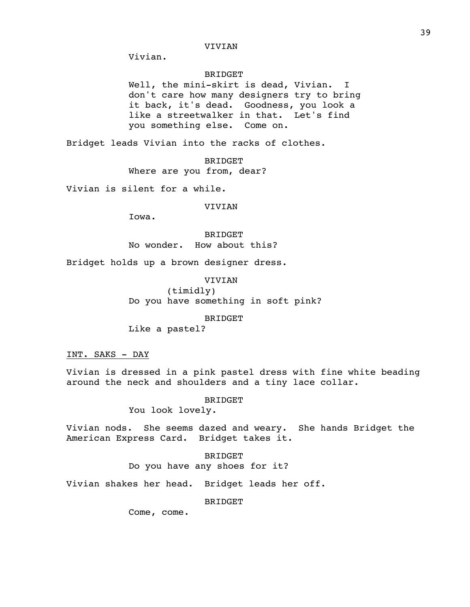Vivian.

# BRIDGET

Well, the mini-skirt is dead, Vivian. I don't care how many designers try to bring it back, it's dead. Goodness, you look a like a streetwalker in that. Let's find you something else. Come on.

Bridget leads Vivian into the racks of clothes.

BRIDGET

Where are you from, dear?

Vivian is silent for a while.

### VIVIAN

Iowa.

BRIDGET No wonder. How about this?

Bridget holds up a brown designer dress.

VIVIAN (timidly) Do you have something in soft pink?

BRIDGET

Like a pastel?

INT. SAKS - DAY

Vivian is dressed in a pink pastel dress with fine white beading around the neck and shoulders and a tiny lace collar.

BRIDGET

You look lovely.

Vivian nods. She seems dazed and weary. She hands Bridget the American Express Card. Bridget takes it.

> BRIDGET Do you have any shoes for it?

Vivian shakes her head. Bridget leads her off.

BRIDGET

Come, come.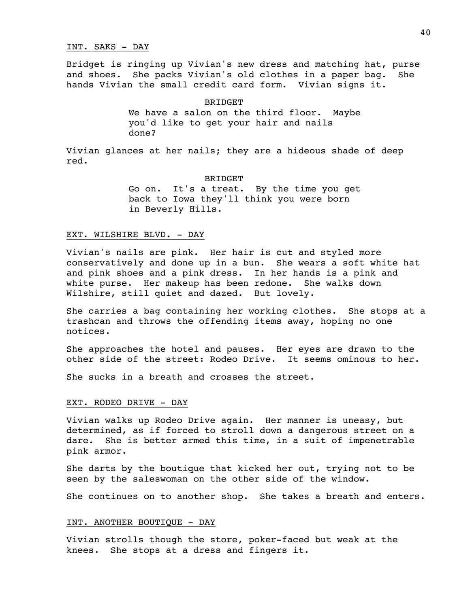#### INT. SAKS - DAY

Bridget is ringing up Vivian's new dress and matching hat, purse and shoes. She packs Vivian's old clothes in a paper bag. She hands Vivian the small credit card form. Vivian signs it.

#### BRIDGET

We have a salon on the third floor. Maybe you'd like to get your hair and nails done?

Vivian glances at her nails; they are a hideous shade of deep red.

#### BRIDGET

Go on. It's a treat. By the time you get back to Iowa they'll think you were born in Beverly Hills.

### EXT. WILSHIRE BLVD. - DAY

Vivian's nails are pink. Her hair is cut and styled more conservatively and done up in a bun. She wears a soft white hat and pink shoes and a pink dress. In her hands is a pink and white purse. Her makeup has been redone. She walks down Wilshire, still quiet and dazed. But lovely.

She carries a bag containing her working clothes. She stops at a trashcan and throws the offending items away, hoping no one notices.

She approaches the hotel and pauses. Her eyes are drawn to the other side of the street: Rodeo Drive. It seems ominous to her.

She sucks in a breath and crosses the street.

### EXT. RODEO DRIVE - DAY

Vivian walks up Rodeo Drive again. Her manner is uneasy, but determined, as if forced to stroll down a dangerous street on a dare. She is better armed this time, in a suit of impenetrable pink armor.

She darts by the boutique that kicked her out, trying not to be seen by the saleswoman on the other side of the window.

She continues on to another shop. She takes a breath and enters.

### INT. ANOTHER BOUTIQUE - DAY

Vivian strolls though the store, poker-faced but weak at the knees. She stops at a dress and fingers it.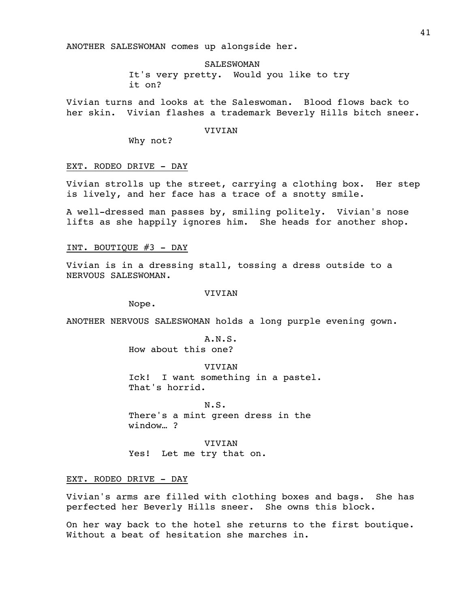ANOTHER SALESWOMAN comes up alongside her.

SALESWOMAN It's very pretty. Would you like to try it on?

Vivian turns and looks at the Saleswoman. Blood flows back to her skin. Vivian flashes a trademark Beverly Hills bitch sneer.

# VIVIAN

Why not?

#### EXT. RODEO DRIVE - DAY

Vivian strolls up the street, carrying a clothing box. Her step is lively, and her face has a trace of a snotty smile.

A well-dressed man passes by, smiling politely. Vivian's nose lifts as she happily ignores him. She heads for another shop.

INT. BOUTIQUE #3 - DAY

Vivian is in a dressing stall, tossing a dress outside to a NERVOUS SALESWOMAN.

#### VIVIAN

Nope.

ANOTHER NERVOUS SALESWOMAN holds a long purple evening gown.

A.N.S. How about this one?

VIVIAN Ick! I want something in a pastel. That's horrid.

N.S. There's a mint green dress in the window… ?

VIVIAN Yes! Let me try that on.

EXT. RODEO DRIVE - DAY

Vivian's arms are filled with clothing boxes and bags. She has perfected her Beverly Hills sneer. She owns this block.

On her way back to the hotel she returns to the first boutique. Without a beat of hesitation she marches in.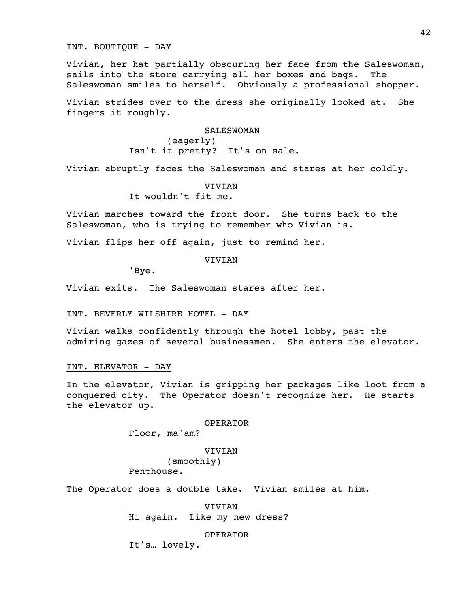# INT. BOUTIQUE - DAY

Vivian, her hat partially obscuring her face from the Saleswoman, sails into the store carrying all her boxes and bags. The Saleswoman smiles to herself. Obviously a professional shopper.

Vivian strides over to the dress she originally looked at. She fingers it roughly.

> SALESWOMAN (eagerly) Isn't it pretty? It's on sale.

Vivian abruptly faces the Saleswoman and stares at her coldly.

#### VIVIAN

It wouldn't fit me.

Vivian marches toward the front door. She turns back to the Saleswoman, who is trying to remember who Vivian is.

Vivian flips her off again, just to remind her.

VIVIAN

'Bye.

Vivian exits. The Saleswoman stares after her.

# INT. BEVERLY WILSHIRE HOTEL - DAY

Vivian walks confidently through the hotel lobby, past the admiring gazes of several businessmen. She enters the elevator.

# INT. ELEVATOR - DAY

In the elevator, Vivian is gripping her packages like loot from a conquered city. The Operator doesn't recognize her. He starts the elevator up.

### OPERATOR

Floor, ma'am?

#### VIVIAN

(smoothly)

Penthouse.

The Operator does a double take. Vivian smiles at him.

VIVIAN Hi again. Like my new dress?

OPERATOR

It's… lovely.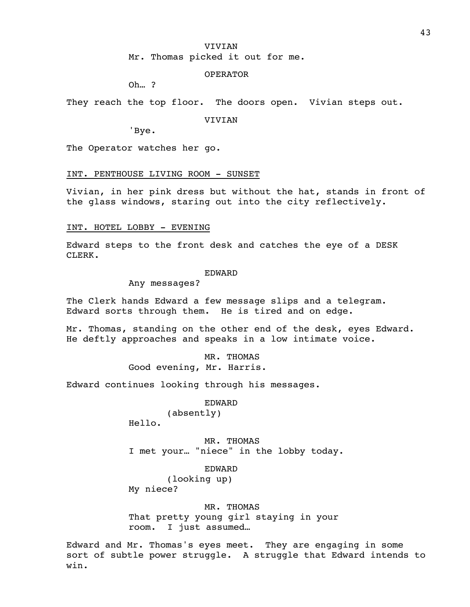#### VIVIAN

Mr. Thomas picked it out for me.

# OPERATOR

Oh… ?

They reach the top floor. The doors open. Vivian steps out.

VIVIAN

'Bye.

The Operator watches her go.

### INT. PENTHOUSE LIVING ROOM - SUNSET

Vivian, in her pink dress but without the hat, stands in front of the glass windows, staring out into the city reflectively.

# INT. HOTEL LOBBY - EVENING

Edward steps to the front desk and catches the eye of a DESK CLERK.

#### EDWARD

Any messages?

The Clerk hands Edward a few message slips and a telegram. Edward sorts through them. He is tired and on edge.

Mr. Thomas, standing on the other end of the desk, eyes Edward. He deftly approaches and speaks in a low intimate voice.

> MR. THOMAS Good evening, Mr. Harris.

Edward continues looking through his messages.

#### EDWARD

(absently)

Hello.

MR. THOMAS I met your… "niece" in the lobby today.

# EDWARD

(looking up) My niece?

MR. THOMAS That pretty young girl staying in your room. I just assumed…

Edward and Mr. Thomas's eyes meet. They are engaging in some sort of subtle power struggle. A struggle that Edward intends to win.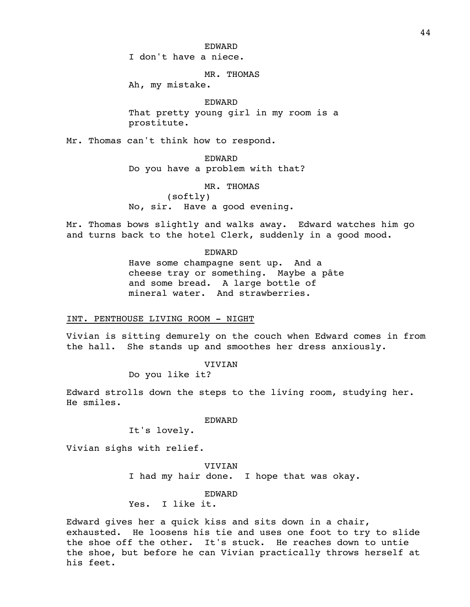I don't have a niece.

MR. THOMAS

Ah, my mistake.

EDWARD That pretty young girl in my room is a prostitute.

Mr. Thomas can't think how to respond.

EDWARD Do you have a problem with that?

MR. THOMAS

(softly) No, sir. Have a good evening.

Mr. Thomas bows slightly and walks away. Edward watches him go and turns back to the hotel Clerk, suddenly in a good mood.

EDWARD

Have some champagne sent up. And a cheese tray or something. Maybe a pâte and some bread. A large bottle of mineral water. And strawberries.

# INT. PENTHOUSE LIVING ROOM - NIGHT

Vivian is sitting demurely on the couch when Edward comes in from the hall. She stands up and smoothes her dress anxiously.

VIVIAN

Do you like it?

Edward strolls down the steps to the living room, studying her. He smiles.

EDWARD

It's lovely.

Vivian sighs with relief.

VIVIAN I had my hair done. I hope that was okay.

EDWARD

Yes. I like it.

Edward gives her a quick kiss and sits down in a chair, exhausted. He loosens his tie and uses one foot to try to slide the shoe off the other. It's stuck. He reaches down to untie the shoe, but before he can Vivian practically throws herself at his feet.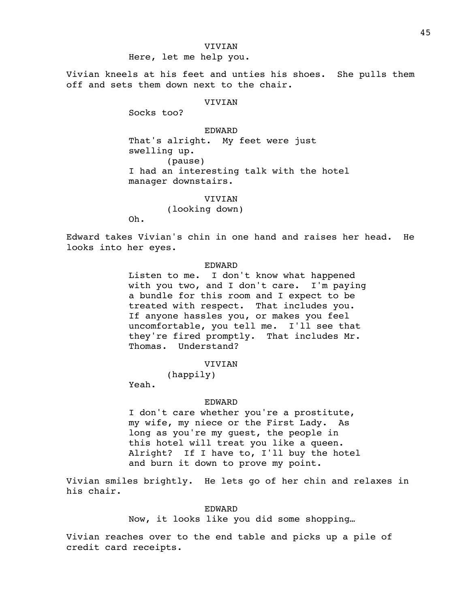### VIVIAN

Here, let me help you.

Vivian kneels at his feet and unties his shoes. She pulls them off and sets them down next to the chair.

# VIVIAN

Socks too?

EDWARD That's alright. My feet were just swelling up. (pause) I had an interesting talk with the hotel manager downstairs.

> **VIVIAN** (looking down)

Oh.

Edward takes Vivian's chin in one hand and raises her head. He looks into her eyes.

# EDWARD

Listen to me. I don't know what happened with you two, and I don't care. I'm paying a bundle for this room and I expect to be treated with respect. That includes you. If anyone hassles you, or makes you feel uncomfortable, you tell me. I'll see that they're fired promptly. That includes Mr. Thomas. Understand?

VIVIAN

(happily)

Yeah.

#### EDWARD

I don't care whether you're a prostitute, my wife, my niece or the First Lady. As long as you're my guest, the people in this hotel will treat you like a queen. Alright? If I have to, I'll buy the hotel and burn it down to prove my point.

Vivian smiles brightly. He lets go of her chin and relaxes in his chair.

### EDWARD

Now, it looks like you did some shopping…

Vivian reaches over to the end table and picks up a pile of credit card receipts.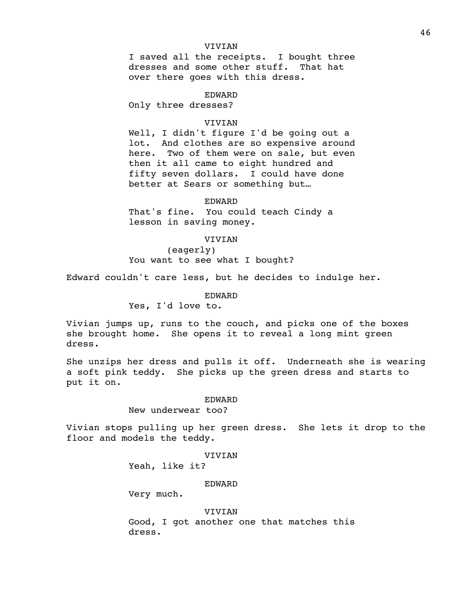# VIVIAN

I saved all the receipts. I bought three dresses and some other stuff. That hat over there goes with this dress.

#### EDWARD

Only three dresses?

# VIVIAN

Well, I didn't figure I'd be going out a lot. And clothes are so expensive around here. Two of them were on sale, but even then it all came to eight hundred and fifty seven dollars. I could have done better at Sears or something but…

EDWARD

That's fine. You could teach Cindy a lesson in saving money.

# VIVIAN

(eagerly) You want to see what I bought?

Edward couldn't care less, but he decides to indulge her.

EDWARD

Yes, I'd love to.

Vivian jumps up, runs to the couch, and picks one of the boxes she brought home. She opens it to reveal a long mint green dress.

She unzips her dress and pulls it off. Underneath she is wearing a soft pink teddy. She picks up the green dress and starts to put it on.

#### EDWARD

New underwear too?

Vivian stops pulling up her green dress. She lets it drop to the floor and models the teddy.

# VIVIAN

Yeah, like it?

#### EDWARD

Very much.

#### **VIVIAN**

Good, I got another one that matches this dress.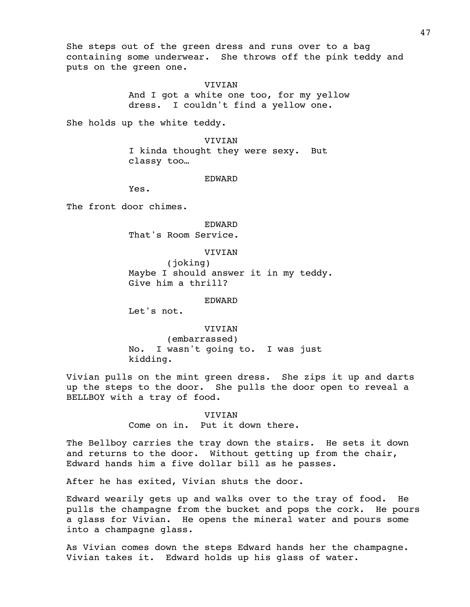She steps out of the green dress and runs over to a bag containing some underwear. She throws off the pink teddy and puts on the green one.

#### VIVIAN

And I got a white one too, for my yellow dress. I couldn't find a yellow one.

She holds up the white teddy.

VIVIAN I kinda thought they were sexy. But classy too…

#### EDWARD

Yes.

The front door chimes.

#### EDWARD

That's Room Service.

# VIVIAN

(joking) Maybe I should answer it in my teddy. Give him a thrill?

#### EDWARD

Let's not.

VIVIAN (embarrassed) No. I wasn't going to. I was just kidding.

Vivian pulls on the mint green dress. She zips it up and darts up the steps to the door. She pulls the door open to reveal a BELLBOY with a tray of food.

> **VIVIAN** Come on in. Put it down there.

The Bellboy carries the tray down the stairs. He sets it down and returns to the door. Without getting up from the chair, Edward hands him a five dollar bill as he passes.

After he has exited, Vivian shuts the door.

Edward wearily gets up and walks over to the tray of food. He pulls the champagne from the bucket and pops the cork. He pours a glass for Vivian. He opens the mineral water and pours some into a champagne glass.

As Vivian comes down the steps Edward hands her the champagne. Vivian takes it. Edward holds up his glass of water.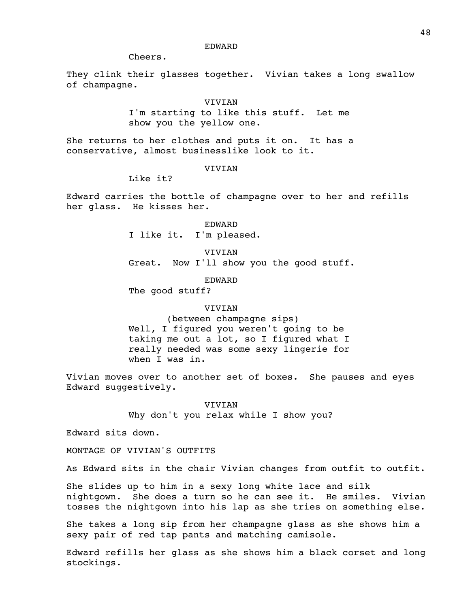Cheers.

They clink their glasses together. Vivian takes a long swallow of champagne.

#### VIVIAN

I'm starting to like this stuff. Let me show you the yellow one.

She returns to her clothes and puts it on. It has a conservative, almost businesslike look to it.

# **VIVIAN**

Like it?

Edward carries the bottle of champagne over to her and refills her glass. He kisses her.

> EDWARD I like it. I'm pleased.

VIVIAN Great. Now I'll show you the good stuff.

EDWARD

The good stuff?

### VIVIAN

(between champagne sips) Well, I figured you weren't going to be taking me out a lot, so I figured what I really needed was some sexy lingerie for when I was in.

Vivian moves over to another set of boxes. She pauses and eyes Edward suggestively.

> VIVIAN Why don't you relax while I show you?

Edward sits down.

MONTAGE OF VIVIAN'S OUTFITS

As Edward sits in the chair Vivian changes from outfit to outfit.

She slides up to him in a sexy long white lace and silk nightgown. She does a turn so he can see it. He smiles. Vivian tosses the nightgown into his lap as she tries on something else.

She takes a long sip from her champagne glass as she shows him a sexy pair of red tap pants and matching camisole.

Edward refills her glass as she shows him a black corset and long stockings.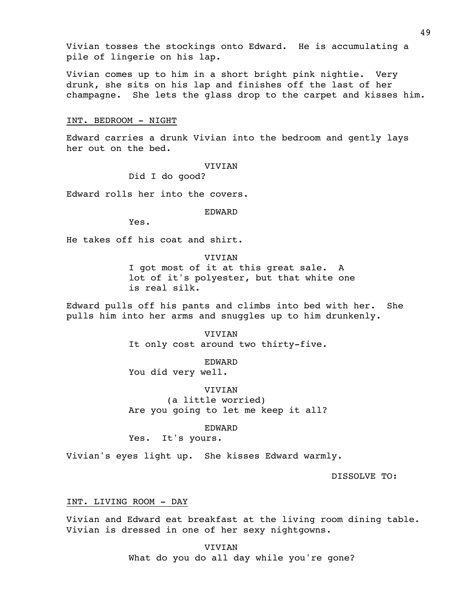Vivian tosses the stockings onto Edward. He is accumulating a pile of lingerie on his lap.

Vivian comes up to him in a short bright pink nightie. Very drunk, she sits on his lap and finishes off the last of her champagne. She lets the glass drop to the carpet and kisses him.

### INT. BEDROOM - NIGHT

Edward carries a drunk Vivian into the bedroom and gently lays her out on the bed.

### VIVIAN

Did I do good?

Edward rolls her into the covers.

EDWARD

Yes.

He takes off his coat and shirt.

VIVIAN I got most of it at this great sale. A lot of it's polyester, but that white one is real silk.

Edward pulls off his pants and climbs into bed with her. She pulls him into her arms and snuggles up to him drunkenly.

> VIVIAN It only cost around two thirty-five.

EDWARD You did very well.

VIVIAN (a little worried) Are you going to let me keep it all?

EDWARD

Yes. It's yours.

Vivian's eyes light up. She kisses Edward warmly.

DISSOLVE TO:

# INT. LIVING ROOM - DAY

Vivian and Edward eat breakfast at the living room dining table. Vivian is dressed in one of her sexy nightgowns.

> VIVIAN What do you do all day while you're gone?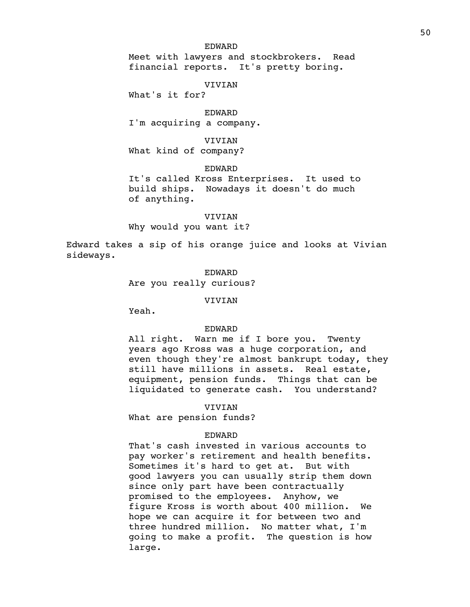Meet with lawyers and stockbrokers. Read financial reports. It's pretty boring.

#### VIVIAN

What's it for?

EDWARD I'm acquiring a company.

VIVIAN What kind of company?

EDWARD

It's called Kross Enterprises. It used to build ships. Nowadays it doesn't do much of anything.

# **VIVIAN**

Why would you want it?

Edward takes a sip of his orange juice and looks at Vivian sideways.

EDWARD

Are you really curious?

VIVIAN

Yeah.

### EDWARD

All right. Warn me if I bore you. Twenty years ago Kross was a huge corporation, and even though they're almost bankrupt today, they still have millions in assets. Real estate, equipment, pension funds. Things that can be liquidated to generate cash. You understand?

**VIVIAN** 

What are pension funds?

# EDWARD

That's cash invested in various accounts to pay worker's retirement and health benefits. Sometimes it's hard to get at. But with good lawyers you can usually strip them down since only part have been contractually promised to the employees. Anyhow, we figure Kross is worth about 400 million. We hope we can acquire it for between two and three hundred million. No matter what, I'm going to make a profit. The question is how large.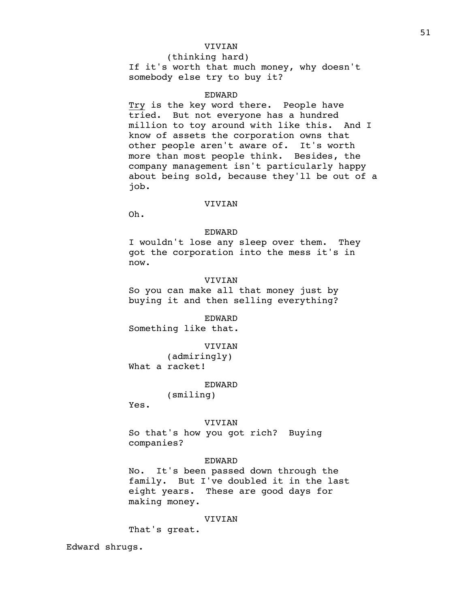# VIVIAN

(thinking hard) If it's worth that much money, why doesn't somebody else try to buy it?

### EDWARD

Try is the key word there. People have tried. But not everyone has a hundred million to toy around with like this. And I know of assets the corporation owns that other people aren't aware of. It's worth more than most people think. Besides, the company management isn't particularly happy about being sold, because they'll be out of a job.

#### VIVIAN

Oh.

# EDWARD

I wouldn't lose any sleep over them. They got the corporation into the mess it's in now.

# **VIVIAN**

So you can make all that money just by buying it and then selling everything?

EDWARD Something like that.

#### VIVIAN

(admiringly) What a racket!

EDWARD

(smiling)

Yes.

#### VIVIAN

So that's how you got rich? Buying companies?

### EDWARD

No. It's been passed down through the family. But I've doubled it in the last eight years. These are good days for making money.

#### VIVIAN

That's great.

Edward shrugs.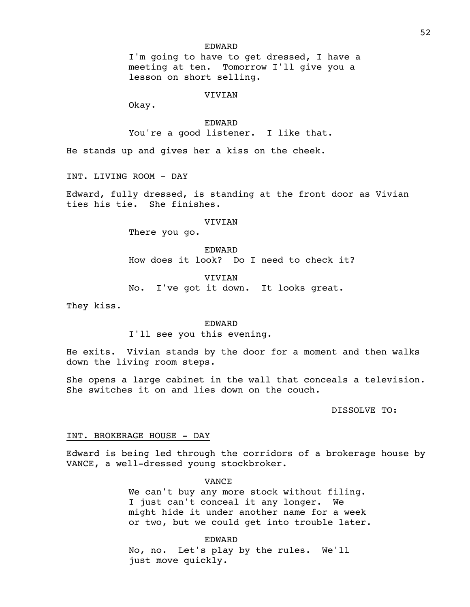I'm going to have to get dressed, I have a meeting at ten. Tomorrow I'll give you a lesson on short selling.

#### VIVIAN

Okay.

EDWARD You're a good listener. I like that.

He stands up and gives her a kiss on the cheek.

INT. LIVING ROOM - DAY

Edward, fully dressed, is standing at the front door as Vivian ties his tie. She finishes.

#### VIVIAN

There you go.

EDWARD How does it look? Do I need to check it?

**VIVIAN** 

No. I've got it down. It looks great.

They kiss.

#### EDWARD

I'll see you this evening.

He exits. Vivian stands by the door for a moment and then walks down the living room steps.

She opens a large cabinet in the wall that conceals a television. She switches it on and lies down on the couch.

DISSOLVE TO:

### INT. BROKERAGE HOUSE - DAY

Edward is being led through the corridors of a brokerage house by VANCE, a well-dressed young stockbroker.

VANCE

We can't buy any more stock without filing. I just can't conceal it any longer. We might hide it under another name for a week or two, but we could get into trouble later.

EDWARD No, no. Let's play by the rules. We'll just move quickly.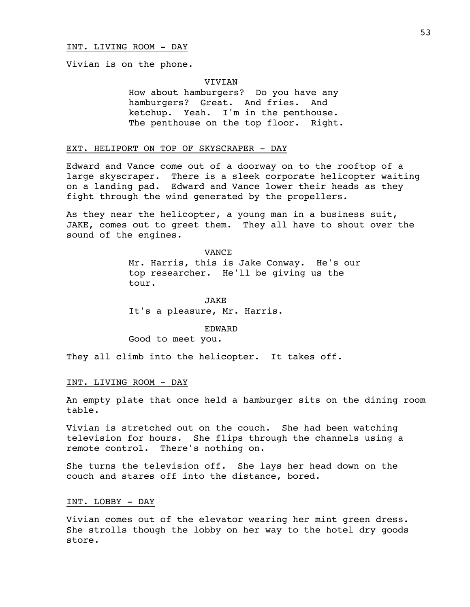Vivian is on the phone.

#### VIVIAN

How about hamburgers? Do you have any hamburgers? Great. And fries. And ketchup. Yeah. I'm in the penthouse. The penthouse on the top floor. Right.

# EXT. HELIPORT ON TOP OF SKYSCRAPER - DAY

Edward and Vance come out of a doorway on to the rooftop of a large skyscraper. There is a sleek corporate helicopter waiting on a landing pad. Edward and Vance lower their heads as they fight through the wind generated by the propellers.

As they near the helicopter, a young man in a business suit, JAKE, comes out to greet them. They all have to shout over the sound of the engines.

> VANCE Mr. Harris, this is Jake Conway. He's our top researcher. He'll be giving us the tour.

JAKE It's a pleasure, Mr. Harris.

EDWARD

Good to meet you.

They all climb into the helicopter. It takes off.

#### INT. LIVING ROOM - DAY

An empty plate that once held a hamburger sits on the dining room table.

Vivian is stretched out on the couch. She had been watching television for hours. She flips through the channels using a remote control. There's nothing on.

She turns the television off. She lays her head down on the couch and stares off into the distance, bored.

# INT. LOBBY - DAY

Vivian comes out of the elevator wearing her mint green dress. She strolls though the lobby on her way to the hotel dry goods store.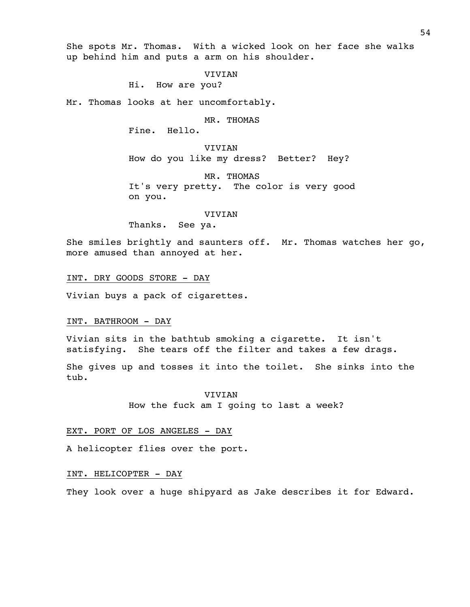She spots Mr. Thomas. With a wicked look on her face she walks up behind him and puts a arm on his shoulder.

#### VIVIAN

Hi. How are you?

Mr. Thomas looks at her uncomfortably.

MR. THOMAS

Fine. Hello.

VIVIAN How do you like my dress? Better? Hey?

MR. THOMAS It's very pretty. The color is very good on you.

### VIVIAN

Thanks. See ya.

She smiles brightly and saunters off. Mr. Thomas watches her go, more amused than annoyed at her.

INT. DRY GOODS STORE - DAY

Vivian buys a pack of cigarettes.

#### INT. BATHROOM - DAY

Vivian sits in the bathtub smoking a cigarette. It isn't satisfying. She tears off the filter and takes a few drags.

She gives up and tosses it into the toilet. She sinks into the tub.

> VIVIAN How the fuck am I going to last a week?

### EXT. PORT OF LOS ANGELES - DAY

A helicopter flies over the port.

# INT. HELICOPTER - DAY

They look over a huge shipyard as Jake describes it for Edward.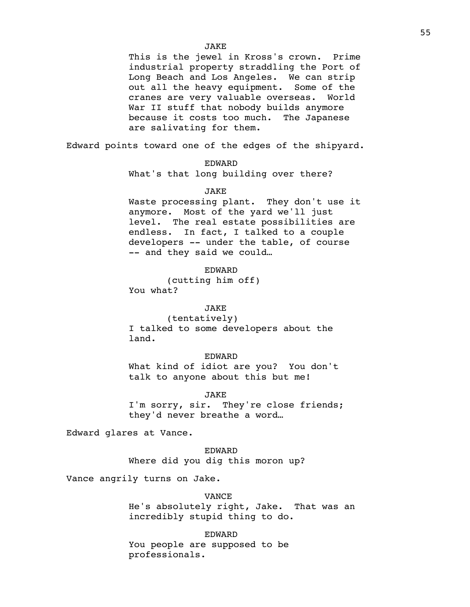This is the jewel in Kross's crown. Prime industrial property straddling the Port of Long Beach and Los Angeles. We can strip out all the heavy equipment. Some of the cranes are very valuable overseas. World War II stuff that nobody builds anymore because it costs too much. The Japanese are salivating for them.

Edward points toward one of the edges of the shipyard.

EDWARD

What's that long building over there?

#### JAKE

Waste processing plant. They don't use it anymore. Most of the yard we'll just level. The real estate possibilities are endless. In fact, I talked to a couple developers -- under the table, of course -- and they said we could…

EDWARD (cutting him off) You what?

# JAKE

(tentatively) I talked to some developers about the land.

### EDWARD

What kind of idiot are you? You don't talk to anyone about this but me!

JAKE

I'm sorry, sir. They're close friends; they'd never breathe a word…

Edward glares at Vance.

EDWARD

Where did you dig this moron up?

Vance angrily turns on Jake.

VANCE

He's absolutely right, Jake. That was an incredibly stupid thing to do.

EDWARD

You people are supposed to be professionals.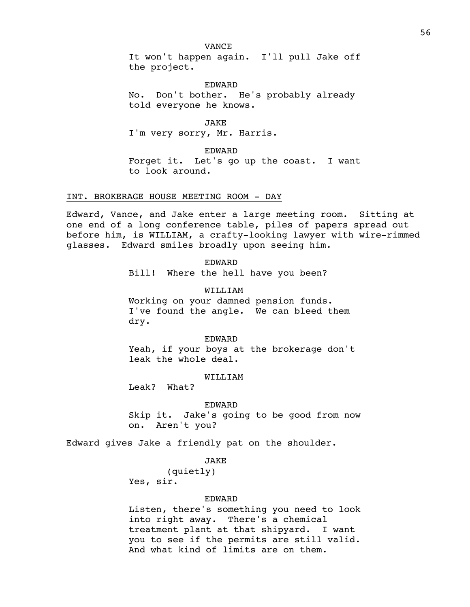#### VANCE

It won't happen again. I'll pull Jake off the project.

EDWARD No. Don't bother. He's probably already told everyone he knows.

JAKE I'm very sorry, Mr. Harris.

EDWARD

Forget it. Let's go up the coast. I want to look around.

# INT. BROKERAGE HOUSE MEETING ROOM - DAY

Edward, Vance, and Jake enter a large meeting room. Sitting at one end of a long conference table, piles of papers spread out before him, is WILLIAM, a crafty-looking lawyer with wire-rimmed glasses. Edward smiles broadly upon seeing him.

EDWARD

Bill! Where the hell have you been?

WILLIAM Working on your damned pension funds. I've found the angle. We can bleed them dry.

#### EDWARD

Yeah, if your boys at the brokerage don't leak the whole deal.

WILLIAM

Leak? What?

#### EDWARD

Skip it. Jake's going to be good from now on. Aren't you?

Edward gives Jake a friendly pat on the shoulder.

# JAKE

(quietly) Yes, sir.

### EDWARD

Listen, there's something you need to look into right away. There's a chemical treatment plant at that shipyard. I want you to see if the permits are still valid. And what kind of limits are on them.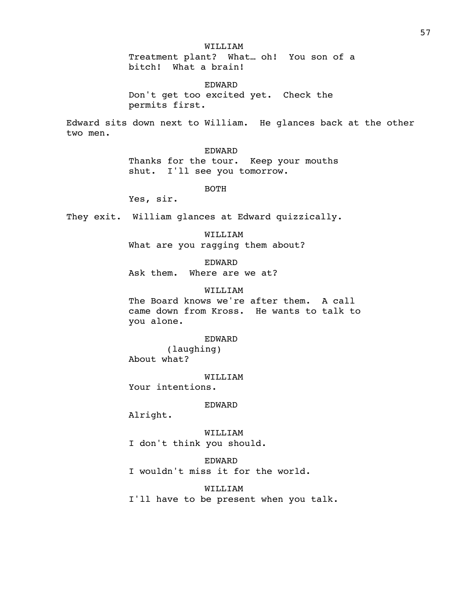WILLIAM

Treatment plant? What… oh! You son of a bitch! What a brain!

EDWARD Don't get too excited yet. Check the permits first.

Edward sits down next to William. He glances back at the other two men.

EDWARD

Thanks for the tour. Keep your mouths shut. I'll see you tomorrow.

BOTH

Yes, sir.

They exit. William glances at Edward quizzically.

WILLIAM What are you ragging them about?

EDWARD

Ask them. Where are we at?

WILLIAM

The Board knows we're after them. A call came down from Kross. He wants to talk to you alone.

### EDWARD

(laughing) About what?

WILLIAM

Your intentions.

EDWARD

Alright.

WILLIAM I don't think you should.

EDWARD

I wouldn't miss it for the world.

WILLIAM

I'll have to be present when you talk.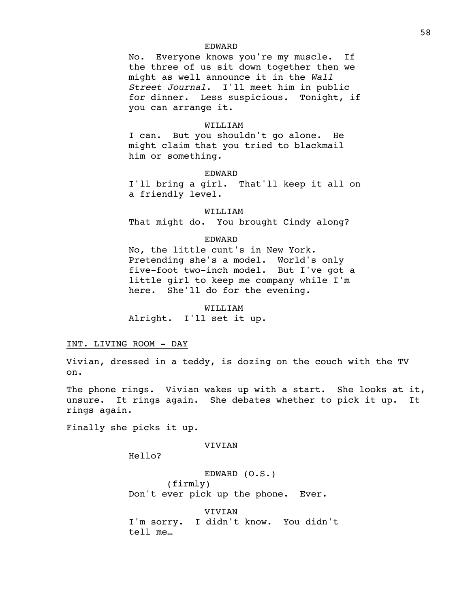No. Everyone knows you're my muscle. If the three of us sit down together then we might as well announce it in the *Wall Street Journal.* I'll meet him in public for dinner. Less suspicious. Tonight, if you can arrange it.

#### WILLIAM

I can. But you shouldn't go alone. He might claim that you tried to blackmail him or something.

EDWARD

I'll bring a girl. That'll keep it all on a friendly level.

WILLIAM That might do. You brought Cindy along?

### EDWARD

No, the little cunt's in New York. Pretending she's a model. World's only five-foot two-inch model. But I've got a little girl to keep me company while I'm here. She'll do for the evening.

### WILLIAM

Alright. I'll set it up.

### INT. LIVING ROOM - DAY

Vivian, dressed in a teddy, is dozing on the couch with the TV on.

The phone rings. Vivian wakes up with a start. She looks at it, unsure. It rings again. She debates whether to pick it up. It rings again.

Finally she picks it up.

VIVIAN

Hello?

EDWARD (O.S.) (firmly) Don't ever pick up the phone. Ever.

VIVIAN I'm sorry. I didn't know. You didn't tell me…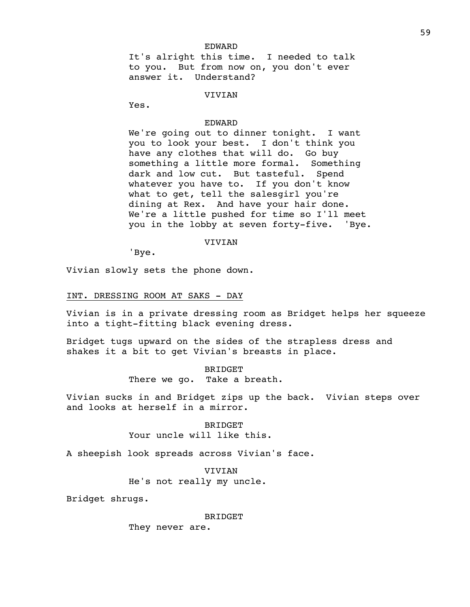It's alright this time. I needed to talk to you. But from now on, you don't ever answer it. Understand?

#### **VIVIAN**

Yes.

# EDWARD

We're going out to dinner tonight. I want you to look your best. I don't think you have any clothes that will do. Go buy something a little more formal. Something dark and low cut. But tasteful. Spend whatever you have to. If you don't know what to get, tell the salesgirl you're dining at Rex. And have your hair done. We're a little pushed for time so I'll meet you in the lobby at seven forty-five. 'Bye.

# VIVIAN

'Bye.

Vivian slowly sets the phone down.

# INT. DRESSING ROOM AT SAKS - DAY

Vivian is in a private dressing room as Bridget helps her squeeze into a tight-fitting black evening dress.

Bridget tugs upward on the sides of the strapless dress and shakes it a bit to get Vivian's breasts in place.

> **BRIDGET** There we go. Take a breath.

Vivian sucks in and Bridget zips up the back. Vivian steps over and looks at herself in a mirror.

### BRIDGET

# Your uncle will like this.

A sheepish look spreads across Vivian's face.

VIVIAN

He's not really my uncle.

Bridget shrugs.

#### BRIDGET

They never are.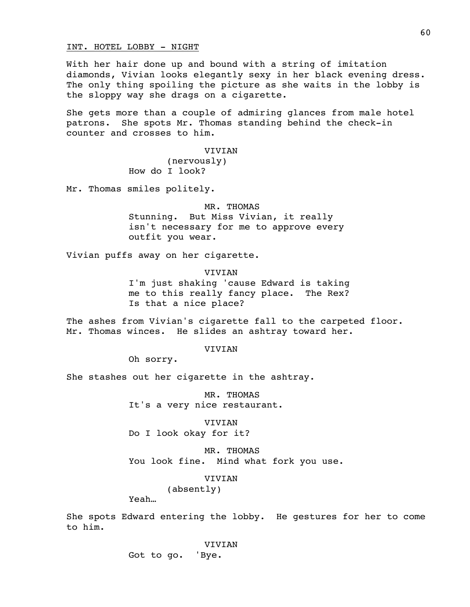INT. HOTEL LOBBY - NIGHT

With her hair done up and bound with a string of imitation diamonds, Vivian looks elegantly sexy in her black evening dress. The only thing spoiling the picture as she waits in the lobby is the sloppy way she drags on a cigarette.

She gets more than a couple of admiring glances from male hotel patrons. She spots Mr. Thomas standing behind the check-in counter and crosses to him.

**VIVIAN** 

(nervously) How do I look?

Mr. Thomas smiles politely.

### MR. THOMAS

Stunning. But Miss Vivian, it really isn't necessary for me to approve every outfit you wear.

Vivian puffs away on her cigarette.

VIVIAN I'm just shaking 'cause Edward is taking me to this really fancy place. The Rex? Is that a nice place?

The ashes from Vivian's cigarette fall to the carpeted floor. Mr. Thomas winces. He slides an ashtray toward her.

### **VIVIAN**

Oh sorry.

She stashes out her cigarette in the ashtray.

MR. THOMAS It's a very nice restaurant.

VIVIAN Do I look okay for it?

MR. THOMAS You look fine. Mind what fork you use.

### VIVIAN

(absently)

Yeah…

She spots Edward entering the lobby. He gestures for her to come to him.

VIVIAN

Got to go. 'Bye.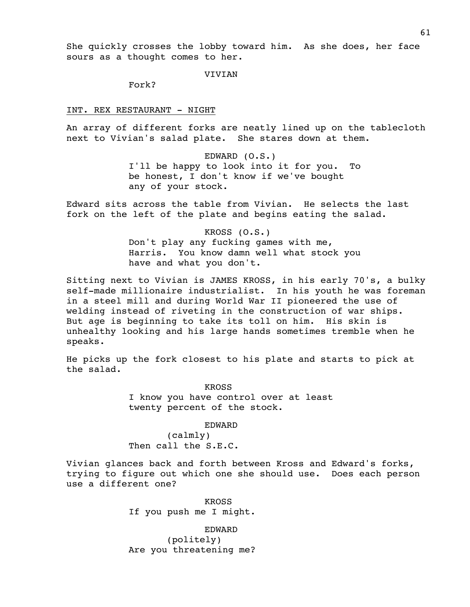She quickly crosses the lobby toward him. As she does, her face sours as a thought comes to her.

VIVIAN

Fork?

INT. REX RESTAURANT - NIGHT

An array of different forks are neatly lined up on the tablecloth next to Vivian's salad plate. She stares down at them.

> EDWARD (O.S.) I'll be happy to look into it for you. To be honest, I don't know if we've bought any of your stock.

Edward sits across the table from Vivian. He selects the last fork on the left of the plate and begins eating the salad.

> KROSS (O.S.) Don't play any fucking games with me, Harris. You know damn well what stock you have and what you don't.

Sitting next to Vivian is JAMES KROSS, in his early 70's, a bulky self-made millionaire industrialist. In his youth he was foreman in a steel mill and during World War II pioneered the use of welding instead of riveting in the construction of war ships. But age is beginning to take its toll on him. His skin is unhealthy looking and his large hands sometimes tremble when he speaks.

He picks up the fork closest to his plate and starts to pick at the salad.

> KROSS I know you have control over at least twenty percent of the stock.

> > EDWARD

(calmly) Then call the S.E.C.

Vivian glances back and forth between Kross and Edward's forks, trying to figure out which one she should use. Does each person use a different one?

> KROSS If you push me I might.

> EDWARD (politely) Are you threatening me?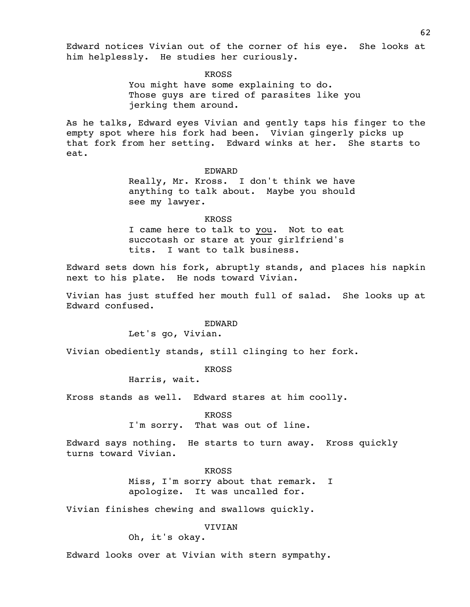Edward notices Vivian out of the corner of his eye. She looks at him helplessly. He studies her curiously.

KROSS

You might have some explaining to do. Those guys are tired of parasites like you jerking them around.

As he talks, Edward eyes Vivian and gently taps his finger to the empty spot where his fork had been. Vivian gingerly picks up that fork from her setting. Edward winks at her. She starts to eat.

### EDWARD

Really, Mr. Kross. I don't think we have anything to talk about. Maybe you should see my lawyer.

### KROSS

I came here to talk to you. Not to eat succotash or stare at your girlfriend's tits. I want to talk business.

Edward sets down his fork, abruptly stands, and places his napkin next to his plate. He nods toward Vivian.

Vivian has just stuffed her mouth full of salad. She looks up at Edward confused.

### EDWARD

Let's go, Vivian.

Vivian obediently stands, still clinging to her fork.

KROSS

Harris, wait.

Kross stands as well. Edward stares at him coolly.

KROSS

I'm sorry. That was out of line.

Edward says nothing. He starts to turn away. Kross quickly turns toward Vivian.

> KROSS Miss, I'm sorry about that remark. I apologize. It was uncalled for.

Vivian finishes chewing and swallows quickly.

VIVIAN

Oh, it's okay.

Edward looks over at Vivian with stern sympathy.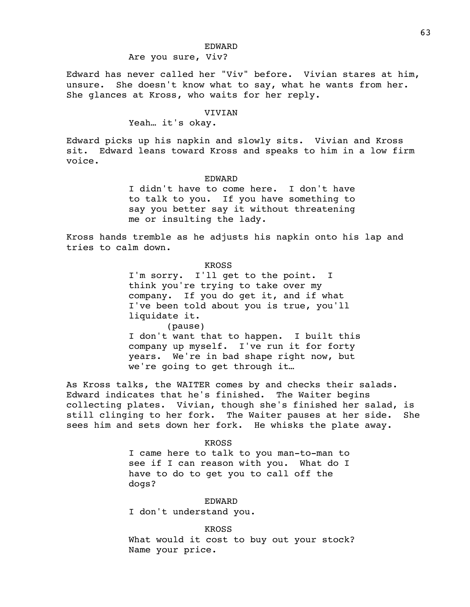# Are you sure, Viv?

Edward has never called her "Viv" before. Vivian stares at him, unsure. She doesn't know what to say, what he wants from her. She glances at Kross, who waits for her reply.

# VIVIAN

# Yeah… it's okay.

Edward picks up his napkin and slowly sits. Vivian and Kross sit. Edward leans toward Kross and speaks to him in a low firm voice.

#### EDWARD

I didn't have to come here. I don't have to talk to you. If you have something to say you better say it without threatening me or insulting the lady.

Kross hands tremble as he adjusts his napkin onto his lap and tries to calm down.

### KROSS

I'm sorry. I'll get to the point. I think you're trying to take over my company. If you do get it, and if what I've been told about you is true, you'll liquidate it.

(pause)

I don't want that to happen. I built this company up myself. I've run it for forty years. We're in bad shape right now, but we're going to get through it…

As Kross talks, the WAITER comes by and checks their salads. Edward indicates that he's finished. The Waiter begins collecting plates. Vivian, though she's finished her salad, is still clinging to her fork. The Waiter pauses at her side. She sees him and sets down her fork. He whisks the plate away.

### KROSS

I came here to talk to you man-to-man to see if I can reason with you. What do I have to do to get you to call off the dogs?

# EDWARD

I don't understand you.

KROSS

What would it cost to buy out your stock? Name your price.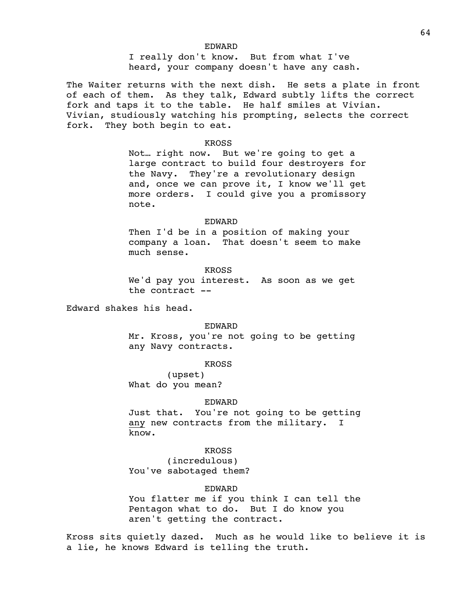I really don't know. But from what I've heard, your company doesn't have any cash.

The Waiter returns with the next dish. He sets a plate in front of each of them. As they talk, Edward subtly lifts the correct fork and taps it to the table. He half smiles at Vivian. Vivian, studiously watching his prompting, selects the correct fork. They both begin to eat.

#### KROSS

Not… right now. But we're going to get a large contract to build four destroyers for the Navy. They're a revolutionary design and, once we can prove it, I know we'll get more orders. I could give you a promissory note.

#### EDWARD

Then I'd be in a position of making your company a loan. That doesn't seem to make much sense.

#### KROSS

We'd pay you interest. As soon as we get the contract --

Edward shakes his head.

#### EDWARD

Mr. Kross, you're not going to be getting any Navy contracts.

#### KROSS

(upset) What do you mean?

#### EDWARD

Just that. You're not going to be getting any new contracts from the military. I know.

#### KROSS

(incredulous) You've sabotaged them?

# EDWARD

You flatter me if you think I can tell the Pentagon what to do. But I do know you aren't getting the contract.

Kross sits quietly dazed. Much as he would like to believe it is a lie, he knows Edward is telling the truth.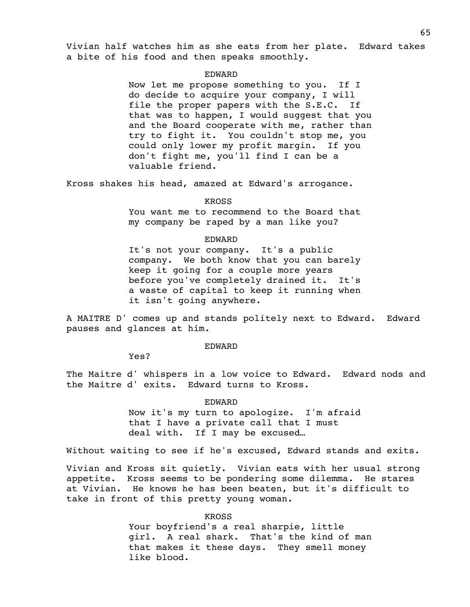Vivian half watches him as she eats from her plate. Edward takes a bite of his food and then speaks smoothly.

#### EDWARD

Now let me propose something to you. If I do decide to acquire your company, I will file the proper papers with the S.E.C. If that was to happen, I would suggest that you and the Board cooperate with me, rather than try to fight it. You couldn't stop me, you could only lower my profit margin. If you don't fight me, you'll find I can be a valuable friend.

Kross shakes his head, amazed at Edward's arrogance.

#### KROSS

You want me to recommend to the Board that my company be raped by a man like you?

#### EDWARD

It's not your company. It's a public company. We both know that you can barely keep it going for a couple more years before you've completely drained it. It's a waste of capital to keep it running when it isn't going anywhere.

A MAITRE D' comes up and stands politely next to Edward. Edward pauses and glances at him.

### EDWARD

Yes?

The Maitre d' whispers in a low voice to Edward. Edward nods and the Maitre d' exits. Edward turns to Kross.

#### EDWARD

Now it's my turn to apologize. I'm afraid that I have a private call that I must deal with. If I may be excused…

Without waiting to see if he's excused, Edward stands and exits.

Vivian and Kross sit quietly. Vivian eats with her usual strong appetite. Kross seems to be pondering some dilemma. He stares at Vivian. He knows he has been beaten, but it's difficult to take in front of this pretty young woman.

#### KROSS

Your boyfriend's a real sharpie, little girl. A real shark. That's the kind of man that makes it these days. They smell money like blood.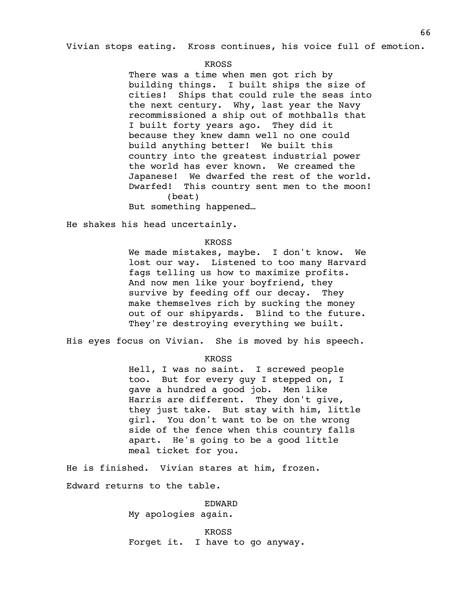Vivian stops eating. Kross continues, his voice full of emotion.

#### KROSS

There was a time when men got rich by building things. I built ships the size of cities! Ships that could rule the seas into the next century. Why, last year the Navy recommissioned a ship out of mothballs that I built forty years ago. They did it because they knew damn well no one could build anything better! We built this country into the greatest industrial power the world has ever known. We creamed the Japanese! We dwarfed the rest of the world. Dwarfed! This country sent men to the moon! (beat)

But something happened…

He shakes his head uncertainly.

KROSS

We made mistakes, maybe. I don't know. We lost our way. Listened to too many Harvard fags telling us how to maximize profits. And now men like your boyfriend, they survive by feeding off our decay. They make themselves rich by sucking the money out of our shipyards. Blind to the future. They're destroying everything we built.

His eyes focus on Vivian. She is moved by his speech.

### KROSS

Hell, I was no saint. I screwed people too. But for every guy I stepped on, I gave a hundred a good job. Men like Harris are different. They don't give, they just take. But stay with him, little girl. You don't want to be on the wrong side of the fence when this country falls apart. He's going to be a good little meal ticket for you.

He is finished. Vivian stares at him, frozen. Edward returns to the table.

EDWARD

My apologies again.

KROSS Forget it. I have to go anyway.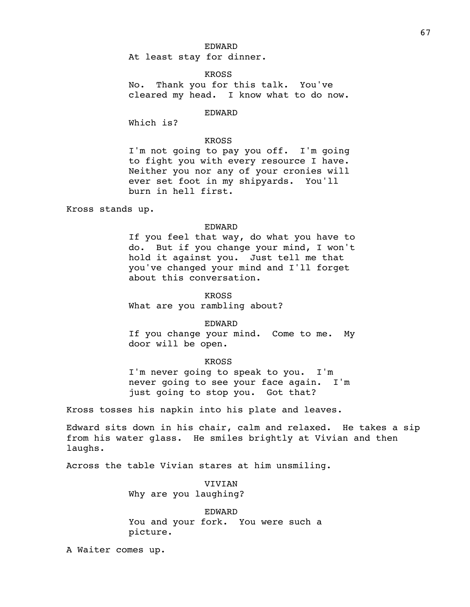At least stay for dinner.

KROSS

No. Thank you for this talk. You've cleared my head. I know what to do now.

EDWARD

Which is?

# KROSS

I'm not going to pay you off. I'm going to fight you with every resource I have. Neither you nor any of your cronies will ever set foot in my shipyards. You'll burn in hell first.

Kross stands up.

#### EDWARD

If you feel that way, do what you have to do. But if you change your mind, I won't hold it against you. Just tell me that you've changed your mind and I'll forget about this conversation.

### KROSS

What are you rambling about?

#### EDWARD

If you change your mind. Come to me. My door will be open.

#### KROSS

I'm never going to speak to you. I'm never going to see your face again. I'm just going to stop you. Got that?

Kross tosses his napkin into his plate and leaves.

Edward sits down in his chair, calm and relaxed. He takes a sip from his water glass. He smiles brightly at Vivian and then laughs.

Across the table Vivian stares at him unsmiling.

VIVIAN Why are you laughing?

EDWARD You and your fork. You were such a picture.

A Waiter comes up.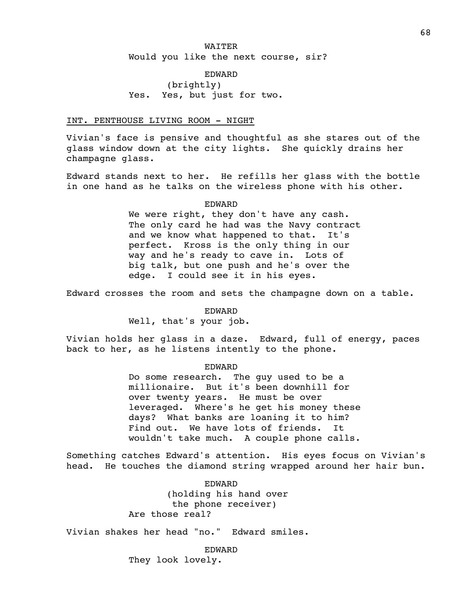# WAITER Would you like the next course, sir?

EDWARD (brightly) Yes. Yes, but just for two.

### INT. PENTHOUSE LIVING ROOM - NIGHT

Vivian's face is pensive and thoughtful as she stares out of the glass window down at the city lights. She quickly drains her champagne glass.

Edward stands next to her. He refills her glass with the bottle in one hand as he talks on the wireless phone with his other.

### EDWARD

We were right, they don't have any cash. The only card he had was the Navy contract and we know what happened to that. It's perfect. Kross is the only thing in our way and he's ready to cave in. Lots of big talk, but one push and he's over the edge. I could see it in his eyes.

Edward crosses the room and sets the champagne down on a table.

# EDWARD

Well, that's your job.

Vivian holds her glass in a daze. Edward, full of energy, paces back to her, as he listens intently to the phone.

#### EDWARD

Do some research. The guy used to be a millionaire. But it's been downhill for over twenty years. He must be over leveraged. Where's he get his money these days? What banks are loaning it to him? Find out. We have lots of friends. It wouldn't take much. A couple phone calls.

Something catches Edward's attention. His eyes focus on Vivian's head. He touches the diamond string wrapped around her hair bun.

> EDWARD (holding his hand over the phone receiver) Are those real?

Vivian shakes her head "no." Edward smiles.

EDWARD They look lovely.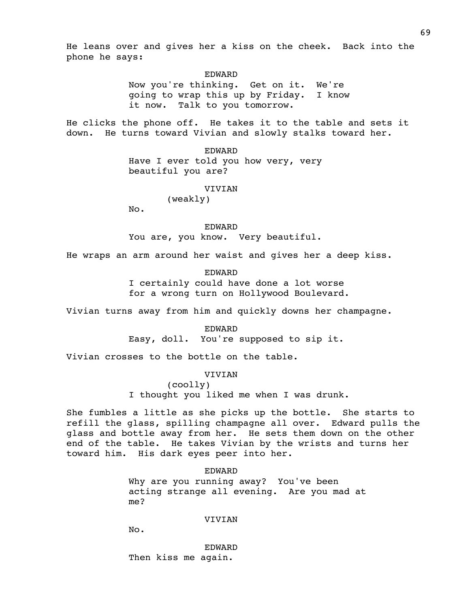He leans over and gives her a kiss on the cheek. Back into the phone he says:

> EDWARD Now you're thinking. Get on it. We're going to wrap this up by Friday. I know it now. Talk to you tomorrow.

He clicks the phone off. He takes it to the table and sets it down. He turns toward Vivian and slowly stalks toward her.

> EDWARD Have I ever told you how very, very beautiful you are?

#### VIVIAN

(weakly)

No.

EDWARD You are, you know. Very beautiful.

He wraps an arm around her waist and gives her a deep kiss.

EDWARD I certainly could have done a lot worse for a wrong turn on Hollywood Boulevard.

Vivian turns away from him and quickly downs her champagne.

EDWARD Easy, doll. You're supposed to sip it.

Vivian crosses to the bottle on the table.

### VIVIAN

(coolly)

I thought you liked me when I was drunk.

She fumbles a little as she picks up the bottle. She starts to refill the glass, spilling champagne all over. Edward pulls the glass and bottle away from her. He sets them down on the other end of the table. He takes Vivian by the wrists and turns her toward him. His dark eyes peer into her.

> EDWARD Why are you running away? You've been acting strange all evening. Are you mad at me?

### VIVIAN

No.

EDWARD Then kiss me again.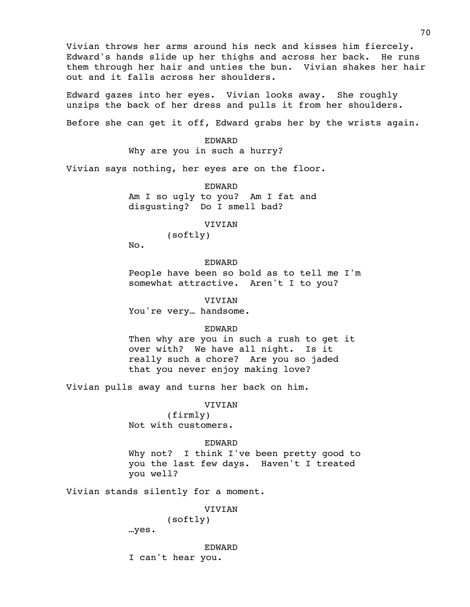Vivian throws her arms around his neck and kisses him fiercely. Edward's hands slide up her thighs and across her back. He runs them through her hair and unties the bun. Vivian shakes her hair out and it falls across her shoulders.

Edward gazes into her eyes. Vivian looks away. She roughly unzips the back of her dress and pulls it from her shoulders.

Before she can get it off, Edward grabs her by the wrists again.

EDWARD Why are you in such a hurry?

Vivian says nothing, her eyes are on the floor.

EDWARD Am I so ugly to you? Am I fat and disgusting? Do I smell bad?

VIVIAN

(softly)

No.

EDWARD

People have been so bold as to tell me I'm somewhat attractive. Aren't I to you?

VIVIAN

You're very… handsome.

EDWARD

Then why are you in such a rush to get it over with? We have all night. Is it really such a chore? Are you so jaded that you never enjoy making love?

Vivian pulls away and turns her back on him.

#### VIVIAN

(firmly) Not with customers.

EDWARD

Why not? I think I've been pretty good to you the last few days. Haven't I treated you well?

Vivian stands silently for a moment.

VIVIAN

(softly)

…yes.

EDWARD

I can't hear you.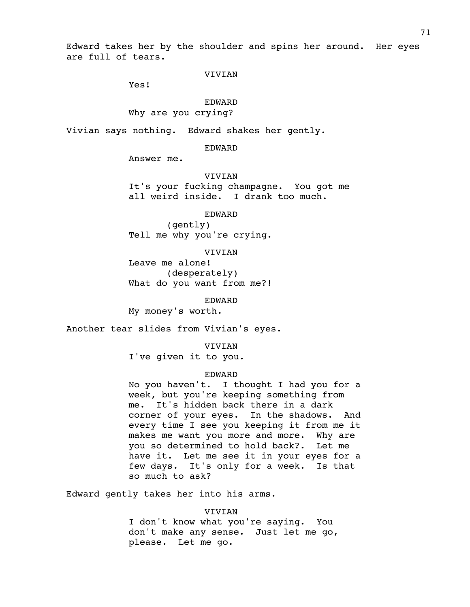Edward takes her by the shoulder and spins her around. Her eyes are full of tears.

### VIVIAN

Yes!

# EDWARD

Why are you crying?

Vivian says nothing. Edward shakes her gently.

#### EDWARD

Answer me.

# VIVIAN

It's your fucking champagne. You got me all weird inside. I drank too much.

EDWARD

(gently) Tell me why you're crying.

### VIVIAN

Leave me alone! (desperately) What do you want from me?!

EDWARD

My money's worth.

Another tear slides from Vivian's eyes.

VIVIAN

I've given it to you.

### EDWARD

No you haven't. I thought I had you for a week, but you're keeping something from me. It's hidden back there in a dark corner of your eyes. In the shadows. And every time I see you keeping it from me it makes me want you more and more. Why are you so determined to hold back?. Let me have it. Let me see it in your eyes for a few days. It's only for a week. Is that so much to ask?

Edward gently takes her into his arms.

#### VIVIAN

I don't know what you're saying. You don't make any sense. Just let me go, please. Let me go.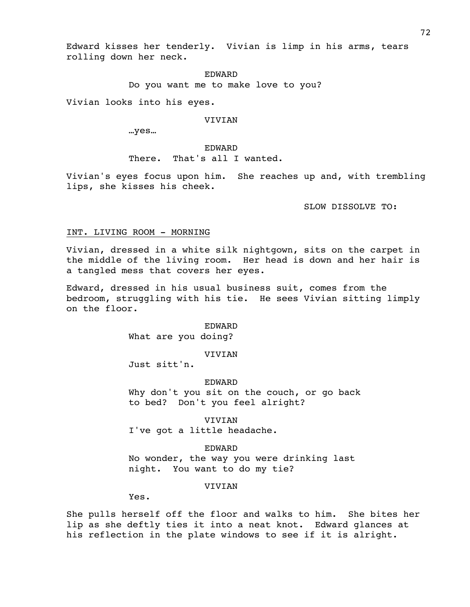Edward kisses her tenderly. Vivian is limp in his arms, tears rolling down her neck.

> EDWARD Do you want me to make love to you?

Vivian looks into his eyes.

#### VIVIAN

…yes…

### EDWARD There. That's all I wanted.

Vivian's eyes focus upon him. She reaches up and, with trembling lips, she kisses his cheek.

SLOW DISSOLVE TO:

# INT. LIVING ROOM - MORNING

Vivian, dressed in a white silk nightgown, sits on the carpet in the middle of the living room. Her head is down and her hair is a tangled mess that covers her eyes.

Edward, dressed in his usual business suit, comes from the bedroom, struggling with his tie. He sees Vivian sitting limply on the floor.

### EDWARD

What are you doing?

# VIVIAN

Just sitt'n.

### EDWARD

Why don't you sit on the couch, or go back to bed? Don't you feel alright?

VIVIAN

I've got a little headache.

### EDWARD

No wonder, the way you were drinking last night. You want to do my tie?

#### **VIVIAN**

Yes.

She pulls herself off the floor and walks to him. She bites her lip as she deftly ties it into a neat knot. Edward glances at his reflection in the plate windows to see if it is alright.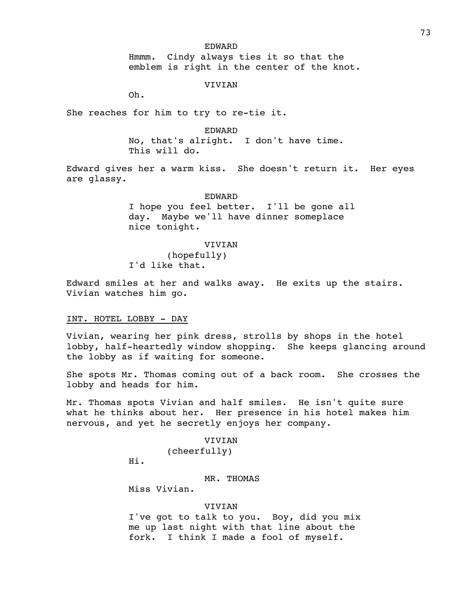#### EDWARD

Hmmm. Cindy always ties it so that the emblem is right in the center of the knot.

# VIVIAN

Oh.

She reaches for him to try to re-tie it.

### EDWARD

No, that's alright. I don't have time. This will do.

Edward gives her a warm kiss. She doesn't return it. Her eyes are glassy.

#### EDWARD

I hope you feel better. I'll be gone all day. Maybe we'll have dinner someplace nice tonight.

# VIVIAN

(hopefully) I'd like that.

Edward smiles at her and walks away. He exits up the stairs. Vivian watches him go.

# INT. HOTEL LOBBY - DAY

Vivian, wearing her pink dress, strolls by shops in the hotel lobby, half-heartedly window shopping. She keeps glancing around the lobby as if waiting for someone.

She spots Mr. Thomas coming out of a back room. She crosses the lobby and heads for him.

Mr. Thomas spots Vivian and half smiles. He isn't quite sure what he thinks about her. Her presence in his hotel makes him nervous, and yet he secretly enjoys her company.

# VIVIAN (cheerfully)

Hi.

# MR. THOMAS

Miss Vivian.

# VIVIAN

I've got to talk to you. Boy, did you mix me up last night with that line about the fork. I think I made a fool of myself.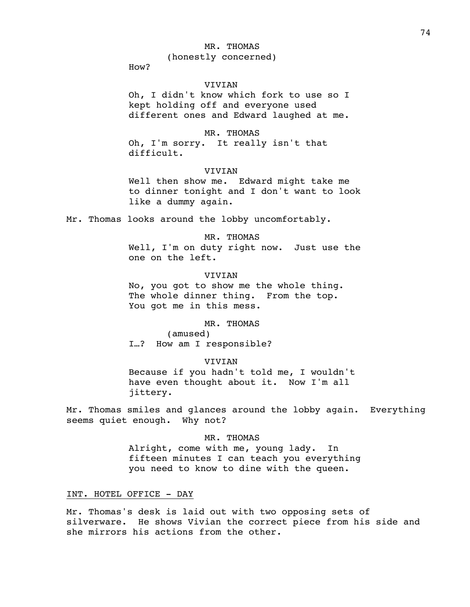#### MR. THOMAS

(honestly concerned)

How?

# VIVIAN

Oh, I didn't know which fork to use so I kept holding off and everyone used different ones and Edward laughed at me.

# MR. THOMAS

Oh, I'm sorry. It really isn't that difficult.

# **VIVIAN**

Well then show me. Edward might take me to dinner tonight and I don't want to look like a dummy again.

Mr. Thomas looks around the lobby uncomfortably.

MR. THOMAS

Well, I'm on duty right now. Just use the one on the left.

#### VIVIAN

No, you got to show me the whole thing. The whole dinner thing. From the top. You got me in this mess.

### MR. THOMAS

(amused) I…? How am I responsible?

#### VIVIAN

Because if you hadn't told me, I wouldn't have even thought about it. Now I'm all jittery.

Mr. Thomas smiles and glances around the lobby again. Everything seems quiet enough. Why not?

### MR. THOMAS

Alright, come with me, young lady. In fifteen minutes I can teach you everything you need to know to dine with the queen.

# INT. HOTEL OFFICE - DAY

Mr. Thomas's desk is laid out with two opposing sets of silverware. He shows Vivian the correct piece from his side and she mirrors his actions from the other.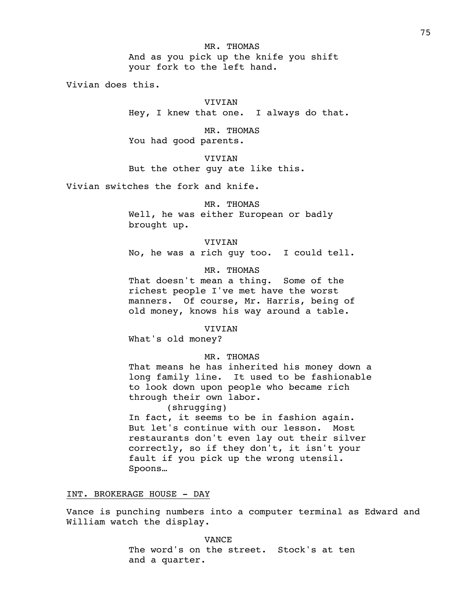Vivian does this.

#### VIVIAN

Hey, I knew that one. I always do that.

MR. THOMAS You had good parents.

VIVIAN But the other guy ate like this.

Vivian switches the fork and knife.

MR. THOMAS

Well, he was either European or badly brought up.

VIVIAN

No, he was a rich guy too. I could tell.

MR. THOMAS

That doesn't mean a thing. Some of the richest people I've met have the worst manners. Of course, Mr. Harris, being of old money, knows his way around a table.

VIVIAN

What's old money?

### MR. THOMAS

That means he has inherited his money down a long family line. It used to be fashionable to look down upon people who became rich through their own labor. (shrugging)

In fact, it seems to be in fashion again. But let's continue with our lesson. Most restaurants don't even lay out their silver correctly, so if they don't, it isn't your fault if you pick up the wrong utensil. Spoons…

INT. BROKERAGE HOUSE - DAY

Vance is punching numbers into a computer terminal as Edward and William watch the display.

> VANCE The word's on the street. Stock's at ten and a quarter.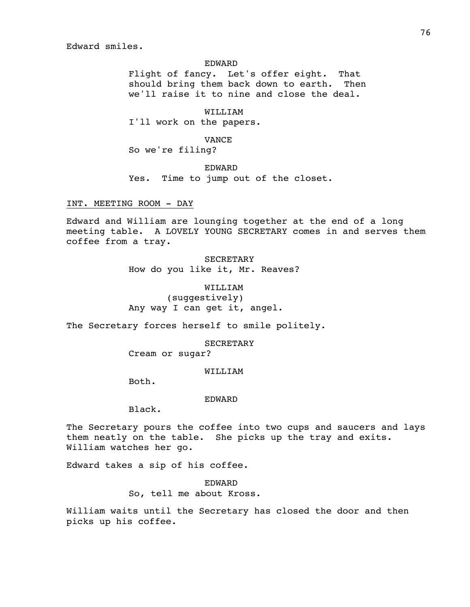Edward smiles.

#### EDWARD

Flight of fancy. Let's offer eight. That should bring them back down to earth. Then we'll raise it to nine and close the deal.

WILLIAM I'll work on the papers.

VANCE

So we're filing?

EDWARD

Yes. Time to jump out of the closet.

INT. MEETING ROOM - DAY

Edward and William are lounging together at the end of a long meeting table. A LOVELY YOUNG SECRETARY comes in and serves them coffee from a tray.

> **SECRETARY** How do you like it, Mr. Reaves?

WILLIAM (suggestively) Any way I can get it, angel.

The Secretary forces herself to smile politely.

SECRETARY

Cream or sugar?

### WILLIAM

Both.

#### EDWARD

Black.

The Secretary pours the coffee into two cups and saucers and lays them neatly on the table. She picks up the tray and exits. William watches her go.

Edward takes a sip of his coffee.

EDWARD So, tell me about Kross.

William waits until the Secretary has closed the door and then picks up his coffee.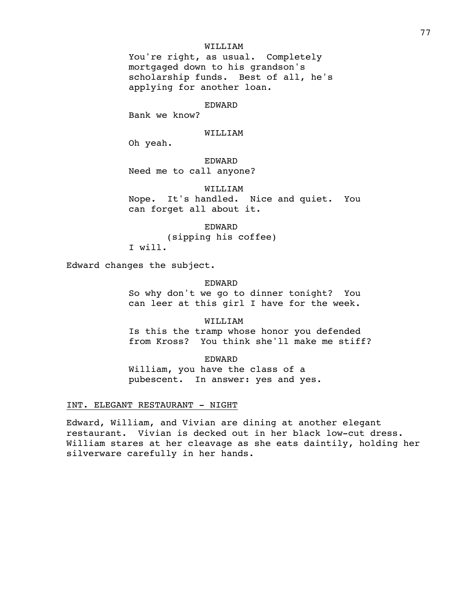### WILLIAM

You're right, as usual. Completely mortgaged down to his grandson's scholarship funds. Best of all, he's applying for another loan.

#### EDWARD

Bank we know?

#### WILLIAM

Oh yeah.

EDWARD Need me to call anyone?

WILLIAM Nope. It's handled. Nice and quiet. You can forget all about it.

EDWARD (sipping his coffee) I will.

Edward changes the subject.

# EDWARD

So why don't we go to dinner tonight? You can leer at this girl I have for the week.

WILLIAM

Is this the tramp whose honor you defended from Kross? You think she'll make me stiff?

EDWARD William, you have the class of a pubescent. In answer: yes and yes.

### INT. ELEGANT RESTAURANT - NIGHT

Edward, William, and Vivian are dining at another elegant restaurant. Vivian is decked out in her black low-cut dress. William stares at her cleavage as she eats daintily, holding her silverware carefully in her hands.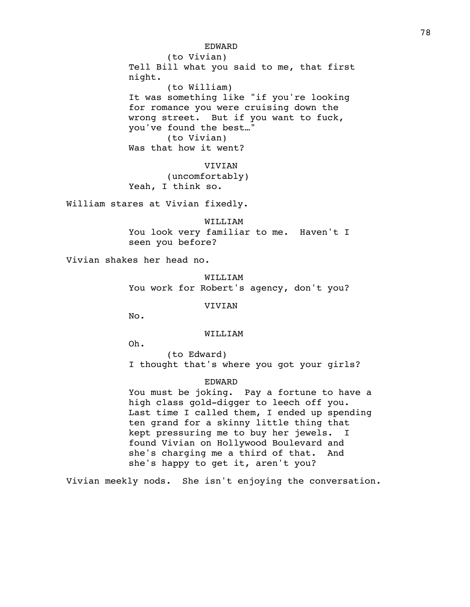EDWARD (to Vivian) Tell Bill what you said to me, that first night. (to William) It was something like "if you're looking for romance you were cruising down the wrong street. But if you want to fuck, you've found the best…" (to Vivian) Was that how it went?

VIVIAN (uncomfortably) Yeah, I think so.

William stares at Vivian fixedly.

WILLIAM You look very familiar to me. Haven't I seen you before?

Vivian shakes her head no.

WILLIAM You work for Robert's agency, don't you?

VIVIAN

No.

WILLIAM

Oh.

(to Edward) I thought that's where you got your girls?

EDWARD

You must be joking. Pay a fortune to have a high class gold-digger to leech off you. Last time I called them, I ended up spending ten grand for a skinny little thing that kept pressuring me to buy her jewels. I found Vivian on Hollywood Boulevard and she's charging me a third of that. And she's happy to get it, aren't you?

Vivian meekly nods. She isn't enjoying the conversation.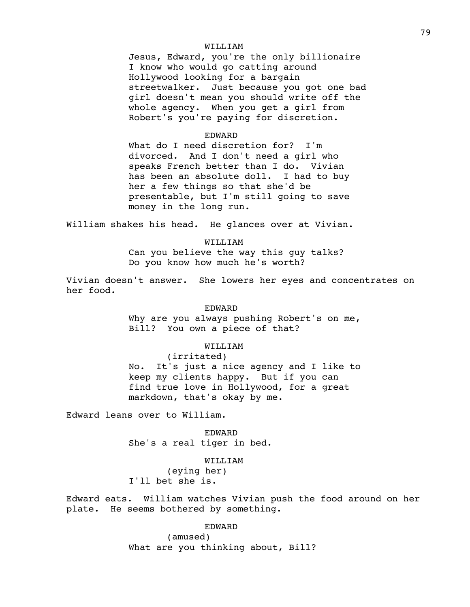# WILLIAM

Jesus, Edward, you're the only billionaire I know who would go catting around Hollywood looking for a bargain streetwalker. Just because you got one bad girl doesn't mean you should write off the whole agency. When you get a girl from Robert's you're paying for discretion.

### EDWARD

What do I need discretion for? I'm divorced. And I don't need a girl who speaks French better than I do. Vivian has been an absolute doll. I had to buy her a few things so that she'd be presentable, but I'm still going to save money in the long run.

William shakes his head. He glances over at Vivian.

### WILLIAM

Can you believe the way this guy talks? Do you know how much he's worth?

Vivian doesn't answer. She lowers her eyes and concentrates on her food.

### EDWARD

Why are you always pushing Robert's on me, Bill? You own a piece of that?

### WILLIAM

(irritated) No. It's just a nice agency and I like to keep my clients happy. But if you can find true love in Hollywood, for a great markdown, that's okay by me.

Edward leans over to William.

EDWARD She's a real tiger in bed.

### WILLIAM

(eying her) I'll bet she is.

Edward eats. William watches Vivian push the food around on her plate. He seems bothered by something.

# EDWARD

(amused) What are you thinking about, Bill?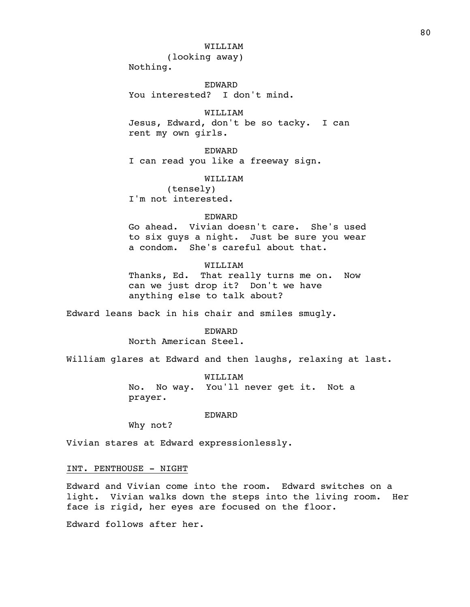# WILLIAM

(looking away)

Nothing.

EDWARD You interested? I don't mind.

WILLIAM

Jesus, Edward, don't be so tacky. I can rent my own girls.

EDWARD I can read you like a freeway sign.

#### WILLIAM

(tensely) I'm not interested.

#### EDWARD

Go ahead. Vivian doesn't care. She's used to six guys a night. Just be sure you wear a condom. She's careful about that.

# WILLIAM

Thanks, Ed. That really turns me on. Now can we just drop it? Don't we have anything else to talk about?

Edward leans back in his chair and smiles smugly.

EDWARD

North American Steel.

William glares at Edward and then laughs, relaxing at last.

WILLIAM No. No way. You'll never get it. Not a prayer.

### EDWARD

Why not?

Vivian stares at Edward expressionlessly.

### INT. PENTHOUSE - NIGHT

Edward and Vivian come into the room. Edward switches on a light. Vivian walks down the steps into the living room. Her face is rigid, her eyes are focused on the floor.

Edward follows after her.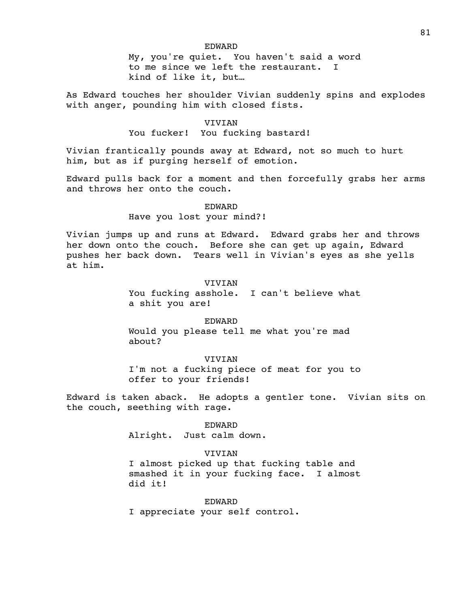### EDWARD

My, you're quiet. You haven't said a word to me since we left the restaurant. I kind of like it, but…

As Edward touches her shoulder Vivian suddenly spins and explodes with anger, pounding him with closed fists.

# VIVIAN

### You fucker! You fucking bastard!

Vivian frantically pounds away at Edward, not so much to hurt him, but as if purging herself of emotion.

Edward pulls back for a moment and then forcefully grabs her arms and throws her onto the couch.

# EDWARD

### Have you lost your mind?!

Vivian jumps up and runs at Edward. Edward grabs her and throws her down onto the couch. Before she can get up again, Edward pushes her back down. Tears well in Vivian's eyes as she yells at him.

# VIVIAN

You fucking asshole. I can't believe what a shit you are!

# EDWARD

Would you please tell me what you're mad about?

#### VIVIAN

I'm not a fucking piece of meat for you to offer to your friends!

Edward is taken aback. He adopts a gentler tone. Vivian sits on the couch, seething with rage.

# EDWARD

Alright. Just calm down.

#### **VIVIAN**

I almost picked up that fucking table and smashed it in your fucking face. I almost did it!

# EDWARD

I appreciate your self control.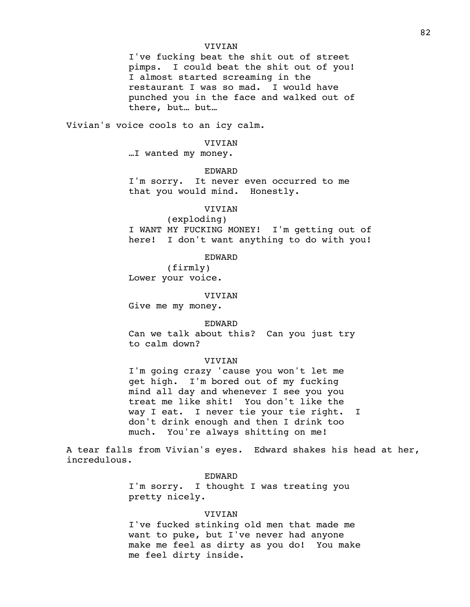### VIVIAN

I've fucking beat the shit out of street pimps. I could beat the shit out of you! I almost started screaming in the restaurant I was so mad. I would have punched you in the face and walked out of there, but… but…

Vivian's voice cools to an icy calm.

#### VIVIAN

…I wanted my money.

#### EDWARD

I'm sorry. It never even occurred to me that you would mind. Honestly.

# VIVIAN

(exploding) I WANT MY FUCKING MONEY! I'm getting out of here! I don't want anything to do with you!

### EDWARD

(firmly) Lower your voice.

#### VIVIAN

Give me my money.

#### EDWARD

Can we talk about this? Can you just try to calm down?

#### VIVIAN

I'm going crazy 'cause you won't let me get high. I'm bored out of my fucking mind all day and whenever I see you you treat me like shit! You don't like the way I eat. I never tie your tie right. I don't drink enough and then I drink too much. You're always shitting on me!

A tear falls from Vivian's eyes. Edward shakes his head at her, incredulous.

# EDWARD

I'm sorry. I thought I was treating you pretty nicely.

#### VIVIAN

I've fucked stinking old men that made me want to puke, but I've never had anyone make me feel as dirty as you do! You make me feel dirty inside.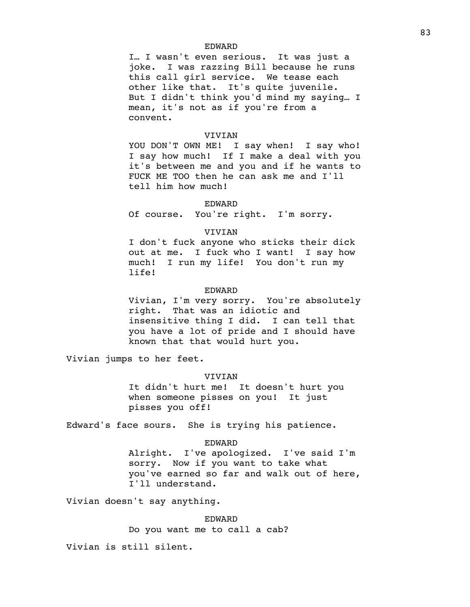### EDWARD

I… I wasn't even serious. It was just a joke. I was razzing Bill because he runs this call girl service. We tease each other like that. It's quite juvenile. But I didn't think you'd mind my saying… I mean, it's not as if you're from a convent.

### VIVIAN

YOU DON'T OWN ME! I say when! I say who! I say how much! If I make a deal with you it's between me and you and if he wants to FUCK ME TOO then he can ask me and I'll tell him how much!

#### EDWARD

Of course. You're right. I'm sorry.

### VIVIAN

I don't fuck anyone who sticks their dick out at me. I fuck who I want! I say how much! I run my life! You don't run my life!

### EDWARD

Vivian, I'm very sorry. You're absolutely right. That was an idiotic and insensitive thing I did. I can tell that you have a lot of pride and I should have known that that would hurt you.

Vivian jumps to her feet.

### VIVIAN

It didn't hurt me! It doesn't hurt you when someone pisses on you! It just pisses you off!

Edward's face sours. She is trying his patience.

### EDWARD

Alright. I've apologized. I've said I'm sorry. Now if you want to take what you've earned so far and walk out of here, I'll understand.

Vivian doesn't say anything.

EDWARD Do you want me to call a cab?

Vivian is still silent.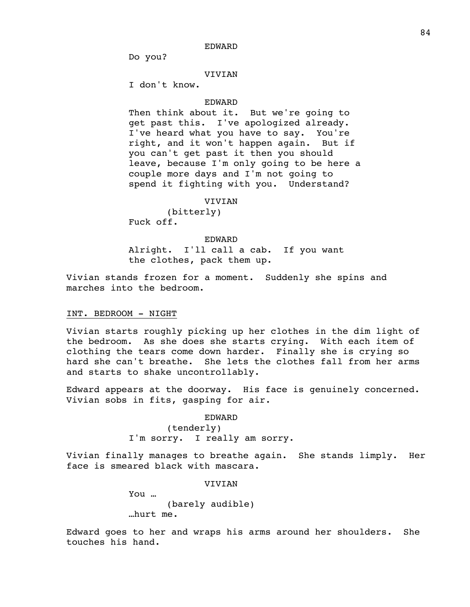EDWARD

Do you?

# VIVIAN

I don't know.

#### EDWARD

Then think about it. But we're going to get past this. I've apologized already. I've heard what you have to say. You're right, and it won't happen again. But if you can't get past it then you should leave, because I'm only going to be here a couple more days and I'm not going to spend it fighting with you. Understand?

# VIVIAN

(bitterly) Fuck off.

# EDWARD

Alright. I'll call a cab. If you want the clothes, pack them up.

Vivian stands frozen for a moment. Suddenly she spins and marches into the bedroom.

#### INT. BEDROOM - NIGHT

Vivian starts roughly picking up her clothes in the dim light of the bedroom. As she does she starts crying. With each item of clothing the tears come down harder. Finally she is crying so hard she can't breathe. She lets the clothes fall from her arms and starts to shake uncontrollably.

Edward appears at the doorway. His face is genuinely concerned. Vivian sobs in fits, gasping for air.

EDWARD

(tenderly) I'm sorry. I really am sorry.

Vivian finally manages to breathe again. She stands limply. Her face is smeared black with mascara.

> VIVIAN You … (barely audible) …hurt me.

Edward goes to her and wraps his arms around her shoulders. She touches his hand.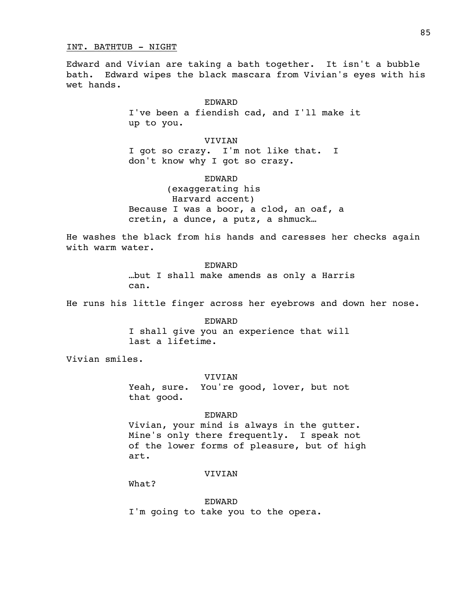#### INT. BATHTUB - NIGHT

Edward and Vivian are taking a bath together. It isn't a bubble bath. Edward wipes the black mascara from Vivian's eyes with his wet hands.

### EDWARD

I've been a fiendish cad, and I'll make it up to you.

# VIVIAN

I got so crazy. I'm not like that. I don't know why I got so crazy.

# EDWARD

(exaggerating his Harvard accent) Because I was a boor, a clod, an oaf, a cretin, a dunce, a putz, a shmuck…

He washes the black from his hands and caresses her checks again with warm water.

> EDWARD …but I shall make amends as only a Harris can.

He runs his little finger across her eyebrows and down her nose.

EDWARD I shall give you an experience that will last a lifetime.

Vivian smiles.

### VIVIAN

Yeah, sure. You're good, lover, but not that good.

# EDWARD

Vivian, your mind is always in the gutter. Mine's only there frequently. I speak not of the lower forms of pleasure, but of high art.

# VIVIAN

What?

EDWARD

I'm going to take you to the opera.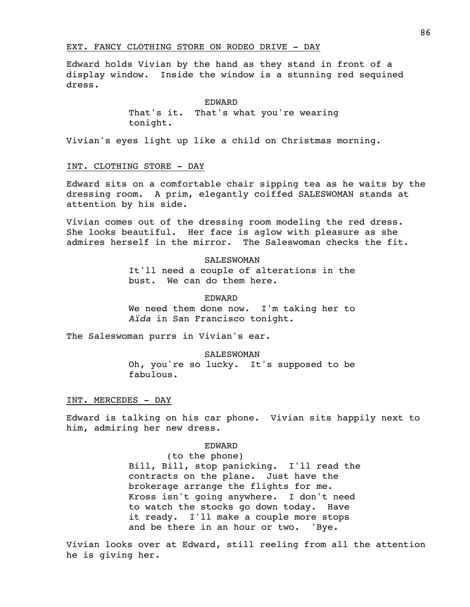# EXT. FANCY CLOTHING STORE ON RODEO DRIVE - DAY

Edward holds Vivian by the hand as they stand in front of a display window. Inside the window is a stunning red sequined dress.

#### EDWARD

That's it. That's what you're wearing tonight.

Vivian's eyes light up like a child on Christmas morning.

# INT. CLOTHING STORE - DAY

Edward sits on a comfortable chair sipping tea as he waits by the dressing room. A prim, elegantly coiffed SALESWOMAN stands at attention by his side.

Vivian comes out of the dressing room modeling the red dress. She looks beautiful. Her face is aglow with pleasure as she admires herself in the mirror. The Saleswoman checks the fit.

#### SALESWOMAN

It'll need a couple of alterations in the bust. We can do them here.

### EDWARD

We need them done now. I'm taking her to *Aïda* in San Francisco tonight.

The Saleswoman purrs in Vivian's ear.

SALESWOMAN

Oh, you're so lucky. It's supposed to be fabulous.

### INT. MERCEDES - DAY

Edward is talking on his car phone. Vivian sits happily next to him, admiring her new dress.

#### EDWARD

(to the phone) Bill, Bill, stop panicking. I'll read the contracts on the plane. Just have the brokerage arrange the flights for me. Kross isn't going anywhere. I don't need to watch the stocks go down today. Have it ready. I'll make a couple more stops and be there in an hour or two. 'Bye.

Vivian looks over at Edward, still reeling from all the attention he is giving her.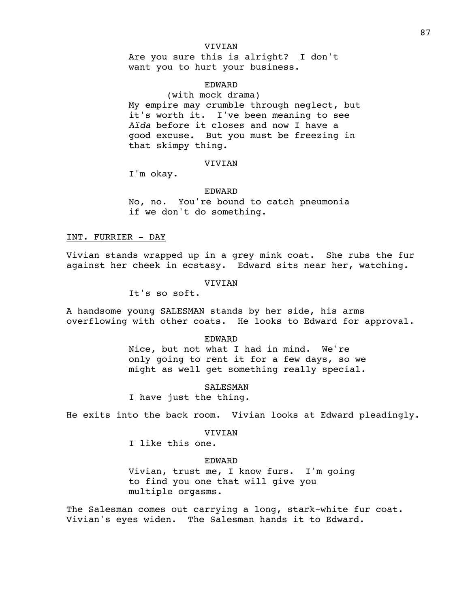# VIVIAN

Are you sure this is alright? I don't want you to hurt your business.

# EDWARD

(with mock drama) My empire may crumble through neglect, but it's worth it. I've been meaning to see *Aïda* before it closes and now I have a good excuse. But you must be freezing in that skimpy thing.

# VIVIAN

I'm okay.

#### EDWARD

No, no. You're bound to catch pneumonia if we don't do something.

# INT. FURRIER - DAY

Vivian stands wrapped up in a grey mink coat. She rubs the fur against her cheek in ecstasy. Edward sits near her, watching.

VIVIAN

It's so soft.

A handsome young SALESMAN stands by her side, his arms overflowing with other coats. He looks to Edward for approval.

#### EDWARD

Nice, but not what I had in mind. We're only going to rent it for a few days, so we might as well get something really special.

# SALESMAN

I have just the thing.

He exits into the back room. Vivian looks at Edward pleadingly.

#### VIVIAN

I like this one.

### EDWARD

Vivian, trust me, I know furs. I'm going to find you one that will give you multiple orgasms.

The Salesman comes out carrying a long, stark-white fur coat. Vivian's eyes widen. The Salesman hands it to Edward.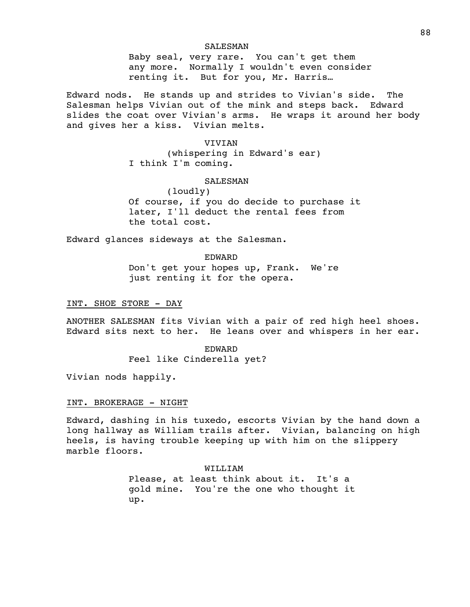### SALESMAN

Baby seal, very rare. You can't get them any more. Normally I wouldn't even consider renting it. But for you, Mr. Harris…

Edward nods. He stands up and strides to Vivian's side. The Salesman helps Vivian out of the mink and steps back. Edward slides the coat over Vivian's arms. He wraps it around her body and gives her a kiss. Vivian melts.

VIVIAN

(whispering in Edward's ear) I think I'm coming.

# SALESMAN

(loudly) Of course, if you do decide to purchase it later, I'll deduct the rental fees from the total cost.

Edward glances sideways at the Salesman.

EDWARD Don't get your hopes up, Frank. We're just renting it for the opera.

INT. SHOE STORE - DAY

ANOTHER SALESMAN fits Vivian with a pair of red high heel shoes. Edward sits next to her. He leans over and whispers in her ear.

EDWARD

Feel like Cinderella yet?

Vivian nods happily.

### INT. BROKERAGE - NIGHT

Edward, dashing in his tuxedo, escorts Vivian by the hand down a long hallway as William trails after. Vivian, balancing on high heels, is having trouble keeping up with him on the slippery marble floors.

> WILLIAM Please, at least think about it. It's a gold mine. You're the one who thought it up.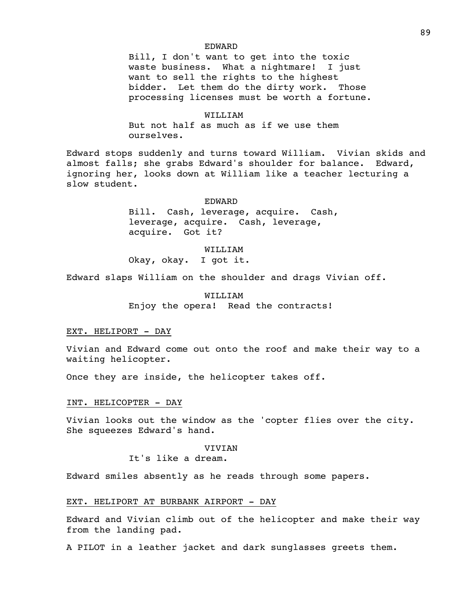#### EDWARD

Bill, I don't want to get into the toxic waste business. What a nightmare! I just want to sell the rights to the highest bidder. Let them do the dirty work. Those processing licenses must be worth a fortune.

### WILLIAM

But not half as much as if we use them ourselves.

Edward stops suddenly and turns toward William. Vivian skids and almost falls; she grabs Edward's shoulder for balance. Edward, ignoring her, looks down at William like a teacher lecturing a slow student.

#### EDWARD

Bill. Cash, leverage, acquire. Cash, leverage, acquire. Cash, leverage, acquire. Got it?

# WILLIAM

Okay, okay. I got it.

Edward slaps William on the shoulder and drags Vivian off.

WILLIAM Enjoy the opera! Read the contracts!

### EXT. HELIPORT - DAY

Vivian and Edward come out onto the roof and make their way to a waiting helicopter.

Once they are inside, the helicopter takes off.

#### INT. HELICOPTER - DAY

Vivian looks out the window as the 'copter flies over the city. She squeezes Edward's hand.

### **VIVIAN**

It's like a dream.

Edward smiles absently as he reads through some papers.

# EXT. HELIPORT AT BURBANK AIRPORT - DAY

Edward and Vivian climb out of the helicopter and make their way from the landing pad.

A PILOT in a leather jacket and dark sunglasses greets them.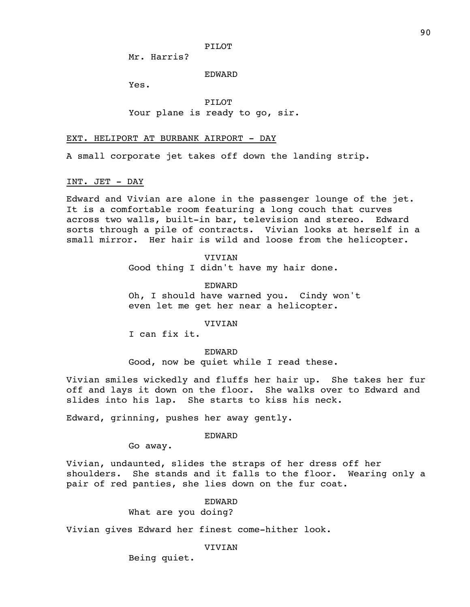PILOT

Mr. Harris?

EDWARD

Yes.

PILOT Your plane is ready to go, sir.

### EXT. HELIPORT AT BURBANK AIRPORT - DAY

A small corporate jet takes off down the landing strip.

### INT. JET - DAY

Edward and Vivian are alone in the passenger lounge of the jet. It is a comfortable room featuring a long couch that curves across two walls, built-in bar, television and stereo. Edward sorts through a pile of contracts. Vivian looks at herself in a small mirror. Her hair is wild and loose from the helicopter.

> VIVIAN Good thing I didn't have my hair done.

EDWARD Oh, I should have warned you. Cindy won't even let me get her near a helicopter.

VIVIAN

I can fix it.

EDWARD

Good, now be quiet while I read these.

Vivian smiles wickedly and fluffs her hair up. She takes her fur off and lays it down on the floor. She walks over to Edward and slides into his lap. She starts to kiss his neck.

Edward, grinning, pushes her away gently.

### EDWARD

Go away.

Vivian, undaunted, slides the straps of her dress off her shoulders. She stands and it falls to the floor. Wearing only a pair of red panties, she lies down on the fur coat.

# EDWARD

What are you doing?

Vivian gives Edward her finest come-hither look.

VIVIAN

Being quiet.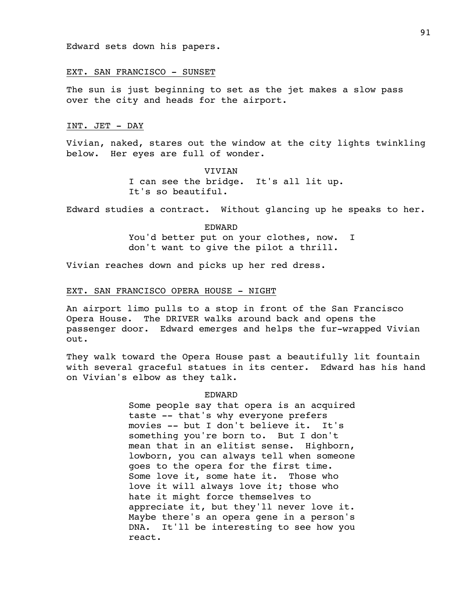Edward sets down his papers.

### EXT. SAN FRANCISCO - SUNSET

The sun is just beginning to set as the jet makes a slow pass over the city and heads for the airport.

# INT. JET - DAY

Vivian, naked, stares out the window at the city lights twinkling below. Her eyes are full of wonder.

> VIVIAN I can see the bridge. It's all lit up. It's so beautiful.

Edward studies a contract. Without glancing up he speaks to her.

EDWARD You'd better put on your clothes, now. I don't want to give the pilot a thrill.

Vivian reaches down and picks up her red dress.

### EXT. SAN FRANCISCO OPERA HOUSE - NIGHT

An airport limo pulls to a stop in front of the San Francisco Opera House. The DRIVER walks around back and opens the passenger door. Edward emerges and helps the fur-wrapped Vivian out.

They walk toward the Opera House past a beautifully lit fountain with several graceful statues in its center. Edward has his hand on Vivian's elbow as they talk.

### EDWARD

Some people say that opera is an acquired taste -- that's why everyone prefers movies -- but I don't believe it. It's something you're born to. But I don't mean that in an elitist sense. Highborn, lowborn, you can always tell when someone goes to the opera for the first time. Some love it, some hate it. Those who love it will always love it; those who hate it might force themselves to appreciate it, but they'll never love it. Maybe there's an opera gene in a person's DNA. It'll be interesting to see how you react.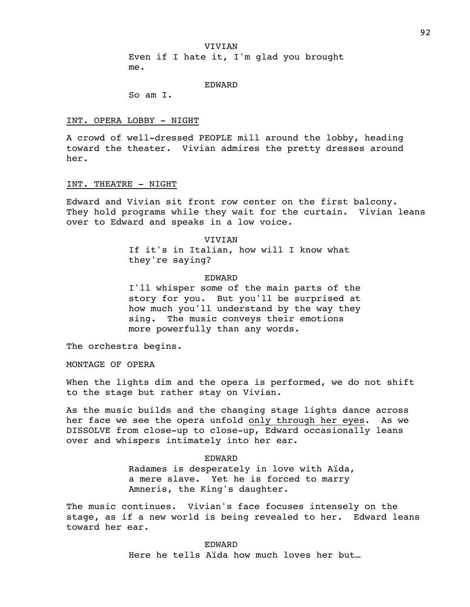VIVIAN

Even if I hate it, I'm glad you brought me.

EDWARD

So am I.

#### INT. OPERA LOBBY - NIGHT

A crowd of well-dressed PEOPLE mill around the lobby, heading toward the theater. Vivian admires the pretty dresses around her.

#### INT. THEATRE - NIGHT

Edward and Vivian sit front row center on the first balcony. They hold programs while they wait for the curtain. Vivian leans over to Edward and speaks in a low voice.

VIVIAN

If it's in Italian, how will I know what they're saying?

### EDWARD

I'll whisper some of the main parts of the story for you. But you'll be surprised at how much you'll understand by the way they sing. The music conveys their emotions more powerfully than any words.

The orchestra begins.

MONTAGE OF OPERA

When the lights dim and the opera is performed, we do not shift to the stage but rather stay on Vivian.

As the music builds and the changing stage lights dance across her face we see the opera unfold only through her eyes.As we DISSOLVE from close-up to close-up, Edward occasionally leans over and whispers intimately into her ear.

> EDWARD Radames is desperately in love with Aïda, a mere slave. Yet he is forced to marry Amneris, the King's daughter.

The music continues. Vivian's face focuses intensely on the stage, as if a new world is being revealed to her. Edward leans toward her ear.

> EDWARD Here he tells Aïda how much loves her but…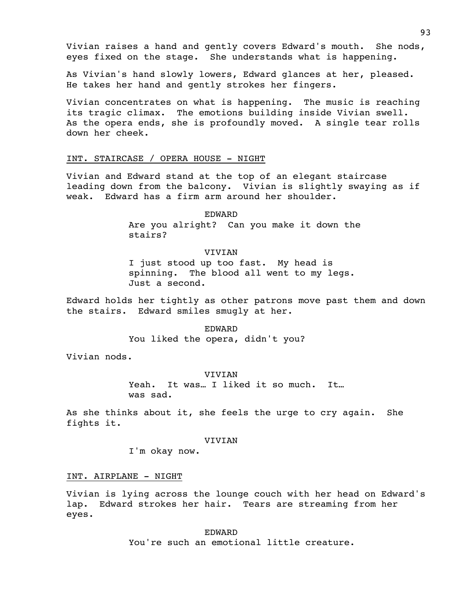Vivian raises a hand and gently covers Edward's mouth. She nods, eyes fixed on the stage. She understands what is happening.

As Vivian's hand slowly lowers, Edward glances at her, pleased. He takes her hand and gently strokes her fingers.

Vivian concentrates on what is happening. The music is reaching its tragic climax. The emotions building inside Vivian swell. As the opera ends, she is profoundly moved. A single tear rolls down her cheek.

### INT. STAIRCASE / OPERA HOUSE - NIGHT

Vivian and Edward stand at the top of an elegant staircase leading down from the balcony. Vivian is slightly swaying as if weak. Edward has a firm arm around her shoulder.

EDWARD

Are you alright? Can you make it down the stairs?

VIVIAN I just stood up too fast. My head is spinning. The blood all went to my legs. Just a second.

Edward holds her tightly as other patrons move past them and down the stairs. Edward smiles smugly at her.

> EDWARD You liked the opera, didn't you?

Vivian nods.

#### VIVIAN

Yeah. It was... I liked it so much. It... was sad.

As she thinks about it, she feels the urge to cry again. She fights it.

#### VIVIAN

I'm okay now.

# INT. AIRPLANE - NIGHT

Vivian is lying across the lounge couch with her head on Edward's lap. Edward strokes her hair. Tears are streaming from her eyes.

> EDWARD You're such an emotional little creature.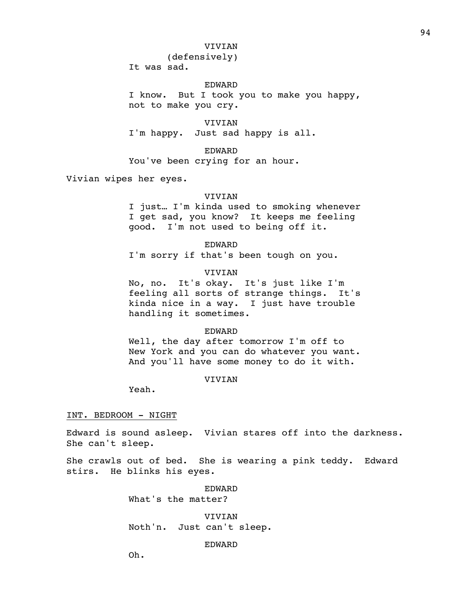### VIVIAN

(defensively)

It was sad.

# EDWARD

I know. But I took you to make you happy, not to make you cry.

VIVIAN I'm happy. Just sad happy is all.

EDWARD You've been crying for an hour.

Vivian wipes her eyes.

#### VIVIAN

I just… I'm kinda used to smoking whenever I get sad, you know? It keeps me feeling good. I'm not used to being off it.

EDWARD

I'm sorry if that's been tough on you.

#### VIVIAN

No, no. It's okay. It's just like I'm feeling all sorts of strange things. It's kinda nice in a way. I just have trouble handling it sometimes.

### EDWARD

Well, the day after tomorrow I'm off to New York and you can do whatever you want. And you'll have some money to do it with.

# VIVIAN

Yeah.

#### INT. BEDROOM - NIGHT

Edward is sound asleep. Vivian stares off into the darkness. She can't sleep.

She crawls out of bed. She is wearing a pink teddy. Edward stirs. He blinks his eyes.

EDWARD

What's the matter?

VIVIAN Noth'n. Just can't sleep.

# EDWARD

Oh.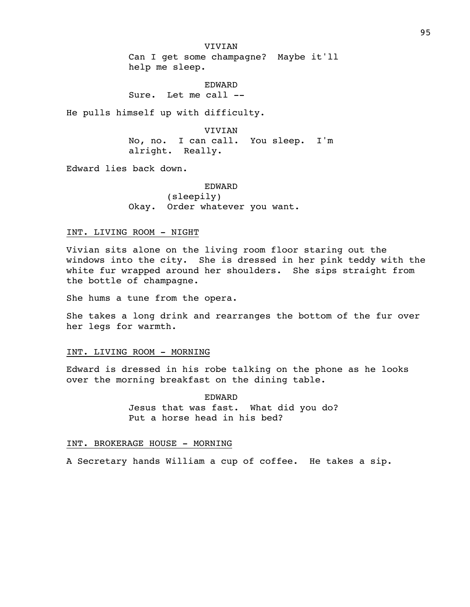VIVIAN Can I get some champagne? Maybe it'll help me sleep.

EDWARD Sure. Let me call --

He pulls himself up with difficulty.

VIVIAN No, no. I can call. You sleep. I'm alright. Really.

Edward lies back down.

EDWARD (sleepily) Okay. Order whatever you want.

### INT. LIVING ROOM - NIGHT

Vivian sits alone on the living room floor staring out the windows into the city. She is dressed in her pink teddy with the white fur wrapped around her shoulders. She sips straight from the bottle of champagne.

She hums a tune from the opera.

She takes a long drink and rearranges the bottom of the fur over her legs for warmth.

# INT. LIVING ROOM - MORNING

Edward is dressed in his robe talking on the phone as he looks over the morning breakfast on the dining table.

> EDWARD Jesus that was fast. What did you do? Put a horse head in his bed?

# INT. BROKERAGE HOUSE - MORNING

A Secretary hands William a cup of coffee. He takes a sip.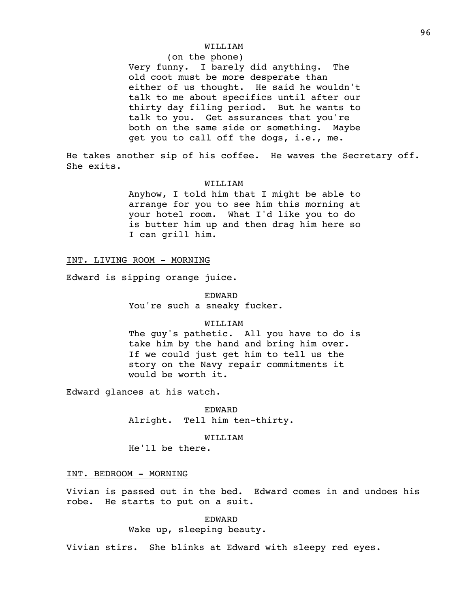# WILLIAM

# (on the phone)

Very funny. I barely did anything. The old coot must be more desperate than either of us thought. He said he wouldn't talk to me about specifics until after our thirty day filing period. But he wants to talk to you. Get assurances that you're both on the same side or something. Maybe get you to call off the dogs, i.e., me.

He takes another sip of his coffee. He waves the Secretary off. She exits.

#### WILLIAM

Anyhow, I told him that I might be able to arrange for you to see him this morning at your hotel room. What I'd like you to do is butter him up and then drag him here so I can grill him.

#### INT. LIVING ROOM - MORNING

Edward is sipping orange juice.

EDWARD You're such a sneaky fucker.

#### WILLIAM

The guy's pathetic. All you have to do is take him by the hand and bring him over. If we could just get him to tell us the story on the Navy repair commitments it would be worth it.

Edward glances at his watch.

EDWARD Alright. Tell him ten-thirty.

### WILLIAM

He'll be there.

# INT. BEDROOM - MORNING

Vivian is passed out in the bed. Edward comes in and undoes his robe. He starts to put on a suit.

> EDWARD Wake up, sleeping beauty.

Vivian stirs. She blinks at Edward with sleepy red eyes.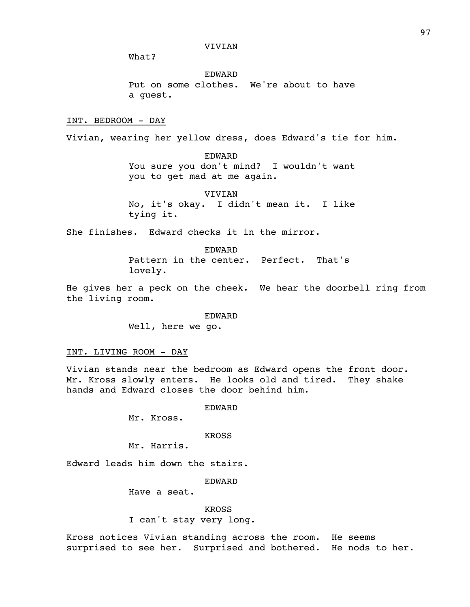What?

EDWARD Put on some clothes. We're about to have a guest.

### INT. BEDROOM - DAY

Vivian, wearing her yellow dress, does Edward's tie for him.

EDWARD You sure you don't mind? I wouldn't want you to get mad at me again.

VIVIAN No, it's okay. I didn't mean it. I like tying it.

She finishes. Edward checks it in the mirror.

EDWARD Pattern in the center. Perfect. That's lovely.

He gives her a peck on the cheek. We hear the doorbell ring from the living room.

> EDWARD Well, here we go.

INT. LIVING ROOM - DAY

Vivian stands near the bedroom as Edward opens the front door. Mr. Kross slowly enters. He looks old and tired. They shake hands and Edward closes the door behind him.

EDWARD

Mr. Kross.

KROSS

Mr. Harris.

Edward leads him down the stairs.

EDWARD

Have a seat.

KROSS I can't stay very long.

Kross notices Vivian standing across the room. He seems surprised to see her. Surprised and bothered. He nods to her.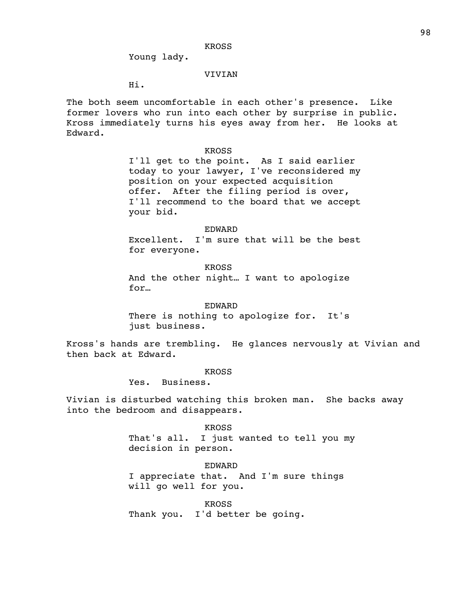Young lady.

# VIVIAN

Hi.

The both seem uncomfortable in each other's presence. Like former lovers who run into each other by surprise in public. Kross immediately turns his eyes away from her. He looks at Edward.

#### KROSS

I'll get to the point. As I said earlier today to your lawyer, I've reconsidered my position on your expected acquisition offer. After the filing period is over, I'll recommend to the board that we accept your bid.

EDWARD Excellent. I'm sure that will be the best for everyone.

KROSS And the other night… I want to apologize for…

EDWARD There is nothing to apologize for. It's just business.

Kross's hands are trembling. He glances nervously at Vivian and then back at Edward.

### KROSS

Yes. Business.

Vivian is disturbed watching this broken man. She backs away into the bedroom and disappears.

> KROSS That's all. I just wanted to tell you my decision in person.

#### EDWARD

I appreciate that. And I'm sure things will go well for you.

KROSS Thank you. I'd better be going.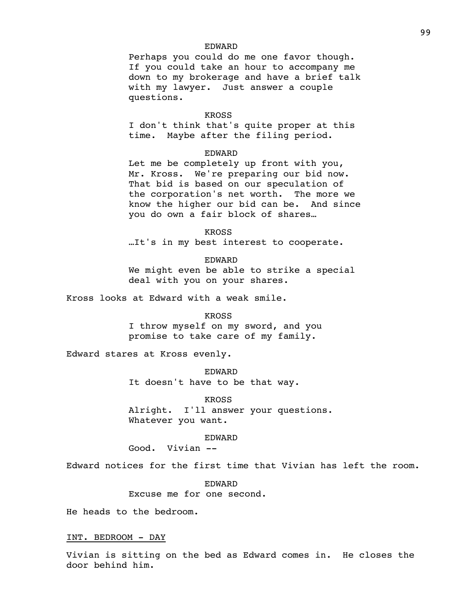# EDWARD

Perhaps you could do me one favor though. If you could take an hour to accompany me down to my brokerage and have a brief talk with my lawyer. Just answer a couple questions.

#### KROSS

I don't think that's quite proper at this time. Maybe after the filing period.

### EDWARD

Let me be completely up front with you, Mr. Kross. We're preparing our bid now. That bid is based on our speculation of the corporation's net worth. The more we know the higher our bid can be. And since you do own a fair block of shares…

KROSS …It's in my best interest to cooperate.

EDWARD

We might even be able to strike a special deal with you on your shares.

Kross looks at Edward with a weak smile.

#### KROSS

I throw myself on my sword, and you promise to take care of my family.

Edward stares at Kross evenly.

EDWARD It doesn't have to be that way.

KROSS Alright. I'll answer your questions. Whatever you want.

EDWARD

Good. Vivian --

Edward notices for the first time that Vivian has left the room.

EDWARD Excuse me for one second.

He heads to the bedroom.

### INT. BEDROOM - DAY

Vivian is sitting on the bed as Edward comes in. He closes the door behind him.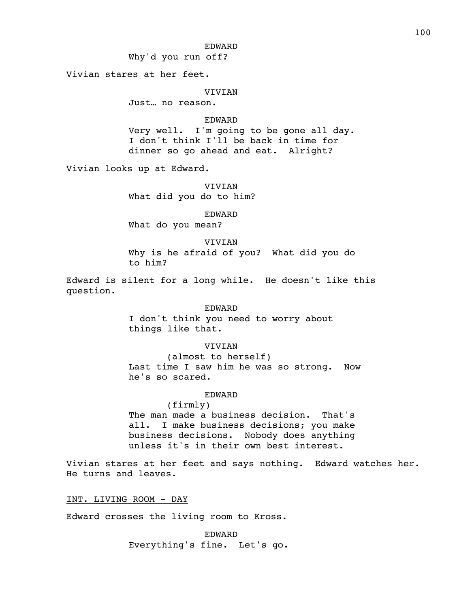### EDWARD

Why'd you run off?

Vivian stares at her feet.

#### **VIVIAN**

Just… no reason.

### EDWARD

Very well. I'm going to be gone all day. I don't think I'll be back in time for dinner so go ahead and eat. Alright?

Vivian looks up at Edward.

VIVIAN What did you do to him?

EDWARD

What do you mean?

VIVIAN Why is he afraid of you? What did you do to him?

Edward is silent for a long while. He doesn't like this question.

# EDWARD

I don't think you need to worry about things like that.

# VIVIAN

(almost to herself) Last time I saw him he was so strong. Now he's so scared.

### EDWARD

(firmly) The man made a business decision. That's all. I make business decisions; you make business decisions. Nobody does anything unless it's in their own best interest.

Vivian stares at her feet and says nothing. Edward watches her. He turns and leaves.

INT. LIVING ROOM - DAY

Edward crosses the living room to Kross.

EDWARD Everything's fine. Let's go.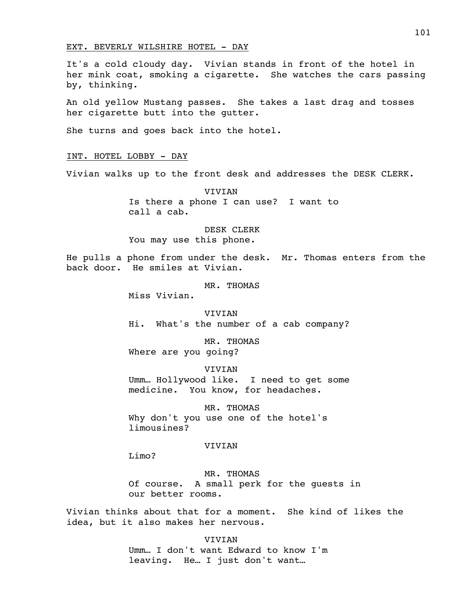#### EXT. BEVERLY WILSHIRE HOTEL - DAY

It's a cold cloudy day. Vivian stands in front of the hotel in her mink coat, smoking a cigarette. She watches the cars passing by, thinking.

An old yellow Mustang passes. She takes a last drag and tosses her cigarette butt into the gutter.

She turns and goes back into the hotel.

#### INT. HOTEL LOBBY - DAY

Vivian walks up to the front desk and addresses the DESK CLERK.

VIVIAN Is there a phone I can use? I want to call a cab.

DESK CLERK You may use this phone.

He pulls a phone from under the desk. Mr. Thomas enters from the back door. He smiles at Vivian.

MR. THOMAS

Miss Vivian.

VIVIAN Hi. What's the number of a cab company?

MR. THOMAS Where are you going?

VIVIAN Umm… Hollywood like. I need to get some medicine. You know, for headaches.

MR. THOMAS Why don't you use one of the hotel's limousines?

#### VIVIAN

Limo?

MR. THOMAS Of course. A small perk for the guests in our better rooms.

Vivian thinks about that for a moment. She kind of likes the idea, but it also makes her nervous.

> VIVIAN Umm… I don't want Edward to know I'm leaving. He… I just don't want…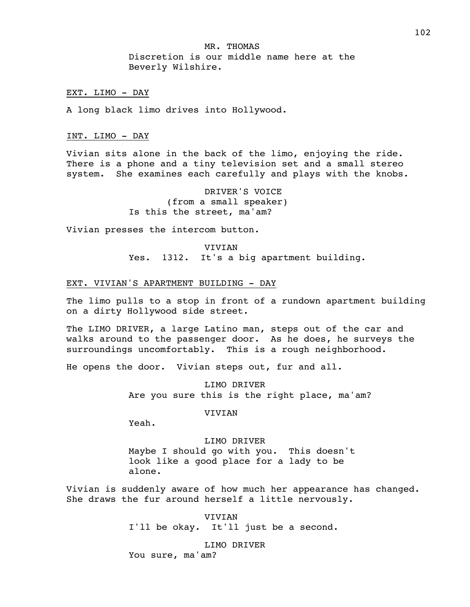MR. THOMAS Discretion is our middle name here at the Beverly Wilshire.

### EXT. LIMO - DAY

A long black limo drives into Hollywood.

#### INT. LIMO - DAY

Vivian sits alone in the back of the limo, enjoying the ride. There is a phone and a tiny television set and a small stereo system. She examines each carefully and plays with the knobs.

> DRIVER'S VOICE (from a small speaker) Is this the street, ma'am?

Vivian presses the intercom button.

**VIVIAN** Yes. 1312. It's a big apartment building.

### EXT. VIVIAN'S APARTMENT BUILDING - DAY

The limo pulls to a stop in front of a rundown apartment building on a dirty Hollywood side street.

The LIMO DRIVER, a large Latino man, steps out of the car and walks around to the passenger door. As he does, he surveys the surroundings uncomfortably. This is a rough neighborhood.

He opens the door. Vivian steps out, fur and all.

LIMO DRIVER Are you sure this is the right place, ma'am?

### VIVIAN

Yeah.

### LIMO DRIVER

Maybe I should go with you. This doesn't look like a good place for a lady to be alone.

Vivian is suddenly aware of how much her appearance has changed. She draws the fur around herself a little nervously.

> VIVIAN I'll be okay. It'll just be a second.

LIMO DRIVER You sure, ma'am?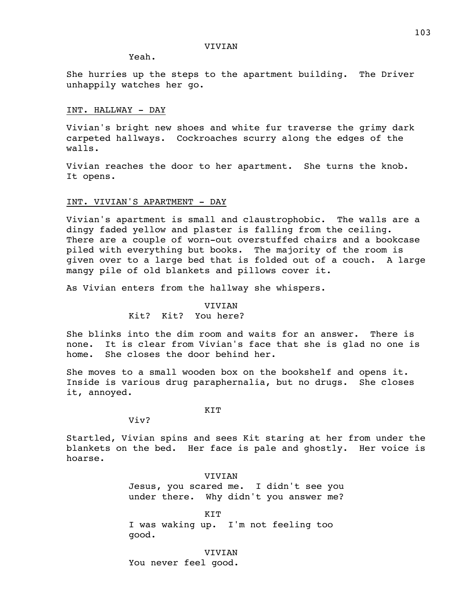Yeah.

She hurries up the steps to the apartment building. The Driver unhappily watches her go.

# INT. HALLWAY - DAY

Vivian's bright new shoes and white fur traverse the grimy dark carpeted hallways. Cockroaches scurry along the edges of the walls.

Vivian reaches the door to her apartment. She turns the knob. It opens.

# INT. VIVIAN'S APARTMENT - DAY

Vivian's apartment is small and claustrophobic. The walls are a dingy faded yellow and plaster is falling from the ceiling. There are a couple of worn-out overstuffed chairs and a bookcase piled with everything but books. The majority of the room is given over to a large bed that is folded out of a couch. A large mangy pile of old blankets and pillows cover it.

As Vivian enters from the hallway she whispers.

### **VIVIAN**

# Kit? Kit? You here?

She blinks into the dim room and waits for an answer. There is none. It is clear from Vivian's face that she is glad no one is home. She closes the door behind her.

She moves to a small wooden box on the bookshelf and opens it. Inside is various drug paraphernalia, but no drugs. She closes it, annoyed.

#### KIT

Viv?

Startled, Vivian spins and sees Kit staring at her from under the blankets on the bed. Her face is pale and ghostly. Her voice is hoarse.

> VIVIAN Jesus, you scared me. I didn't see you under there. Why didn't you answer me?

KIT I was waking up. I'm not feeling too good.

VIVIAN You never feel good.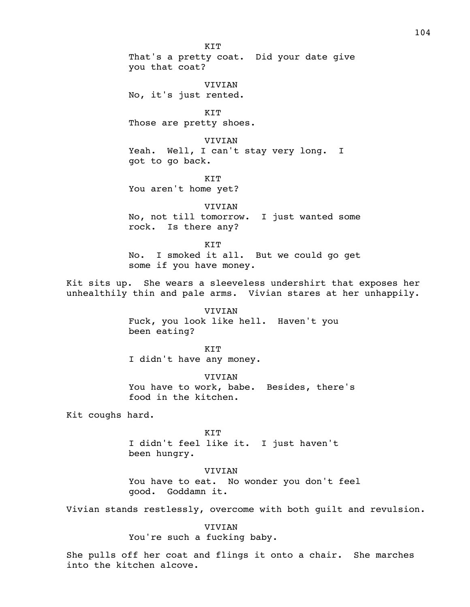KIT That's a pretty coat. Did your date give you that coat? VIVIAN No, it's just rented. KIT Those are pretty shoes. VIVIAN Yeah. Well, I can't stay very long. I got to go back. KIT You aren't home yet? VIVIAN No, not till tomorrow. I just wanted some rock. Is there any? KIT No. I smoked it all. But we could go get some if you have money. Kit sits up. She wears a sleeveless undershirt that exposes her unhealthily thin and pale arms. Vivian stares at her unhappily. VIVIAN Fuck, you look like hell. Haven't you been eating? KIT I didn't have any money. VIVIAN You have to work, babe. Besides, there's food in the kitchen. Kit coughs hard. KIT I didn't feel like it. I just haven't been hungry.

> VIVIAN You have to eat. No wonder you don't feel good. Goddamn it.

Vivian stands restlessly, overcome with both guilt and revulsion.

VIVIAN You're such a fucking baby.

She pulls off her coat and flings it onto a chair. She marches into the kitchen alcove.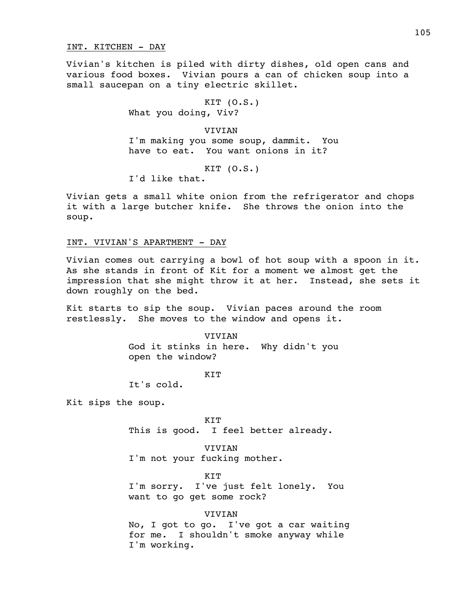#### INT. KITCHEN - DAY

Vivian's kitchen is piled with dirty dishes, old open cans and various food boxes. Vivian pours a can of chicken soup into a small saucepan on a tiny electric skillet.

> KIT (O.S.) What you doing, Viv?

VIVIAN I'm making you some soup, dammit. You have to eat. You want onions in it?

KIT (O.S.)

I'd like that.

Vivian gets a small white onion from the refrigerator and chops it with a large butcher knife. She throws the onion into the soup.

# INT. VIVIAN'S APARTMENT - DAY

Vivian comes out carrying a bowl of hot soup with a spoon in it. As she stands in front of Kit for a moment we almost get the impression that she might throw it at her. Instead, she sets it down roughly on the bed.

Kit starts to sip the soup. Vivian paces around the room restlessly. She moves to the window and opens it.

> VIVIAN God it stinks in here. Why didn't you open the window?

> > KIT

It's cold.

Kit sips the soup.

KIT This is good. I feel better already.

VIVIAN I'm not your fucking mother.

KIT

I'm sorry. I've just felt lonely. You want to go get some rock?

### VIVIAN

No, I got to go. I've got a car waiting for me. I shouldn't smoke anyway while I'm working.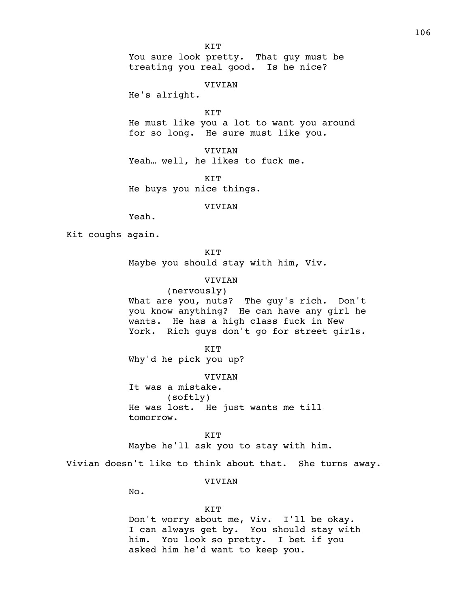KIT

You sure look pretty. That guy must be treating you real good. Is he nice?

VIVIAN

He's alright.

KIT

He must like you a lot to want you around for so long. He sure must like you.

VIVIAN Yeah… well, he likes to fuck me.

KIT He buys you nice things.

VIVIAN

Yeah.

Kit coughs again.

KIT Maybe you should stay with him, Viv.

VIVIAN

(nervously) What are you, nuts? The guy's rich. Don't you know anything? He can have any girl he wants. He has a high class fuck in New York. Rich guys don't go for street girls.

KIT

Why'd he pick you up?

VIVIAN It was a mistake. (softly)

He was lost. He just wants me till tomorrow.

KIT Maybe he'll ask you to stay with him.

Vivian doesn't like to think about that. She turns away.

VIVIAN

No.

#### KIT

Don't worry about me, Viv. I'll be okay. I can always get by. You should stay with him. You look so pretty. I bet if you asked him he'd want to keep you.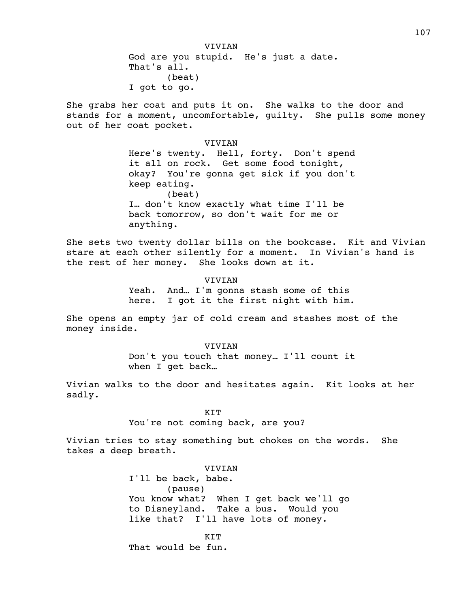VIVIAN God are you stupid. He's just a date. That's all. (beat) I got to go.

She grabs her coat and puts it on. She walks to the door and stands for a moment, uncomfortable, guilty. She pulls some money out of her coat pocket.

> VIVIAN Here's twenty. Hell, forty. Don't spend it all on rock. Get some food tonight, okay? You're gonna get sick if you don't keep eating. (beat) I… don't know exactly what time I'll be back tomorrow, so don't wait for me or anything.

She sets two twenty dollar bills on the bookcase. Kit and Vivian stare at each other silently for a moment. In Vivian's hand is the rest of her money. She looks down at it.

> **VIVIAN** Yeah. And… I'm gonna stash some of this here. I got it the first night with him.

She opens an empty jar of cold cream and stashes most of the money inside.

> VIVIAN Don't you touch that money… I'll count it when I get back…

Vivian walks to the door and hesitates again. Kit looks at her sadly.

KIT

You're not coming back, are you?

Vivian tries to stay something but chokes on the words. She takes a deep breath.

> VIVIAN I'll be back, babe. (pause) You know what? When I get back we'll go to Disneyland. Take a bus. Would you like that? I'll have lots of money.

**KTT** That would be fun.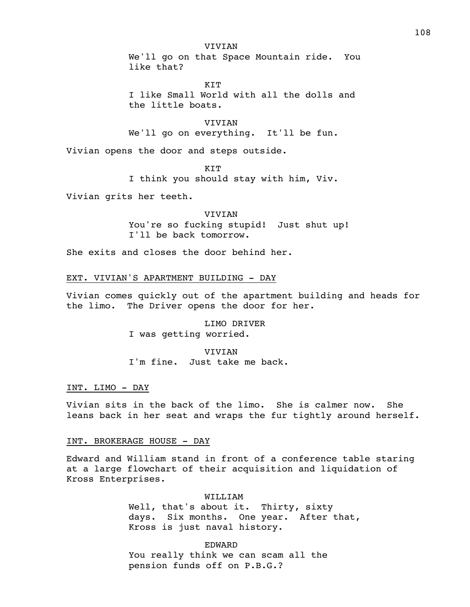VIVIAN We'll go on that Space Mountain ride. You like that?

KIT I like Small World with all the dolls and the little boats.

VIVIAN We'll go on everything. It'll be fun.

Vivian opens the door and steps outside.

**KTT** 

I think you should stay with him, Viv.

Vivian grits her teeth.

VIVIAN You're so fucking stupid! Just shut up! I'll be back tomorrow.

She exits and closes the door behind her.

# EXT. VIVIAN'S APARTMENT BUILDING - DAY

Vivian comes quickly out of the apartment building and heads for the limo. The Driver opens the door for her.

> LIMO DRIVER I was getting worried.

**VIVIAN** I'm fine. Just take me back.

## INT. LIMO - DAY

Vivian sits in the back of the limo. She is calmer now. She leans back in her seat and wraps the fur tightly around herself.

### INT. BROKERAGE HOUSE - DAY

Edward and William stand in front of a conference table staring at a large flowchart of their acquisition and liquidation of Kross Enterprises.

> WILLIAM Well, that's about it. Thirty, sixty days. Six months. One year. After that, Kross is just naval history.

EDWARD You really think we can scam all the pension funds off on P.B.G.?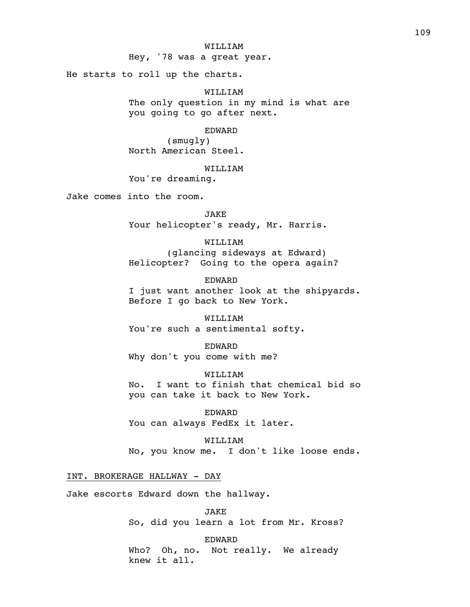### WILLIAM

Hey, '78 was a great year.

He starts to roll up the charts.

WILLIAM The only question in my mind is what are you going to go after next.

# EDWARD

(smugly) North American Steel.

#### WILLIAM

You're dreaming.

Jake comes into the room.

JAKE Your helicopter's ready, Mr. Harris.

WILLIAM (glancing sideways at Edward) Helicopter? Going to the opera again?

EDWARD I just want another look at the shipyards. Before I go back to New York.

WILLIAM You're such a sentimental softy.

EDWARD Why don't you come with me?

WILLIAM No. I want to finish that chemical bid so you can take it back to New York.

EDWARD You can always FedEx it later.

WILLIAM No, you know me. I don't like loose ends.

# INT. BROKERAGE HALLWAY - DAY

Jake escorts Edward down the hallway.

JAKE So, did you learn a lot from Mr. Kross?

EDWARD Who? Oh, no. Not really. We already knew it all.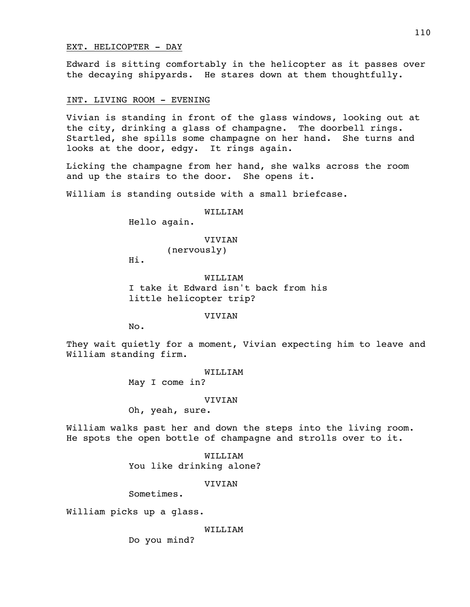### EXT. HELICOPTER - DAY

Edward is sitting comfortably in the helicopter as it passes over the decaying shipyards. He stares down at them thoughtfully.

# INT. LIVING ROOM - EVENING

Vivian is standing in front of the glass windows, looking out at the city, drinking a glass of champagne. The doorbell rings. Startled, she spills some champagne on her hand. She turns and looks at the door, edgy. It rings again.

Licking the champagne from her hand, she walks across the room and up the stairs to the door. She opens it.

William is standing outside with a small briefcase.

WILLIAM

Hello again.

VIVIAN

(nervously)

Hi.

WILLITAM I take it Edward isn't back from his little helicopter trip?

VIVIAN

No.

They wait quietly for a moment, Vivian expecting him to leave and William standing firm.

### WILLIAM

May I come in?

#### VIVIAN

Oh, yeah, sure.

William walks past her and down the steps into the living room. He spots the open bottle of champagne and strolls over to it.

> WILLIAM You like drinking alone?

#### VIVIAN

Sometimes.

William picks up a glass.

## WILLIAM

Do you mind?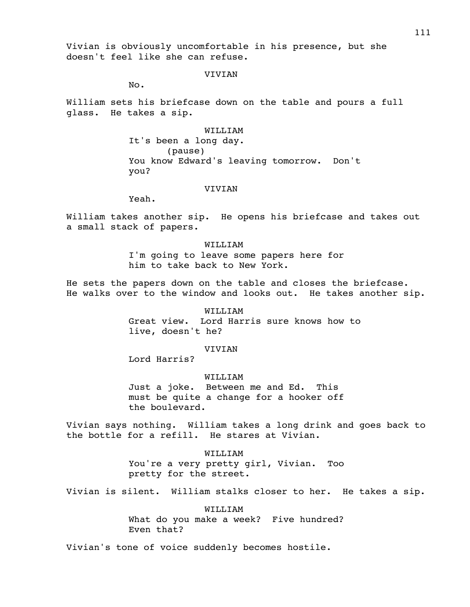Vivian is obviously uncomfortable in his presence, but she doesn't feel like she can refuse.

### **VIVIAN**

No.

William sets his briefcase down on the table and pours a full glass. He takes a sip.

> WILLIAM It's been a long day. (pause) You know Edward's leaving tomorrow. Don't you?

### VIVIAN

Yeah.

William takes another sip. He opens his briefcase and takes out a small stack of papers.

> WILLIAM I'm going to leave some papers here for him to take back to New York.

He sets the papers down on the table and closes the briefcase. He walks over to the window and looks out. He takes another sip.

## WILLIAM

Great view. Lord Harris sure knows how to live, doesn't he?

## VIVIAN

Lord Harris?

### WILLIAM

Just a joke. Between me and Ed. This must be quite a change for a hooker off the boulevard.

Vivian says nothing. William takes a long drink and goes back to the bottle for a refill. He stares at Vivian.

> WILLIAM You're a very pretty girl, Vivian. Too pretty for the street.

Vivian is silent. William stalks closer to her. He takes a sip.

## WILLIAM

What do you make a week? Five hundred? Even that?

Vivian's tone of voice suddenly becomes hostile.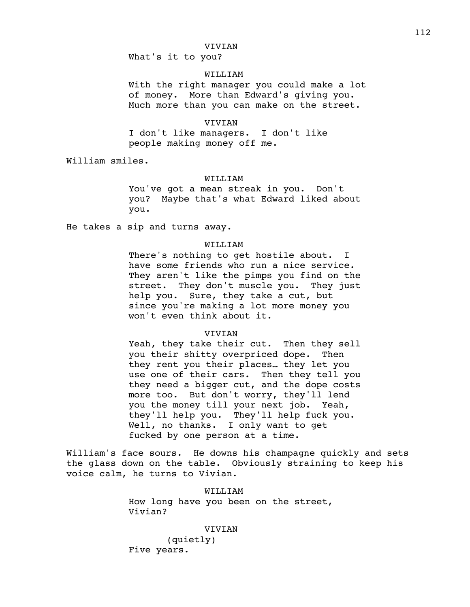What's it to you?

# WILLIAM

With the right manager you could make a lot of money. More than Edward's giving you. Much more than you can make on the street.

## VIVIAN

I don't like managers. I don't like people making money off me.

William smiles.

#### WILLIAM

You've got a mean streak in you. Don't you? Maybe that's what Edward liked about you.

He takes a sip and turns away.

# WILLIAM

There's nothing to get hostile about. I have some friends who run a nice service. They aren't like the pimps you find on the street. They don't muscle you. They just help you. Sure, they take a cut, but since you're making a lot more money you won't even think about it.

#### VIVIAN

Yeah, they take their cut. Then they sell you their shitty overpriced dope. Then they rent you their places… they let you use one of their cars. Then they tell you they need a bigger cut, and the dope costs more too. But don't worry, they'll lend you the money till your next job. Yeah, they'll help you. They'll help fuck you. Well, no thanks. I only want to get fucked by one person at a time.

William's face sours. He downs his champagne quickly and sets the glass down on the table. Obviously straining to keep his voice calm, he turns to Vivian.

> WILLIAM How long have you been on the street, Vivian?

#### VIVIAN

(quietly) Five years.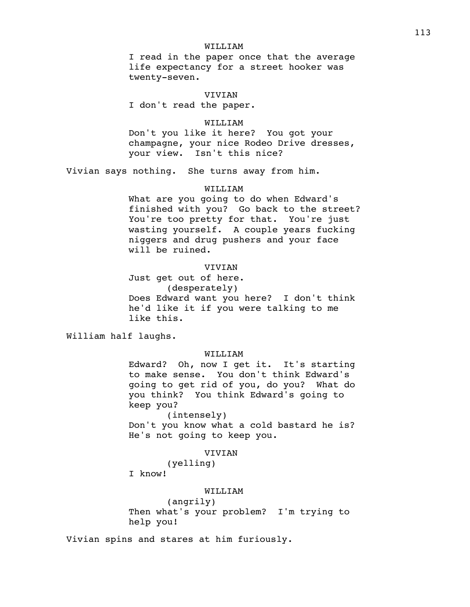## WILLIAM

I read in the paper once that the average life expectancy for a street hooker was twenty-seven.

VIVIAN I don't read the paper.

## WILLIAM

Don't you like it here? You got your champagne, your nice Rodeo Drive dresses, your view. Isn't this nice?

Vivian says nothing. She turns away from him.

## WILLIAM

What are you going to do when Edward's finished with you? Go back to the street? You're too pretty for that. You're just wasting yourself. A couple years fucking niggers and drug pushers and your face will be ruined.

# **VIVIAN**

Just get out of here. (desperately) Does Edward want you here? I don't think he'd like it if you were talking to me like this.

William half laughs.

### WILLIAM

Edward? Oh, now I get it. It's starting to make sense. You don't think Edward's going to get rid of you, do you? What do you think? You think Edward's going to keep you?

(intensely)

Don't you know what a cold bastard he is? He's not going to keep you.

# **VIVIAN**

(yelling)

I know!

#### WILLIAM

(angrily) Then what's your problem? I'm trying to help you!

Vivian spins and stares at him furiously.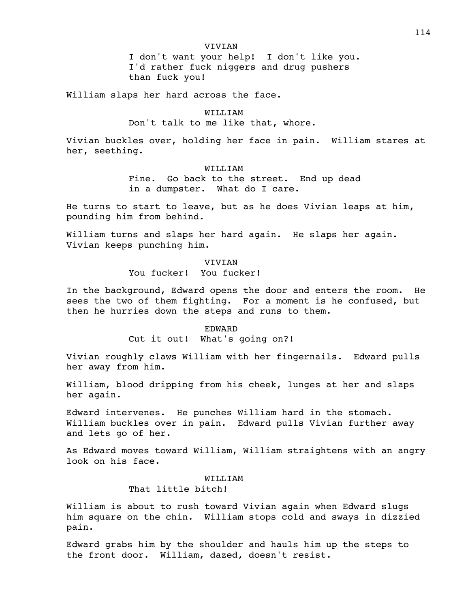### VIVIAN

I don't want your help! I don't like you. I'd rather fuck niggers and drug pushers than fuck you!

William slaps her hard across the face.

# WILLIAM

# Don't talk to me like that, whore.

Vivian buckles over, holding her face in pain. William stares at her, seething.

## WILLIAM

Fine. Go back to the street. End up dead in a dumpster. What do I care.

He turns to start to leave, but as he does Vivian leaps at him, pounding him from behind.

William turns and slaps her hard again. He slaps her again. Vivian keeps punching him.

## VIVIAN

### You fucker! You fucker!

In the background, Edward opens the door and enters the room. He sees the two of them fighting. For a moment is he confused, but then he hurries down the steps and runs to them.

### EDWARD

Cut it out! What's going on?!

Vivian roughly claws William with her fingernails. Edward pulls her away from him.

William, blood dripping from his cheek, lunges at her and slaps her again.

Edward intervenes. He punches William hard in the stomach. William buckles over in pain. Edward pulls Vivian further away and lets go of her.

As Edward moves toward William, William straightens with an angry look on his face.

### WILLIAM

# That little bitch!

William is about to rush toward Vivian again when Edward slugs him square on the chin. William stops cold and sways in dizzied pain.

Edward grabs him by the shoulder and hauls him up the steps to the front door. William, dazed, doesn't resist.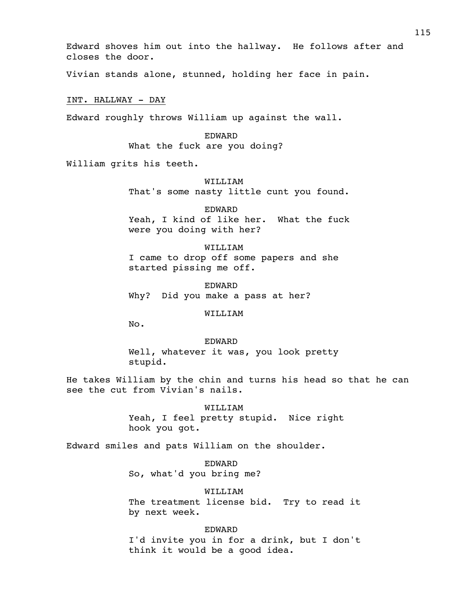Edward shoves him out into the hallway. He follows after and closes the door.

Vivian stands alone, stunned, holding her face in pain.

INT. HALLWAY - DAY

Edward roughly throws William up against the wall.

EDWARD

What the fuck are you doing?

William grits his teeth.

WILLIAM That's some nasty little cunt you found.

EDWARD

Yeah, I kind of like her. What the fuck were you doing with her?

WILLIAM

I came to drop off some papers and she started pissing me off.

EDWARD Why? Did you make a pass at her?

WILLIAM

No.

EDWARD Well, whatever it was, you look pretty stupid.

He takes William by the chin and turns his head so that he can see the cut from Vivian's nails.

> WILLIAM Yeah, I feel pretty stupid. Nice right hook you got.

Edward smiles and pats William on the shoulder.

EDWARD So, what'd you bring me?

WILLIAM The treatment license bid. Try to read it by next week.

EDWARD I'd invite you in for a drink, but I don't think it would be a good idea.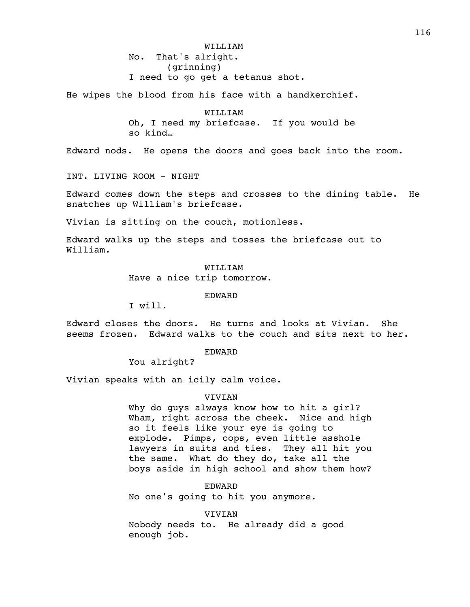WILLIAM No. That's alright. (grinning) I need to go get a tetanus shot.

He wipes the blood from his face with a handkerchief.

WILLIAM Oh, I need my briefcase. If you would be so kind…

Edward nods. He opens the doors and goes back into the room.

# INT. LIVING ROOM - NIGHT

Edward comes down the steps and crosses to the dining table. He snatches up William's briefcase.

Vivian is sitting on the couch, motionless.

Edward walks up the steps and tosses the briefcase out to William.

> WILLIAM Have a nice trip tomorrow.

> > EDWARD

I will.

Edward closes the doors. He turns and looks at Vivian. She seems frozen. Edward walks to the couch and sits next to her.

EDWARD

You alright?

Vivian speaks with an icily calm voice.

# VIVIAN

Why do guys always know how to hit a girl? Wham, right across the cheek. Nice and high so it feels like your eye is going to explode. Pimps, cops, even little asshole lawyers in suits and ties. They all hit you the same. What do they do, take all the boys aside in high school and show them how?

EDWARD

No one's going to hit you anymore.

#### VIVIAN

Nobody needs to. He already did a good enough job.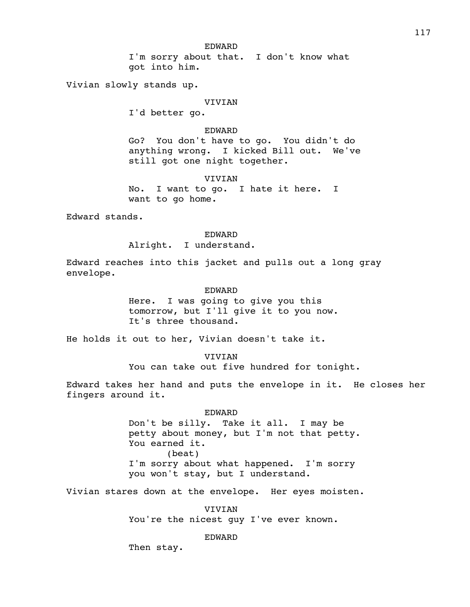I'm sorry about that. I don't know what got into him.

Vivian slowly stands up.

#### VIVIAN

I'd better go.

## EDWARD

Go? You don't have to go. You didn't do anything wrong. I kicked Bill out. We've still got one night together.

VIVIAN

No. I want to go. I hate it here. I want to go home.

Edward stands.

#### EDWARD

Alright. I understand.

Edward reaches into this jacket and pulls out a long gray envelope.

### EDWARD

Here. I was going to give you this tomorrow, but I'll give it to you now. It's three thousand.

He holds it out to her, Vivian doesn't take it.

**VIVIAN** You can take out five hundred for tonight.

Edward takes her hand and puts the envelope in it. He closes her fingers around it.

> EDWARD Don't be silly. Take it all. I may be petty about money, but I'm not that petty. You earned it. (beat) I'm sorry about what happened. I'm sorry you won't stay, but I understand.

Vivian stares down at the envelope. Her eyes moisten.

VIVIAN You're the nicest guy I've ever known.

EDWARD

Then stay.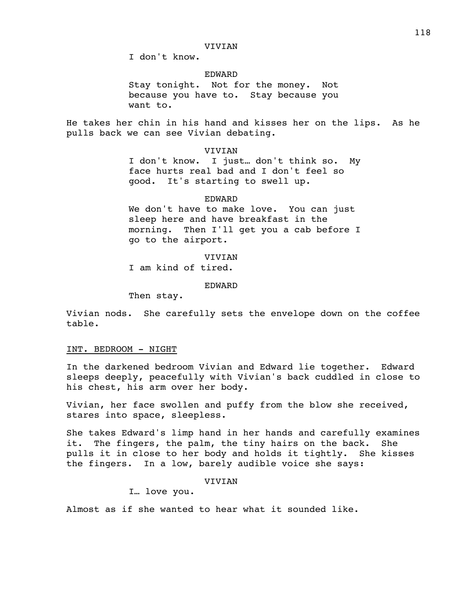I don't know.

EDWARD

Stay tonight. Not for the money. Not because you have to. Stay because you want to.

He takes her chin in his hand and kisses her on the lips. As he pulls back we can see Vivian debating.

VIVIAN

I don't know. I just… don't think so. My face hurts real bad and I don't feel so good. It's starting to swell up.

### EDWARD

We don't have to make love. You can just sleep here and have breakfast in the morning. Then I'll get you a cab before I go to the airport.

VIVIAN I am kind of tired.

EDWARD

Then stay.

Vivian nods. She carefully sets the envelope down on the coffee table.

# INT. BEDROOM - NIGHT

In the darkened bedroom Vivian and Edward lie together. Edward sleeps deeply, peacefully with Vivian's back cuddled in close to his chest, his arm over her body.

Vivian, her face swollen and puffy from the blow she received, stares into space, sleepless.

She takes Edward's limp hand in her hands and carefully examines it. The fingers, the palm, the tiny hairs on the back. She pulls it in close to her body and holds it tightly. She kisses the fingers. In a low, barely audible voice she says:

VIVIAN

I… love you.

Almost as if she wanted to hear what it sounded like.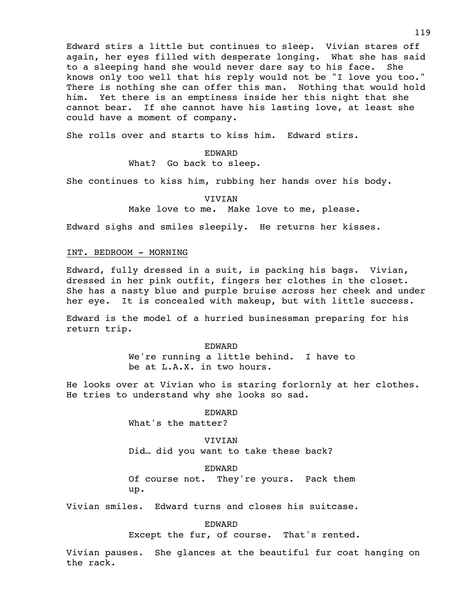Edward stirs a little but continues to sleep. Vivian stares off again, her eyes filled with desperate longing. What she has said to a sleeping hand she would never dare say to his face. She knows only too well that his reply would not be "I love you too." There is nothing she can offer this man. Nothing that would hold him. Yet there is an emptiness inside her this night that she cannot bear. If she cannot have his lasting love, at least she could have a moment of company.

She rolls over and starts to kiss him. Edward stirs.

# EDWARD What? Go back to sleep.

She continues to kiss him, rubbing her hands over his body.

VIVIAN Make love to me. Make love to me, please.

Edward sighs and smiles sleepily. He returns her kisses.

# INT. BEDROOM - MORNING

Edward, fully dressed in a suit, is packing his bags. Vivian, dressed in her pink outfit, fingers her clothes in the closet. She has a nasty blue and purple bruise across her cheek and under her eye. It is concealed with makeup, but with little success.

Edward is the model of a hurried businessman preparing for his return trip.

> EDWARD We're running a little behind. I have to be at L.A.X. in two hours.

He looks over at Vivian who is staring forlornly at her clothes. He tries to understand why she looks so sad.

### EDWARD

What's the matter?

**VIVIAN** Did… did you want to take these back?

#### EDWARD

Of course not. They're yours. Pack them up.

Vivian smiles. Edward turns and closes his suitcase.

EDWARD

Except the fur, of course. That's rented.

Vivian pauses. She glances at the beautiful fur coat hanging on the rack.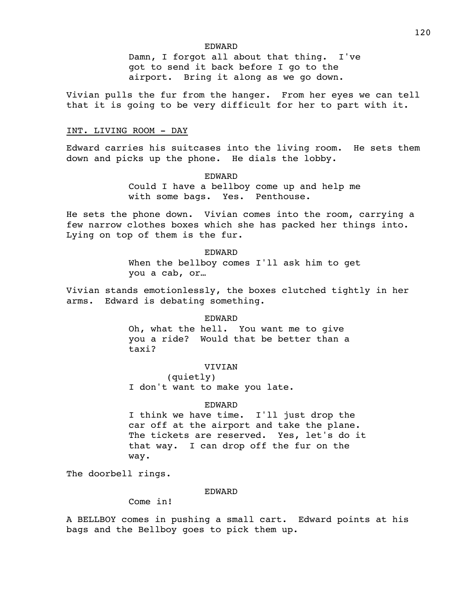### EDWARD

Damn, I forgot all about that thing. I've got to send it back before I go to the airport. Bring it along as we go down.

Vivian pulls the fur from the hanger. From her eyes we can tell that it is going to be very difficult for her to part with it.

### INT. LIVING ROOM - DAY

Edward carries his suitcases into the living room. He sets them down and picks up the phone. He dials the lobby.

## EDWARD

Could I have a bellboy come up and help me with some bags. Yes. Penthouse.

He sets the phone down. Vivian comes into the room, carrying a few narrow clothes boxes which she has packed her things into. Lying on top of them is the fur.

> EDWARD When the bellboy comes I'll ask him to get you a cab, or…

Vivian stands emotionlessly, the boxes clutched tightly in her arms. Edward is debating something.

#### EDWARD

Oh, what the hell. You want me to give you a ride? Would that be better than a taxi?

## VIVIAN

(quietly) I don't want to make you late.

### EDWARD

I think we have time. I'll just drop the car off at the airport and take the plane. The tickets are reserved. Yes, let's do it that way. I can drop off the fur on the way.

The doorbell rings.

#### EDWARD

Come in!

A BELLBOY comes in pushing a small cart. Edward points at his bags and the Bellboy goes to pick them up.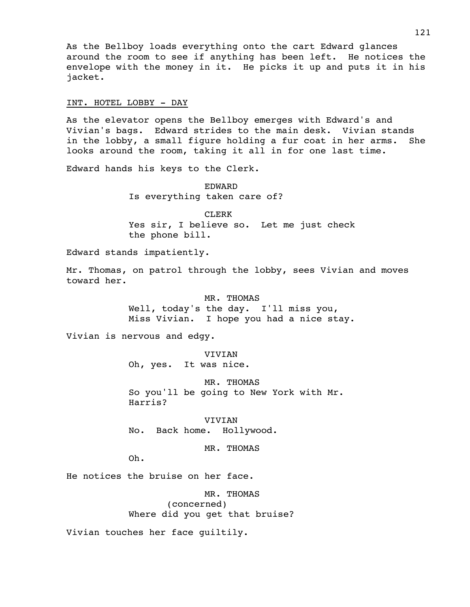As the Bellboy loads everything onto the cart Edward glances around the room to see if anything has been left. He notices the envelope with the money in it. He picks it up and puts it in his jacket.

### INT. HOTEL LOBBY - DAY

As the elevator opens the Bellboy emerges with Edward's and Vivian's bags. Edward strides to the main desk. Vivian stands in the lobby, a small figure holding a fur coat in her arms. She looks around the room, taking it all in for one last time.

Edward hands his keys to the Clerk.

EDWARD Is everything taken care of?

CLERK Yes sir, I believe so. Let me just check the phone bill.

Edward stands impatiently.

Mr. Thomas, on patrol through the lobby, sees Vivian and moves toward her.

> MR. THOMAS Well, today's the day. I'll miss you, Miss Vivian. I hope you had a nice stay.

Vivian is nervous and edgy.

VIVIAN Oh, yes. It was nice.

MR. THOMAS So you'll be going to New York with Mr. Harris?

VIVIAN No. Back home. Hollywood.

MR. THOMAS

Oh.

He notices the bruise on her face.

MR. THOMAS (concerned) Where did you get that bruise?

Vivian touches her face guiltily.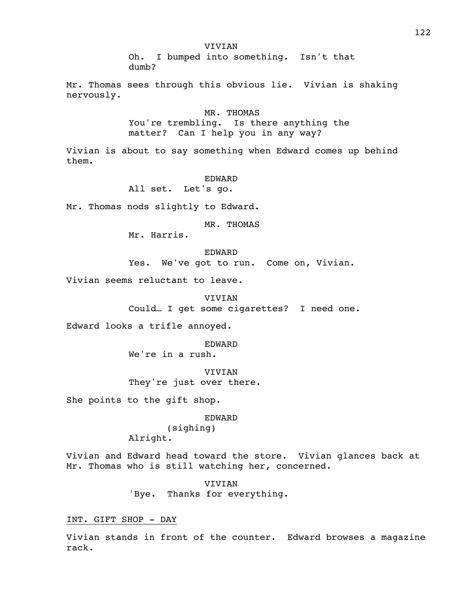VIVIAN

Oh. I bumped into something. Isn't that dumb?

Mr. Thomas sees through this obvious lie. Vivian is shaking nervously.

> MR. THOMAS You're trembling. Is there anything the matter? Can I help you in any way?

Vivian is about to say something when Edward comes up behind them.

#### EDWARD

All set. Let's go.

Mr. Thomas nods slightly to Edward.

MR. THOMAS

Mr. Harris.

EDWARD Yes. We've got to run. Come on, Vivian.

Vivian seems reluctant to leave.

VIVIAN Could… I get some cigarettes? I need one.

Edward looks a trifle annoyed.

EDWARD

We're in a rush.

VIVIAN They're just over there.

She points to the gift shop.

# EDWARD

(sighing) Alright.

Vivian and Edward head toward the store. Vivian glances back at Mr. Thomas who is still watching her, concerned.

> VIVIAN 'Bye. Thanks for everything.

#### INT. GIFT SHOP - DAY

Vivian stands in front of the counter. Edward browses a magazine rack.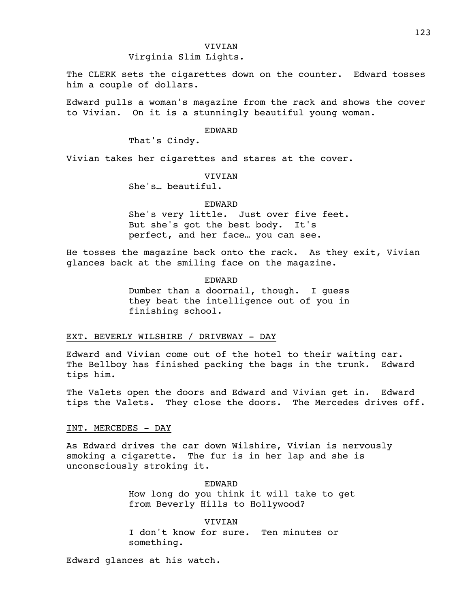## VIVIAN

Virginia Slim Lights.

The CLERK sets the cigarettes down on the counter. Edward tosses him a couple of dollars.

Edward pulls a woman's magazine from the rack and shows the cover to Vivian. On it is a stunningly beautiful young woman.

## EDWARD

That's Cindy.

Vivian takes her cigarettes and stares at the cover.

#### VIVIAN

She's… beautiful.

#### EDWARD

She's very little. Just over five feet. But she's got the best body. It's perfect, and her face… you can see.

He tosses the magazine back onto the rack. As they exit, Vivian glances back at the smiling face on the magazine.

> EDWARD Dumber than a doornail, though. I guess they beat the intelligence out of you in finishing school.

## EXT. BEVERLY WILSHIRE / DRIVEWAY - DAY

Edward and Vivian come out of the hotel to their waiting car. The Bellboy has finished packing the bags in the trunk. Edward tips him.

The Valets open the doors and Edward and Vivian get in. Edward tips the Valets. They close the doors. The Mercedes drives off.

# INT. MERCEDES - DAY

As Edward drives the car down Wilshire, Vivian is nervously smoking a cigarette. The fur is in her lap and she is unconsciously stroking it.

> EDWARD How long do you think it will take to get from Beverly Hills to Hollywood?

VIVIAN I don't know for sure. Ten minutes or something.

Edward glances at his watch.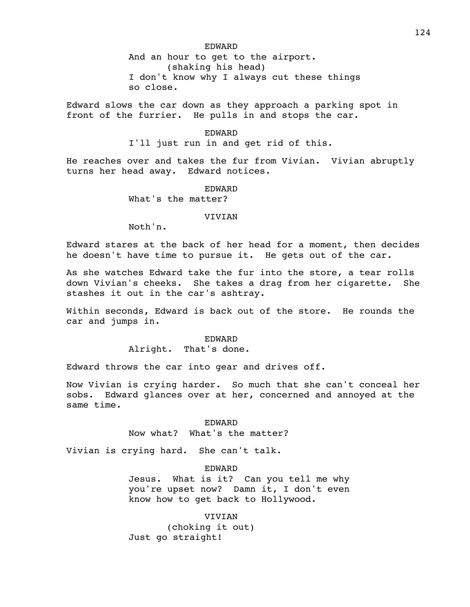EDWARD

And an hour to get to the airport. (shaking his head) I don't know why I always cut these things so close.

Edward slows the car down as they approach a parking spot in front of the furrier. He pulls in and stops the car.

## EDWARD

I'll just run in and get rid of this.

He reaches over and takes the fur from Vivian. Vivian abruptly turns her head away. Edward notices.

#### EDWARD

What's the matter?

### **VIVIAN**

Noth'n.

Edward stares at the back of her head for a moment, then decides he doesn't have time to pursue it. He gets out of the car.

As she watches Edward take the fur into the store, a tear rolls down Vivian's cheeks. She takes a drag from her cigarette. She stashes it out in the car's ashtray.

Within seconds, Edward is back out of the store. He rounds the car and jumps in.

EDWARD

Alright. That's done.

Edward throws the car into gear and drives off.

Now Vivian is crying harder. So much that she can't conceal her sobs. Edward glances over at her, concerned and annoyed at the same time.

## EDWARD

Now what? What's the matter?

Vivian is crying hard. She can't talk.

# EDWARD

Jesus. What is it? Can you tell me why you're upset now? Damn it, I don't even know how to get back to Hollywood.

VIVIAN (choking it out) Just go straight!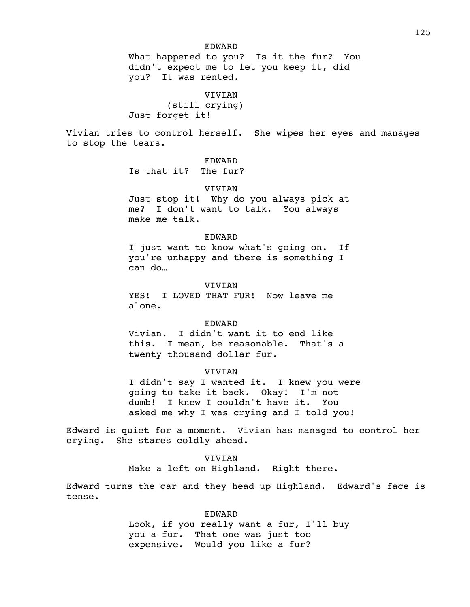### EDWARD

What happened to you? Is it the fur? You didn't expect me to let you keep it, did you? It was rented.

VIVIAN (still crying) Just forget it!

Vivian tries to control herself. She wipes her eyes and manages to stop the tears.

EDWARD

Is that it? The fur?

# **VIVIAN**

Just stop it! Why do you always pick at me? I don't want to talk. You always make me talk.

### EDWARD

I just want to know what's going on. If you're unhappy and there is something I can do…

### VIVIAN

YES! I LOVED THAT FUR! Now leave me alone.

### EDWARD

Vivian. I didn't want it to end like this. I mean, be reasonable. That's a twenty thousand dollar fur.

#### VIVIAN

I didn't say I wanted it. I knew you were going to take it back. Okay! I'm not dumb! I knew I couldn't have it. You asked me why I was crying and I told you!

Edward is quiet for a moment. Vivian has managed to control her crying. She stares coldly ahead.

# VIVIAN

Make a left on Highland. Right there.

Edward turns the car and they head up Highland. Edward's face is tense.

#### EDWARD

Look, if you really want a fur, I'll buy you a fur. That one was just too expensive. Would you like a fur?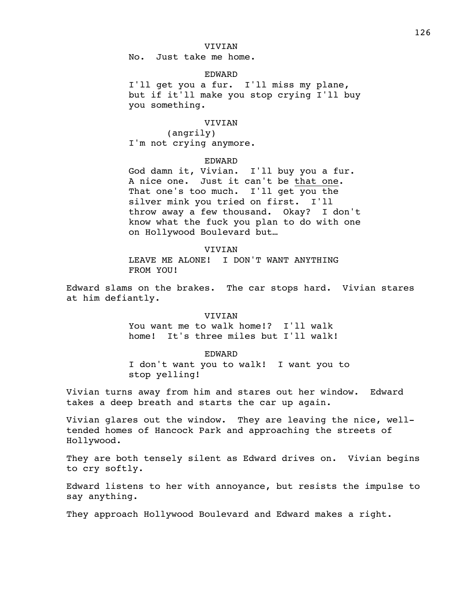## VIVIAN

No. Just take me home.

# EDWARD

I'll get you a fur. I'll miss my plane, but if it'll make you stop crying I'll buy you something.

# VIVIAN

(angrily) I'm not crying anymore.

## EDWARD

God damn it, Vivian. I'll buy you a fur. A nice one. Just it can't be that one. That one's too much. I'll get you the silver mink you tried on first. I'll throw away a few thousand. Okay? I don't know what the fuck you plan to do with one on Hollywood Boulevard but…

### VIVIAN

LEAVE ME ALONE! I DON'T WANT ANYTHING FROM YOU!

Edward slams on the brakes. The car stops hard. Vivian stares at him defiantly.

### VIVIAN

You want me to walk home!? I'll walk home! It's three miles but I'll walk!

### EDWARD

I don't want you to walk! I want you to stop yelling!

Vivian turns away from him and stares out her window. Edward takes a deep breath and starts the car up again.

Vivian glares out the window. They are leaving the nice, welltended homes of Hancock Park and approaching the streets of Hollywood.

They are both tensely silent as Edward drives on. Vivian begins to cry softly.

Edward listens to her with annoyance, but resists the impulse to say anything.

They approach Hollywood Boulevard and Edward makes a right.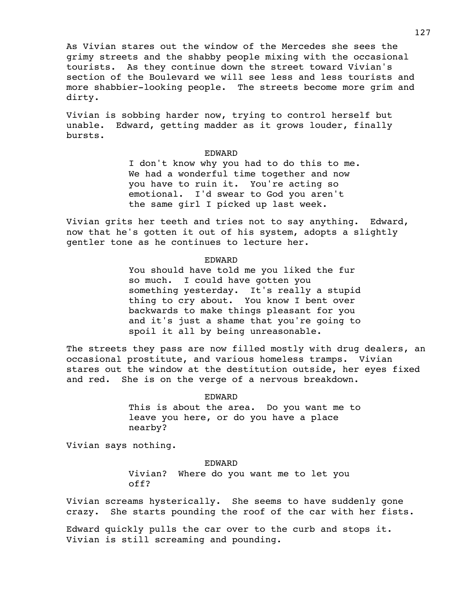As Vivian stares out the window of the Mercedes she sees the grimy streets and the shabby people mixing with the occasional tourists. As they continue down the street toward Vivian's section of the Boulevard we will see less and less tourists and more shabbier-looking people. The streets become more grim and dirty.

Vivian is sobbing harder now, trying to control herself but unable. Edward, getting madder as it grows louder, finally bursts.

# EDWARD

I don't know why you had to do this to me. We had a wonderful time together and now you have to ruin it. You're acting so emotional. I'd swear to God you aren't the same girl I picked up last week.

Vivian grits her teeth and tries not to say anything. Edward, now that he's gotten it out of his system, adopts a slightly gentler tone as he continues to lecture her.

# EDWARD

You should have told me you liked the fur so much. I could have gotten you something yesterday. It's really a stupid thing to cry about. You know I bent over backwards to make things pleasant for you and it's just a shame that you're going to spoil it all by being unreasonable.

The streets they pass are now filled mostly with drug dealers, an occasional prostitute, and various homeless tramps. Vivian stares out the window at the destitution outside, her eyes fixed and red. She is on the verge of a nervous breakdown.

> EDWARD This is about the area. Do you want me to leave you here, or do you have a place nearby?

Vivian says nothing.

EDWARD Vivian? Where do you want me to let you off?

Vivian screams hysterically. She seems to have suddenly gone crazy. She starts pounding the roof of the car with her fists.

Edward quickly pulls the car over to the curb and stops it. Vivian is still screaming and pounding.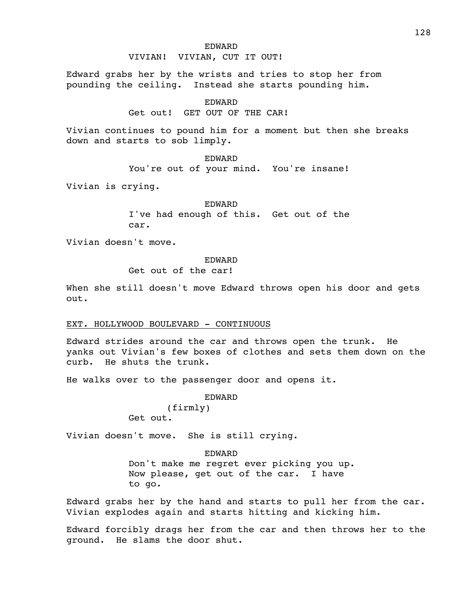### EDWARD

### VIVIAN! VIVIAN, CUT IT OUT!

Edward grabs her by the wrists and tries to stop her from pounding the ceiling. Instead she starts pounding him.

EDWARD

Get out! GET OUT OF THE CAR!

Vivian continues to pound him for a moment but then she breaks down and starts to sob limply.

EDWARD

You're out of your mind. You're insane!

Vivian is crying.

EDWARD

I've had enough of this. Get out of the car.

Vivian doesn't move.

# EDWARD

Get out of the car!

When she still doesn't move Edward throws open his door and gets out.

# EXT. HOLLYWOOD BOULEVARD - CONTINUOUS

Edward strides around the car and throws open the trunk. He yanks out Vivian's few boxes of clothes and sets them down on the curb. He shuts the trunk.

He walks over to the passenger door and opens it.

EDWARD (firmly) Get out.

Vivian doesn't move. She is still crying.

EDWARD Don't make me regret ever picking you up. Now please, get out of the car. I have to go.

Edward grabs her by the hand and starts to pull her from the car. Vivian explodes again and starts hitting and kicking him.

Edward forcibly drags her from the car and then throws her to the ground. He slams the door shut.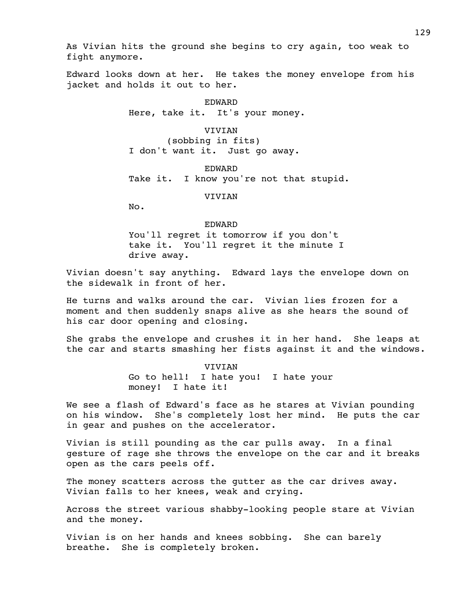As Vivian hits the ground she begins to cry again, too weak to fight anymore.

Edward looks down at her. He takes the money envelope from his jacket and holds it out to her.

> EDWARD Here, take it. It's your money.

VIVIAN (sobbing in fits) I don't want it. Just go away.

EDWARD Take it. I know you're not that stupid.

VIVIAN

No.

EDWARD

You'll regret it tomorrow if you don't take it. You'll regret it the minute I drive away.

Vivian doesn't say anything. Edward lays the envelope down on the sidewalk in front of her.

He turns and walks around the car. Vivian lies frozen for a moment and then suddenly snaps alive as she hears the sound of his car door opening and closing.

She grabs the envelope and crushes it in her hand. She leaps at the car and starts smashing her fists against it and the windows.

> VIVIAN Go to hell! I hate you! I hate your money! I hate it!

We see a flash of Edward's face as he stares at Vivian pounding on his window. She's completely lost her mind. He puts the car in gear and pushes on the accelerator.

Vivian is still pounding as the car pulls away. In a final gesture of rage she throws the envelope on the car and it breaks open as the cars peels off.

The money scatters across the qutter as the car drives away. Vivian falls to her knees, weak and crying.

Across the street various shabby-looking people stare at Vivian and the money.

Vivian is on her hands and knees sobbing. She can barely breathe. She is completely broken.